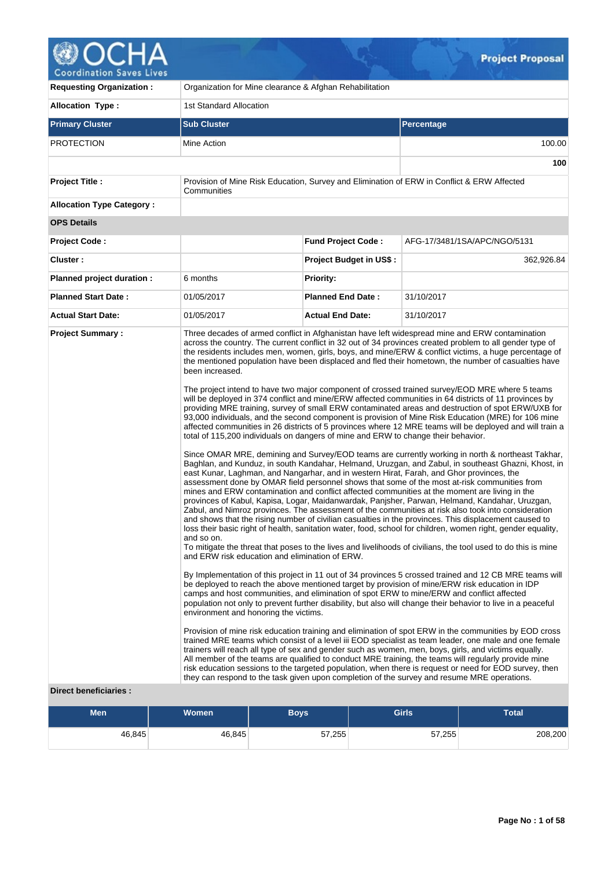

| <b>Requesting Organization:</b>  | Organization for Mine clearance & Afghan Rehabilitation                                                                                                                                                                 |                                                                                                                                                                                                                                                                                                                                                                                                                                                                                                                                                                                                                                                                                                                                                                                                                                                                                                                                                                                                                                                                                                                                                                                                                                                                                                                                                                                                                                                                                                                                                                                                                                                                                                                                                                                                                                                                                                                                                                                                                                                                                                                                                                                                                                                                                                                                                                                                                                                                                                                                                                                                                                                                                                                                                                                                                                                                                                                                                                                                                                                                                     |                                                                                            |  |  |  |  |
|----------------------------------|-------------------------------------------------------------------------------------------------------------------------------------------------------------------------------------------------------------------------|-------------------------------------------------------------------------------------------------------------------------------------------------------------------------------------------------------------------------------------------------------------------------------------------------------------------------------------------------------------------------------------------------------------------------------------------------------------------------------------------------------------------------------------------------------------------------------------------------------------------------------------------------------------------------------------------------------------------------------------------------------------------------------------------------------------------------------------------------------------------------------------------------------------------------------------------------------------------------------------------------------------------------------------------------------------------------------------------------------------------------------------------------------------------------------------------------------------------------------------------------------------------------------------------------------------------------------------------------------------------------------------------------------------------------------------------------------------------------------------------------------------------------------------------------------------------------------------------------------------------------------------------------------------------------------------------------------------------------------------------------------------------------------------------------------------------------------------------------------------------------------------------------------------------------------------------------------------------------------------------------------------------------------------------------------------------------------------------------------------------------------------------------------------------------------------------------------------------------------------------------------------------------------------------------------------------------------------------------------------------------------------------------------------------------------------------------------------------------------------------------------------------------------------------------------------------------------------------------------------------------------------------------------------------------------------------------------------------------------------------------------------------------------------------------------------------------------------------------------------------------------------------------------------------------------------------------------------------------------------------------------------------------------------------------------------------------------------|--------------------------------------------------------------------------------------------|--|--|--|--|
| <b>Allocation Type:</b>          | 1st Standard Allocation                                                                                                                                                                                                 |                                                                                                                                                                                                                                                                                                                                                                                                                                                                                                                                                                                                                                                                                                                                                                                                                                                                                                                                                                                                                                                                                                                                                                                                                                                                                                                                                                                                                                                                                                                                                                                                                                                                                                                                                                                                                                                                                                                                                                                                                                                                                                                                                                                                                                                                                                                                                                                                                                                                                                                                                                                                                                                                                                                                                                                                                                                                                                                                                                                                                                                                                     |                                                                                            |  |  |  |  |
| <b>Primary Cluster</b>           | <b>Sub Cluster</b>                                                                                                                                                                                                      |                                                                                                                                                                                                                                                                                                                                                                                                                                                                                                                                                                                                                                                                                                                                                                                                                                                                                                                                                                                                                                                                                                                                                                                                                                                                                                                                                                                                                                                                                                                                                                                                                                                                                                                                                                                                                                                                                                                                                                                                                                                                                                                                                                                                                                                                                                                                                                                                                                                                                                                                                                                                                                                                                                                                                                                                                                                                                                                                                                                                                                                                                     | <b>Percentage</b>                                                                          |  |  |  |  |
| PROTECTION                       | Mine Action                                                                                                                                                                                                             |                                                                                                                                                                                                                                                                                                                                                                                                                                                                                                                                                                                                                                                                                                                                                                                                                                                                                                                                                                                                                                                                                                                                                                                                                                                                                                                                                                                                                                                                                                                                                                                                                                                                                                                                                                                                                                                                                                                                                                                                                                                                                                                                                                                                                                                                                                                                                                                                                                                                                                                                                                                                                                                                                                                                                                                                                                                                                                                                                                                                                                                                                     | 100.00                                                                                     |  |  |  |  |
|                                  |                                                                                                                                                                                                                         |                                                                                                                                                                                                                                                                                                                                                                                                                                                                                                                                                                                                                                                                                                                                                                                                                                                                                                                                                                                                                                                                                                                                                                                                                                                                                                                                                                                                                                                                                                                                                                                                                                                                                                                                                                                                                                                                                                                                                                                                                                                                                                                                                                                                                                                                                                                                                                                                                                                                                                                                                                                                                                                                                                                                                                                                                                                                                                                                                                                                                                                                                     | 100                                                                                        |  |  |  |  |
| <b>Project Title:</b>            | Communities                                                                                                                                                                                                             |                                                                                                                                                                                                                                                                                                                                                                                                                                                                                                                                                                                                                                                                                                                                                                                                                                                                                                                                                                                                                                                                                                                                                                                                                                                                                                                                                                                                                                                                                                                                                                                                                                                                                                                                                                                                                                                                                                                                                                                                                                                                                                                                                                                                                                                                                                                                                                                                                                                                                                                                                                                                                                                                                                                                                                                                                                                                                                                                                                                                                                                                                     | Provision of Mine Risk Education, Survey and Elimination of ERW in Conflict & ERW Affected |  |  |  |  |
| <b>Allocation Type Category:</b> |                                                                                                                                                                                                                         |                                                                                                                                                                                                                                                                                                                                                                                                                                                                                                                                                                                                                                                                                                                                                                                                                                                                                                                                                                                                                                                                                                                                                                                                                                                                                                                                                                                                                                                                                                                                                                                                                                                                                                                                                                                                                                                                                                                                                                                                                                                                                                                                                                                                                                                                                                                                                                                                                                                                                                                                                                                                                                                                                                                                                                                                                                                                                                                                                                                                                                                                                     |                                                                                            |  |  |  |  |
| <b>OPS Details</b>               |                                                                                                                                                                                                                         |                                                                                                                                                                                                                                                                                                                                                                                                                                                                                                                                                                                                                                                                                                                                                                                                                                                                                                                                                                                                                                                                                                                                                                                                                                                                                                                                                                                                                                                                                                                                                                                                                                                                                                                                                                                                                                                                                                                                                                                                                                                                                                                                                                                                                                                                                                                                                                                                                                                                                                                                                                                                                                                                                                                                                                                                                                                                                                                                                                                                                                                                                     |                                                                                            |  |  |  |  |
| <b>Project Code:</b>             |                                                                                                                                                                                                                         | <b>Fund Project Code:</b>                                                                                                                                                                                                                                                                                                                                                                                                                                                                                                                                                                                                                                                                                                                                                                                                                                                                                                                                                                                                                                                                                                                                                                                                                                                                                                                                                                                                                                                                                                                                                                                                                                                                                                                                                                                                                                                                                                                                                                                                                                                                                                                                                                                                                                                                                                                                                                                                                                                                                                                                                                                                                                                                                                                                                                                                                                                                                                                                                                                                                                                           | AFG-17/3481/1SA/APC/NGO/5131                                                               |  |  |  |  |
| Cluster:                         |                                                                                                                                                                                                                         | <b>Project Budget in US\$:</b>                                                                                                                                                                                                                                                                                                                                                                                                                                                                                                                                                                                                                                                                                                                                                                                                                                                                                                                                                                                                                                                                                                                                                                                                                                                                                                                                                                                                                                                                                                                                                                                                                                                                                                                                                                                                                                                                                                                                                                                                                                                                                                                                                                                                                                                                                                                                                                                                                                                                                                                                                                                                                                                                                                                                                                                                                                                                                                                                                                                                                                                      | 362,926.84                                                                                 |  |  |  |  |
| Planned project duration :       | 6 months                                                                                                                                                                                                                | <b>Priority:</b>                                                                                                                                                                                                                                                                                                                                                                                                                                                                                                                                                                                                                                                                                                                                                                                                                                                                                                                                                                                                                                                                                                                                                                                                                                                                                                                                                                                                                                                                                                                                                                                                                                                                                                                                                                                                                                                                                                                                                                                                                                                                                                                                                                                                                                                                                                                                                                                                                                                                                                                                                                                                                                                                                                                                                                                                                                                                                                                                                                                                                                                                    |                                                                                            |  |  |  |  |
| <b>Planned Start Date:</b>       | 01/05/2017                                                                                                                                                                                                              | <b>Planned End Date:</b>                                                                                                                                                                                                                                                                                                                                                                                                                                                                                                                                                                                                                                                                                                                                                                                                                                                                                                                                                                                                                                                                                                                                                                                                                                                                                                                                                                                                                                                                                                                                                                                                                                                                                                                                                                                                                                                                                                                                                                                                                                                                                                                                                                                                                                                                                                                                                                                                                                                                                                                                                                                                                                                                                                                                                                                                                                                                                                                                                                                                                                                            | 31/10/2017                                                                                 |  |  |  |  |
| <b>Actual Start Date:</b>        | 01/05/2017                                                                                                                                                                                                              | <b>Actual End Date:</b>                                                                                                                                                                                                                                                                                                                                                                                                                                                                                                                                                                                                                                                                                                                                                                                                                                                                                                                                                                                                                                                                                                                                                                                                                                                                                                                                                                                                                                                                                                                                                                                                                                                                                                                                                                                                                                                                                                                                                                                                                                                                                                                                                                                                                                                                                                                                                                                                                                                                                                                                                                                                                                                                                                                                                                                                                                                                                                                                                                                                                                                             | 31/10/2017                                                                                 |  |  |  |  |
| Diroct bonoficiarios             | been increased.<br>and so on.<br>and ERW risk education and elimination of ERW.<br>environment and honoring the victims.<br>they can respond to the task given upon completion of the survey and resume MRE operations. | Three decades of armed conflict in Afghanistan have left widespread mine and ERW contamination<br>across the country. The current conflict in 32 out of 34 provinces created problem to all gender type of<br>the residents includes men, women, girls, boys, and mine/ERW & conflict victims, a huge percentage of<br>the mentioned population have been displaced and fled their hometown, the number of casualties have<br>The project intend to have two major component of crossed trained survey/EOD MRE where 5 teams<br>will be deployed in 374 conflict and mine/ERW affected communities in 64 districts of 11 provinces by<br>providing MRE training, survey of small ERW contaminated areas and destruction of spot ERW/UXB for<br>93,000 individuals, and the second component is provision of Mine Risk Education (MRE) for 106 mine<br>affected communities in 26 districts of 5 provinces where 12 MRE teams will be deployed and will train a<br>total of 115,200 individuals on dangers of mine and ERW to change their behavior.<br>Since OMAR MRE, demining and Survey/EOD teams are currently working in north & northeast Takhar,<br>Baghlan, and Kunduz, in south Kandahar, Helmand, Uruzgan, and Zabul, in southeast Ghazni, Khost, in<br>east Kunar, Laghman, and Nangarhar, and in western Hirat, Farah, and Ghor provinces, the<br>assessment done by OMAR field personnel shows that some of the most at-risk communities from<br>mines and ERW contamination and conflict affected communities at the moment are living in the<br>provinces of Kabul, Kapisa, Logar, Maidanwardak, Panjsher, Parwan, Helmand, Kandahar, Uruzgan,<br>Zabul, and Nimroz provinces. The assessment of the communities at risk also took into consideration<br>and shows that the rising number of civilian casualties in the provinces. This displacement caused to<br>loss their basic right of health, sanitation water, food, school for children, women right, gender equality,<br>To mitigate the threat that poses to the lives and livelihoods of civilians, the tool used to do this is mine<br>By Implementation of this project in 11 out of 34 provinces 5 crossed trained and 12 CB MRE teams will<br>be deployed to reach the above mentioned target by provision of mine/ERW risk education in IDP<br>camps and host communities, and elimination of spot ERW to mine/ERW and conflict affected<br>population not only to prevent further disability, but also will change their behavior to live in a peaceful<br>Provision of mine risk education training and elimination of spot ERW in the communities by EOD cross<br>trained MRE teams which consist of a level iii EOD specialist as team leader, one male and one female<br>trainers will reach all type of sex and gender such as women, men, boys, girls, and victims equally.<br>All member of the teams are qualified to conduct MRE training, the teams will regularly provide mine<br>risk education sessions to the targeted population, when there is request or need for EOD survey, then |                                                                                            |  |  |  |  |

# **Direct beneficiaries :**

| Men    | <b>Women</b> | <b>Boys</b> | <b>Girls</b> | <b>Total</b> |
|--------|--------------|-------------|--------------|--------------|
| 46,845 | 46,845       | 57,255      | 57,255       | 208,200      |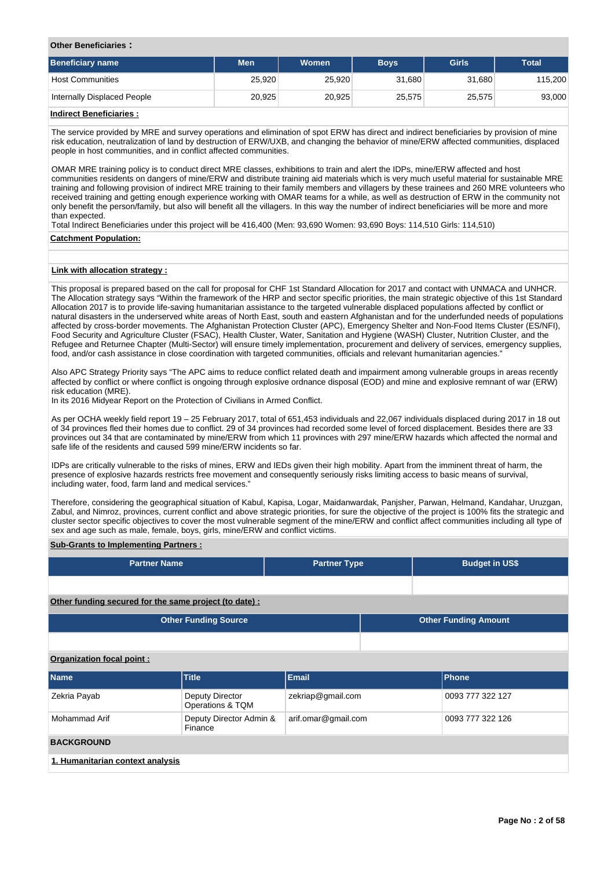#### **Other Beneficiaries :**

| <b>Beneficiary name</b>     | <b>Men</b> | <b>Women</b> | <b>Boys</b> | <b>Girls</b> | <b>Total</b> |
|-----------------------------|------------|--------------|-------------|--------------|--------------|
| <b>Host Communities</b>     | 25.920     | 25.920       | 31,680      | 31,680       | 115,200      |
| Internally Displaced People | 20,925     | 20,925       | 25.575      | 25,575       | 93,000       |
| - - - -<br>.                |            |              |             |              |              |

#### **Indirect Beneficiaries :**

The service provided by MRE and survey operations and elimination of spot ERW has direct and indirect beneficiaries by provision of mine risk education, neutralization of land by destruction of ERW/UXB, and changing the behavior of mine/ERW affected communities, displaced people in host communities, and in conflict affected communities.

OMAR MRE training policy is to conduct direct MRE classes, exhibitions to train and alert the IDPs, mine/ERW affected and host communities residents on dangers of mine/ERW and distribute training aid materials which is very much useful material for sustainable MRE training and following provision of indirect MRE training to their family members and villagers by these trainees and 260 MRE volunteers who received training and getting enough experience working with OMAR teams for a while, as well as destruction of ERW in the community not only benefit the person/family, but also will benefit all the villagers. In this way the number of indirect beneficiaries will be more and more than expected.

Total Indirect Beneficiaries under this project will be 416,400 (Men: 93,690 Women: 93,690 Boys: 114,510 Girls: 114,510) **Catchment Population:**

# **Link with allocation strategy :**

This proposal is prepared based on the call for proposal for CHF 1st Standard Allocation for 2017 and contact with UNMACA and UNHCR. The Allocation strategy says "Within the framework of the HRP and sector specific priorities, the main strategic objective of this 1st Standard Allocation 2017 is to provide life-saving humanitarian assistance to the targeted vulnerable displaced populations affected by conflict or natural disasters in the underserved white areas of North East, south and eastern Afghanistan and for the underfunded needs of populations affected by cross-border movements. The Afghanistan Protection Cluster (APC), Emergency Shelter and Non-Food Items Cluster (ES/NFI), Food Security and Agriculture Cluster (FSAC), Health Cluster, Water, Sanitation and Hygiene (WASH) Cluster, Nutrition Cluster, and the Refugee and Returnee Chapter (Multi-Sector) will ensure timely implementation, procurement and delivery of services, emergency supplies, food, and/or cash assistance in close coordination with targeted communities, officials and relevant humanitarian agencies."

Also APC Strategy Priority says "The APC aims to reduce conflict related death and impairment among vulnerable groups in areas recently affected by conflict or where conflict is ongoing through explosive ordnance disposal (EOD) and mine and explosive remnant of war (ERW) risk education (MRE).

In its 2016 Midyear Report on the Protection of Civilians in Armed Conflict.

As per OCHA weekly field report 19 – 25 February 2017, total of 651,453 individuals and 22,067 individuals displaced during 2017 in 18 out of 34 provinces fled their homes due to conflict. 29 of 34 provinces had recorded some level of forced displacement. Besides there are 33 provinces out 34 that are contaminated by mine/ERW from which 11 provinces with 297 mine/ERW hazards which affected the normal and safe life of the residents and caused 599 mine/ERW incidents so far.

IDPs are critically vulnerable to the risks of mines, ERW and IEDs given their high mobility. Apart from the imminent threat of harm, the presence of explosive hazards restricts free movement and consequently seriously risks limiting access to basic means of survival, including water, food, farm land and medical services."

Therefore, considering the geographical situation of Kabul, Kapisa, Logar, Maidanwardak, Panjsher, Parwan, Helmand, Kandahar, Uruzgan, Zabul, and Nimroz, provinces, current conflict and above strategic priorities, for sure the objective of the project is 100% fits the strategic and cluster sector specific objectives to cover the most vulnerable segment of the mine/ERW and conflict affect communities including all type of sex and age such as male, female, boys, girls, mine/ERW and conflict victims.

#### **Sub-Grants to Implementing Partners :**

| <b>Partner Name</b>                                   | <b>Partner Type</b> | <b>Budget in US\$</b> |
|-------------------------------------------------------|---------------------|-----------------------|
|                                                       |                     |                       |
| Other funding secured for the same project (to date): |                     |                       |

| <b>Other Funding Source</b> | <b>Other Funding Amount</b> |
|-----------------------------|-----------------------------|
|                             |                             |

#### **Organization focal point :**

| <b>Name</b>                      | <b>Title</b>                        | <b>Email</b>        | <b>Phone</b>     |  |  |  |  |
|----------------------------------|-------------------------------------|---------------------|------------------|--|--|--|--|
| Zekria Payab                     | Deputy Director<br>Operations & TQM | zekriap@gmail.com   | 0093 777 322 127 |  |  |  |  |
| Mohammad Arif                    | Deputy Director Admin &<br>Finance  | arif.omar@gmail.com | 0093 777 322 126 |  |  |  |  |
| <b>BACKGROUND</b>                |                                     |                     |                  |  |  |  |  |
| 1. Humanitarian context analysis |                                     |                     |                  |  |  |  |  |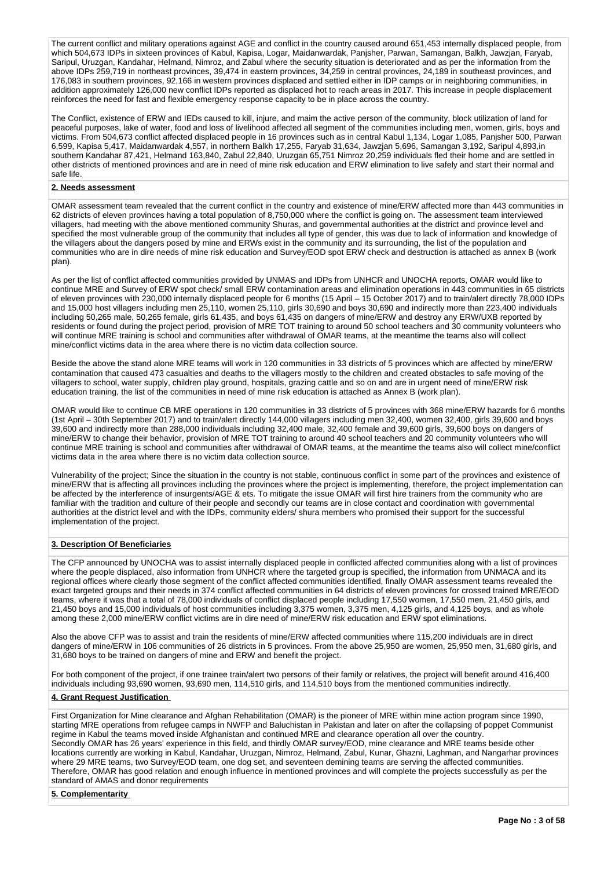The current conflict and military operations against AGE and conflict in the country caused around 651,453 internally displaced people, from which 504,673 IDPs in sixteen provinces of Kabul, Kapisa, Logar, Maidanwardak, Panjsher, Parwan, Samangan, Balkh, Jawzjan, Faryab, Saripul, Uruzgan, Kandahar, Helmand, Nimroz, and Zabul where the security situation is deteriorated and as per the information from the above IDPs 259,719 in northeast provinces, 39,474 in eastern provinces, 34,259 in central provinces, 24,189 in southeast provinces, and 176,083 in southern provinces, 92,166 in western provinces displaced and settled either in IDP camps or in neighboring communities, in addition approximately 126,000 new conflict IDPs reported as displaced hot to reach areas in 2017. This increase in people displacement reinforces the need for fast and flexible emergency response capacity to be in place across the country.

The Conflict, existence of ERW and IEDs caused to kill, injure, and maim the active person of the community, block utilization of land for peaceful purposes, lake of water, food and loss of livelihood affected all segment of the communities including men, women, girls, boys and victims. From 504,673 conflict affected displaced people in 16 provinces such as in central Kabul 1,134, Logar 1,085, Panjsher 500, Parwan 6,599, Kapisa 5,417, Maidanwardak 4,557, in northern Balkh 17,255, Faryab 31,634, Jawzjan 5,696, Samangan 3,192, Saripul 4,893,in southern Kandahar 87,421, Helmand 163,840, Zabul 22,840, Uruzgan 65,751 Nimroz 20,259 individuals fled their home and are settled in other districts of mentioned provinces and are in need of mine risk education and ERW elimination to live safely and start their normal and safe life.

#### **2. Needs assessment**

OMAR assessment team revealed that the current conflict in the country and existence of mine/ERW affected more than 443 communities in 62 districts of eleven provinces having a total population of 8,750,000 where the conflict is going on. The assessment team interviewed villagers, had meeting with the above mentioned community Shuras, and governmental authorities at the district and province level and specified the most vulnerable group of the community that includes all type of gender, this was due to lack of information and knowledge of the villagers about the dangers posed by mine and ERWs exist in the community and its surrounding, the list of the population and communities who are in dire needs of mine risk education and Survey/EOD spot ERW check and destruction is attached as annex B (work plan).

As per the list of conflict affected communities provided by UNMAS and IDPs from UNHCR and UNOCHA reports, OMAR would like to continue MRE and Survey of ERW spot check/ small ERW contamination areas and elimination operations in 443 communities in 65 districts of eleven provinces with 230,000 internally displaced people for 6 months (15 April – 15 October 2017) and to train/alert directly 78,000 IDPs and 15,000 host villagers including men 25,110, women 25,110, girls 30,690 and boys 30,690 and indirectly more than 223,400 individuals including 50,265 male, 50,265 female, girls 61,435, and boys 61,435 on dangers of mine/ERW and destroy any ERW/UXB reported by residents or found during the project period, provision of MRE TOT training to around 50 school teachers and 30 community volunteers who will continue MRE training is school and communities after withdrawal of OMAR teams, at the meantime the teams also will collect mine/conflict victims data in the area where there is no victim data collection source.

Beside the above the stand alone MRE teams will work in 120 communities in 33 districts of 5 provinces which are affected by mine/ERW contamination that caused 473 casualties and deaths to the villagers mostly to the children and created obstacles to safe moving of the villagers to school, water supply, children play ground, hospitals, grazing cattle and so on and are in urgent need of mine/ERW risk education training, the list of the communities in need of mine risk education is attached as Annex B (work plan).

OMAR would like to continue CB MRE operations in 120 communities in 33 districts of 5 provinces with 368 mine/ERW hazards for 6 months (1st April – 30th September 2017) and to train/alert directly 144,000 villagers including men 32,400, women 32,400, girls 39,600 and boys 39,600 and indirectly more than 288,000 individuals including 32,400 male, 32,400 female and 39,600 girls, 39,600 boys on dangers of mine/ERW to change their behavior, provision of MRE TOT training to around 40 school teachers and 20 community volunteers who will continue MRE training is school and communities after withdrawal of OMAR teams, at the meantime the teams also will collect mine/conflict victims data in the area where there is no victim data collection source.

Vulnerability of the project; Since the situation in the country is not stable, continuous conflict in some part of the provinces and existence of mine/ERW that is affecting all provinces including the provinces where the project is implementing, therefore, the project implementation can be affected by the interference of insurgents/AGE & ets. To mitigate the issue OMAR will first hire trainers from the community who are familiar with the tradition and culture of their people and secondly our teams are in close contact and coordination with governmental authorities at the district level and with the IDPs, community elders/ shura members who promised their support for the successful implementation of the project.

#### **3. Description Of Beneficiaries**

The CFP announced by UNOCHA was to assist internally displaced people in conflicted affected communities along with a list of provinces where the people displaced, also information from UNHCR where the targeted group is specified, the information from UNMACA and its regional offices where clearly those segment of the conflict affected communities identified, finally OMAR assessment teams revealed the exact targeted groups and their needs in 374 conflict affected communities in 64 districts of eleven provinces for crossed trained MRE/EOD teams, where it was that a total of 78,000 individuals of conflict displaced people including 17,550 women, 17,550 men, 21,450 girls, and 21,450 boys and 15,000 individuals of host communities including 3,375 women, 3,375 men, 4,125 girls, and 4,125 boys, and as whole among these 2,000 mine/ERW conflict victims are in dire need of mine/ERW risk education and ERW spot eliminations.

Also the above CFP was to assist and train the residents of mine/ERW affected communities where 115,200 individuals are in direct dangers of mine/ERW in 106 communities of 26 districts in 5 provinces. From the above 25,950 are women, 25,950 men, 31,680 girls, and 31,680 boys to be trained on dangers of mine and ERW and benefit the project.

For both component of the project, if one trainee train/alert two persons of their family or relatives, the project will benefit around 416,400 individuals including 93,690 women, 93,690 men, 114,510 girls, and 114,510 boys from the mentioned communities indirectly.

#### **4. Grant Request Justification**

First Organization for Mine clearance and Afghan Rehabilitation (OMAR) is the pioneer of MRE within mine action program since 1990, starting MRE operations from refugee camps in NWFP and Baluchistan in Pakistan and later on after the collapsing of poppet Communist regime in Kabul the teams moved inside Afghanistan and continued MRE and clearance operation all over the country. Secondly OMAR has 26 years' experience in this field, and thirdly OMAR survey/EOD, mine clearance and MRE teams beside other locations currently are working in Kabul, Kandahar, Uruzgan, Nimroz, Helmand, Zabul, Kunar, Ghazni, Laghman, and Nangarhar provinces where 29 MRE teams, two Survey/EOD team, one dog set, and seventeen demining teams are serving the affected communities. Therefore, OMAR has good relation and enough influence in mentioned provinces and will complete the projects successfully as per the standard of AMAS and donor requirements

## **5. Complementarity**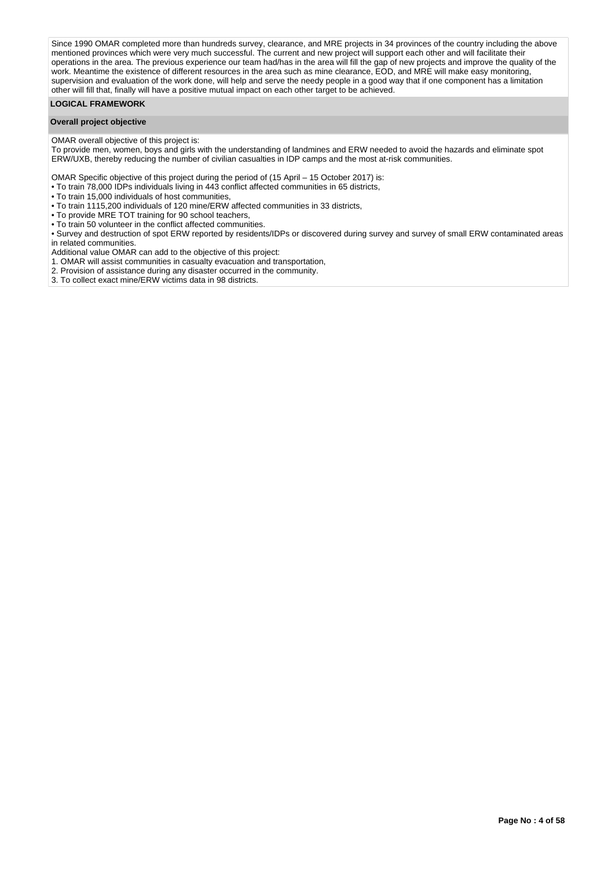Since 1990 OMAR completed more than hundreds survey, clearance, and MRE projects in 34 provinces of the country including the above mentioned provinces which were very much successful. The current and new project will support each other and will facilitate their operations in the area. The previous experience our team had/has in the area will fill the gap of new projects and improve the quality of the work. Meantime the existence of different resources in the area such as mine clearance, EOD, and MRE will make easy monitoring, supervision and evaluation of the work done, will help and serve the needy people in a good way that if one component has a limitation other will fill that, finally will have a positive mutual impact on each other target to be achieved.

### **LOGICAL FRAMEWORK**

### **Overall project objective**

OMAR overall objective of this project is:

To provide men, women, boys and girls with the understanding of landmines and ERW needed to avoid the hazards and eliminate spot ERW/UXB, thereby reducing the number of civilian casualties in IDP camps and the most at-risk communities.

OMAR Specific objective of this project during the period of (15 April – 15 October 2017) is:

- To train 78,000 IDPs individuals living in 443 conflict affected communities in 65 districts,
- To train 15,000 individuals of host communities,
- To train 1115,200 individuals of 120 mine/ERW affected communities in 33 districts,
- To provide MRE TOT training for 90 school teachers,
- To train 50 volunteer in the conflict affected communities.

• Survey and destruction of spot ERW reported by residents/IDPs or discovered during survey and survey of small ERW contaminated areas in related communities.

Additional value OMAR can add to the objective of this project:

1. OMAR will assist communities in casualty evacuation and transportation,

- 2. Provision of assistance during any disaster occurred in the community.
- 3. To collect exact mine/ERW victims data in 98 districts.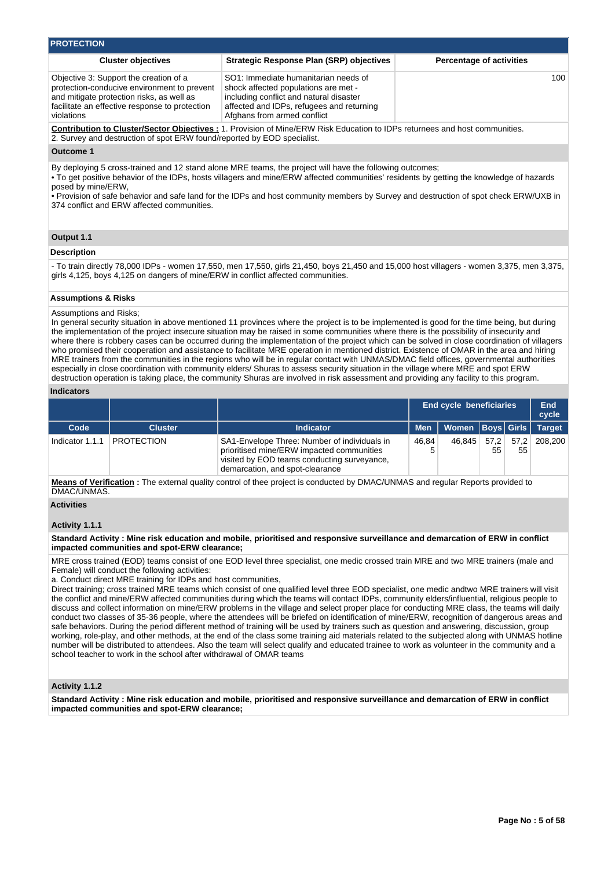| <b>PROTECTION</b>                                                                                                                                                                                  |                                                                                                                                                                                                     |                                 |
|----------------------------------------------------------------------------------------------------------------------------------------------------------------------------------------------------|-----------------------------------------------------------------------------------------------------------------------------------------------------------------------------------------------------|---------------------------------|
| <b>Cluster objectives</b>                                                                                                                                                                          | Strategic Response Plan (SRP) objectives                                                                                                                                                            | <b>Percentage of activities</b> |
| Objective 3: Support the creation of a<br>protection-conducive environment to prevent<br>and mitigate protection risks, as well as<br>facilitate an effective response to protection<br>violations | SO1: Immediate humanitarian needs of<br>shock affected populations are met -<br>including conflict and natural disaster<br>affected and IDPs, refugees and returning<br>Afghans from armed conflict | 100                             |
| 2. Survey and destruction of spot ERW found/reported by EOD specialist.                                                                                                                            | Contribution to Cluster/Sector Objectives : 1. Provision of Mine/ERW Risk Education to IDPs returnees and host communities.                                                                         |                                 |

#### **Outcome 1**

By deploying 5 cross-trained and 12 stand alone MRE teams, the project will have the following outcomes;

• To get positive behavior of the IDPs, hosts villagers and mine/ERW affected communities' residents by getting the knowledge of hazards posed by mine/ERW,

• Provision of safe behavior and safe land for the IDPs and host community members by Survey and destruction of spot check ERW/UXB in 374 conflict and ERW affected communities.

#### **Output 1.1**

# **Description**

- To train directly 78,000 IDPs - women 17,550, men 17,550, girls 21,450, boys 21,450 and 15,000 host villagers - women 3,375, men 3,375, girls 4,125, boys 4,125 on dangers of mine/ERW in conflict affected communities.

# **Assumptions & Risks**

#### Assumptions and Risks;

In general security situation in above mentioned 11 provinces where the project is to be implemented is good for the time being, but during the implementation of the project insecure situation may be raised in some communities where there is the possibility of insecurity and where there is robbery cases can be occurred during the implementation of the project which can be solved in close coordination of villagers who promised their cooperation and assistance to facilitate MRE operation in mentioned district. Existence of OMAR in the area and hiring MRE trainers from the communities in the regions who will be in regular contact with UNMAS/DMAC field offices, governmental authorities especially in close coordination with community elders/ Shuras to assess security situation in the village where MRE and spot ERW destruction operation is taking place, the community Shuras are involved in risk assessment and providing any facility to this program.

#### **Indicators**

|                 |                   | <b>End cycle beneficiaries</b>                                                                                                                                              |            |                      |            |    | End<br>cycle  |
|-----------------|-------------------|-----------------------------------------------------------------------------------------------------------------------------------------------------------------------------|------------|----------------------|------------|----|---------------|
| Code            | <b>Cluster</b>    | <b>Indicator</b>                                                                                                                                                            | <b>Men</b> | Women   Boys   Girls |            |    | <b>Target</b> |
| Indicator 1.1.1 | <b>PROTECTION</b> | SA1-Envelope Three: Number of individuals in<br>prioritised mine/ERW impacted communities<br>visited by EOD teams conducting surveyance,<br>demarcation, and spot-clearance | 46.84      | 46.845               | 57.2<br>55 | 55 | 57,2 208,200  |

**Means of Verification :** The external quality control of thee project is conducted by DMAC/UNMAS and regular Reports provided to DMAC/UNMAS.

#### **Activities**

#### **Activity 1.1.1**

**Standard Activity : Mine risk education and mobile, prioritised and responsive surveillance and demarcation of ERW in conflict impacted communities and spot-ERW clearance;**

MRE cross trained (EOD) teams consist of one EOD level three specialist, one medic crossed train MRE and two MRE trainers (male and Female) will conduct the following activities:

a. Conduct direct MRE training for IDPs and host communities,

Direct training; cross trained MRE teams which consist of one qualified level three EOD specialist, one medic andtwo MRE trainers will visit the conflict and mine/ERW affected communities during which the teams will contact IDPs, community elders/influential, religious people to discuss and collect information on mine/ERW problems in the village and select proper place for conducting MRE class, the teams will daily conduct two classes of 35-36 people, where the attendees will be briefed on identification of mine/ERW, recognition of dangerous areas and safe behaviors. During the period different method of training will be used by trainers such as question and answering, discussion, group working, role-play, and other methods, at the end of the class some training aid materials related to the subjected along with UNMAS hotline number will be distributed to attendees. Also the team will select qualify and educated trainee to work as volunteer in the community and a school teacher to work in the school after withdrawal of OMAR teams

# **Activity 1.1.2**

**Standard Activity : Mine risk education and mobile, prioritised and responsive surveillance and demarcation of ERW in conflict impacted communities and spot-ERW clearance;**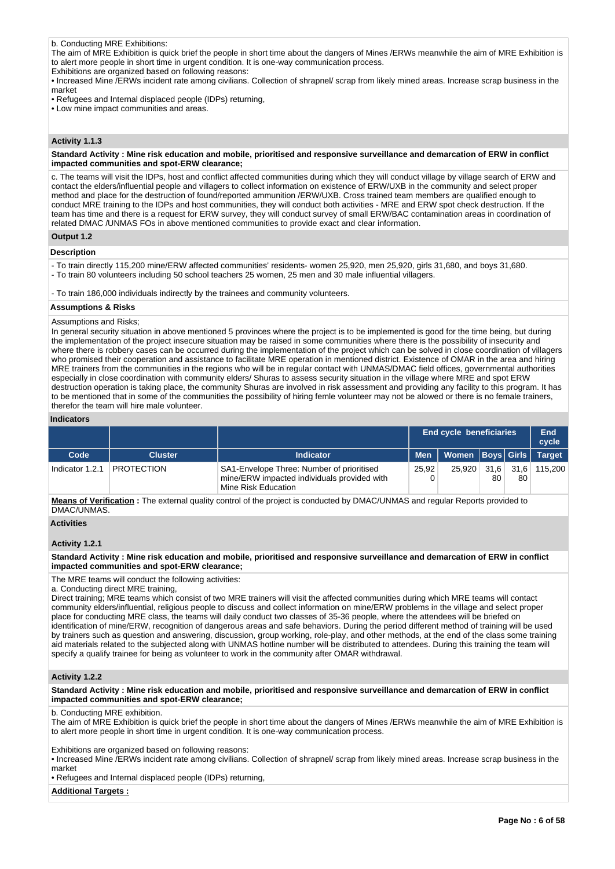# b. Conducting MRE Exhibitions:

The aim of MRE Exhibition is quick brief the people in short time about the dangers of Mines /ERWs meanwhile the aim of MRE Exhibition is to alert more people in short time in urgent condition. It is one-way communication process.

Exhibitions are organized based on following reasons:

• Increased Mine /ERWs incident rate among civilians. Collection of shrapnel/ scrap from likely mined areas. Increase scrap business in the market

• Refugees and Internal displaced people (IDPs) returning,

• Low mine impact communities and areas.

# **Activity 1.1.3**

#### **Standard Activity : Mine risk education and mobile, prioritised and responsive surveillance and demarcation of ERW in conflict impacted communities and spot-ERW clearance;**

c. The teams will visit the IDPs, host and conflict affected communities during which they will conduct village by village search of ERW and contact the elders/influential people and villagers to collect information on existence of ERW/UXB in the community and select proper method and place for the destruction of found/reported ammunition /ERW/UXB. Cross trained team members are qualified enough to conduct MRE training to the IDPs and host communities, they will conduct both activities - MRE and ERW spot check destruction. If the team has time and there is a request for ERW survey, they will conduct survey of small ERW/BAC contamination areas in coordination of related DMAC /UNMAS FOs in above mentioned communities to provide exact and clear information.

#### **Output 1.2**

#### **Description**

- To train directly 115,200 mine/ERW affected communities' residents- women 25,920, men 25,920, girls 31,680, and boys 31,680. - To train 80 volunteers including 50 school teachers 25 women, 25 men and 30 male influential villagers.
- 

- To train 186,000 individuals indirectly by the trainees and community volunteers.

#### **Assumptions & Risks**

#### Assumptions and Risks;

In general security situation in above mentioned 5 provinces where the project is to be implemented is good for the time being, but during the implementation of the project insecure situation may be raised in some communities where there is the possibility of insecurity and where there is robbery cases can be occurred during the implementation of the project which can be solved in close coordination of villagers who promised their cooperation and assistance to facilitate MRE operation in mentioned district. Existence of OMAR in the area and hiring MRE trainers from the communities in the regions who will be in regular contact with UNMAS/DMAC field offices, governmental authorities especially in close coordination with community elders/ Shuras to assess security situation in the village where MRE and spot ERW destruction operation is taking place, the community Shuras are involved in risk assessment and providing any facility to this program. It has to be mentioned that in some of the communities the possibility of hiring femle volunteer may not be alowed or there is no female trainers, therefor the team will hire male volunteer.

#### **Indicators**

|                 |                   | <b>End cycle beneficiaries</b>                                                                                  |       |                               |            |    | End<br>cycle |
|-----------------|-------------------|-----------------------------------------------------------------------------------------------------------------|-------|-------------------------------|------------|----|--------------|
| Code            | <b>Cluster</b>    | <b>Indicator</b>                                                                                                |       | Men   Women Boys Girls Target |            |    |              |
| Indicator 1.2.1 | <b>PROTECTION</b> | SA1-Envelope Three: Number of prioritised<br>mine/ERW impacted individuals provided with<br>Mine Risk Education | 25.92 | 25.920                        | 31.6<br>80 | 80 | 31.6 115.200 |

**Means of Verification :** The external quality control of the project is conducted by DMAC/UNMAS and regular Reports provided to DMAC/UNMAS.

#### **Activities**

#### **Activity 1.2.1**

#### **Standard Activity : Mine risk education and mobile, prioritised and responsive surveillance and demarcation of ERW in conflict impacted communities and spot-ERW clearance;**

The MRE teams will conduct the following activities:

a. Conducting direct MRE training,

Direct training; MRE teams which consist of two MRE trainers will visit the affected communities during which MRE teams will contact community elders/influential, religious people to discuss and collect information on mine/ERW problems in the village and select proper place for conducting MRE class, the teams will daily conduct two classes of 35-36 people, where the attendees will be briefed on identification of mine/ERW, recognition of dangerous areas and safe behaviors. During the period different method of training will be used by trainers such as question and answering, discussion, group working, role-play, and other methods, at the end of the class some training aid materials related to the subjected along with UNMAS hotline number will be distributed to attendees. During this training the team will specify a qualify trainee for being as volunteer to work in the community after OMAR withdrawal.

#### **Activity 1.2.2**

**Standard Activity : Mine risk education and mobile, prioritised and responsive surveillance and demarcation of ERW in conflict impacted communities and spot-ERW clearance;**

b. Conducting MRE exhibition.

The aim of MRE Exhibition is quick brief the people in short time about the dangers of Mines /ERWs meanwhile the aim of MRE Exhibition is to alert more people in short time in urgent condition. It is one-way communication process.

Exhibitions are organized based on following reasons:

• Increased Mine /ERWs incident rate among civilians. Collection of shrapnel/ scrap from likely mined areas. Increase scrap business in the market

• Refugees and Internal displaced people (IDPs) returning,

**Additional Targets :**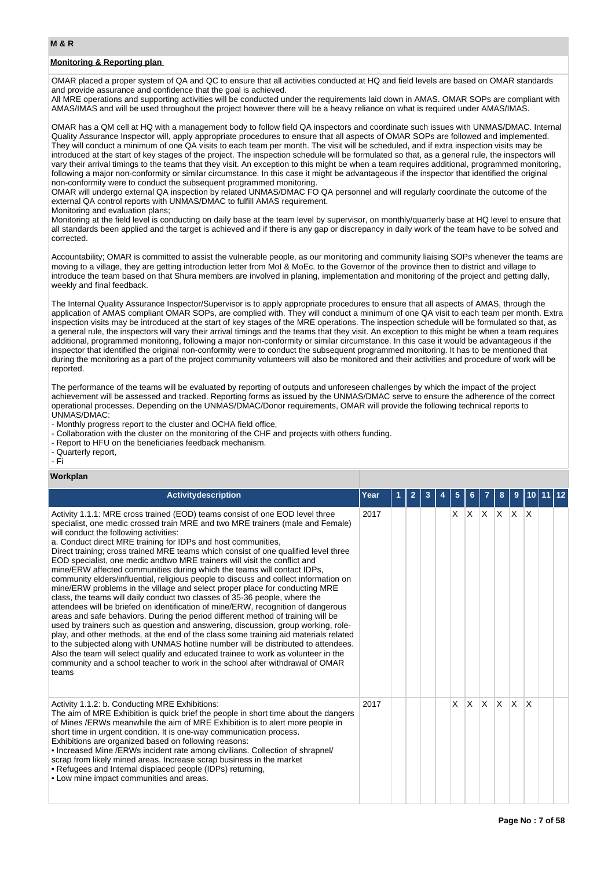# **M & R**

# **Monitoring & Reporting plan**

OMAR placed a proper system of QA and QC to ensure that all activities conducted at HQ and field levels are based on OMAR standards and provide assurance and confidence that the goal is achieved.

All MRE operations and supporting activities will be conducted under the requirements laid down in AMAS. OMAR SOPs are compliant with AMAS/IMAS and will be used throughout the project however there will be a heavy reliance on what is required under AMAS/IMAS.

OMAR has a QM cell at HQ with a management body to follow field QA inspectors and coordinate such issues with UNMAS/DMAC. Internal Quality Assurance Inspector will, apply appropriate procedures to ensure that all aspects of OMAR SOPs are followed and implemented. They will conduct a minimum of one QA visits to each team per month. The visit will be scheduled, and if extra inspection visits may be introduced at the start of key stages of the project. The inspection schedule will be formulated so that, as a general rule, the inspectors will vary their arrival timings to the teams that they visit. An exception to this might be when a team requires additional, programmed monitoring, following a major non-conformity or similar circumstance. In this case it might be advantageous if the inspector that identified the original non-conformity were to conduct the subsequent programmed monitoring.

OMAR will undergo external QA inspection by related UNMAS/DMAC FO QA personnel and will regularly coordinate the outcome of the external QA control reports with UNMAS/DMAC to fulfill AMAS requirement.

#### Monitoring and evaluation plans;

Monitoring at the field level is conducting on daily base at the team level by supervisor, on monthly/quarterly base at HQ level to ensure that all standards been applied and the target is achieved and if there is any gap or discrepancy in daily work of the team have to be solved and corrected.

Accountability; OMAR is committed to assist the vulnerable people, as our monitoring and community liaising SOPs whenever the teams are moving to a village, they are getting introduction letter from MoI & MoEc. to the Governor of the province then to district and village to introduce the team based on that Shura members are involved in planing, implementation and monitoring of the project and getting dally, weekly and final feedback.

The Internal Quality Assurance Inspector/Supervisor is to apply appropriate procedures to ensure that all aspects of AMAS, through the application of AMAS compliant OMAR SOPs, are complied with. They will conduct a minimum of one QA visit to each team per month. Extra inspection visits may be introduced at the start of key stages of the MRE operations. The inspection schedule will be formulated so that, as a general rule, the inspectors will vary their arrival timings and the teams that they visit. An exception to this might be when a team requires additional, programmed monitoring, following a major non-conformity or similar circumstance. In this case it would be advantageous if the inspector that identified the original non-conformity were to conduct the subsequent programmed monitoring. It has to be mentioned that during the monitoring as a part of the project community volunteers will also be monitored and their activities and procedure of work will be reported.

The performance of the teams will be evaluated by reporting of outputs and unforeseen challenges by which the impact of the project achievement will be assessed and tracked. Reporting forms as issued by the UNMAS/DMAC serve to ensure the adherence of the correct operational processes. Depending on the UNMAS/DMAC/Donor requirements, OMAR will provide the following technical reports to UNMAS/DMAC:

- Monthly progress report to the cluster and OCHA field office,

- Collaboration with the cluster on the monitoring of the CHF and projects with others funding.
- Report to HFU on the beneficiaries feedback mechanism.
- Quarterly report,

- Fi

#### **Workplan**

| <b>Activitydescription</b>                                                                                                                                                                                                                                                                                                                                                                                                                                                                                                                                                                                                                                                                                                                                                                                                                                                                                                                                                                                                                                                                                                                                                                                                                                                                                                                                                                                | Year | $\overline{2}$ | 3 | 5 |          |              | 8                       | 9        | 10           |  |
|-----------------------------------------------------------------------------------------------------------------------------------------------------------------------------------------------------------------------------------------------------------------------------------------------------------------------------------------------------------------------------------------------------------------------------------------------------------------------------------------------------------------------------------------------------------------------------------------------------------------------------------------------------------------------------------------------------------------------------------------------------------------------------------------------------------------------------------------------------------------------------------------------------------------------------------------------------------------------------------------------------------------------------------------------------------------------------------------------------------------------------------------------------------------------------------------------------------------------------------------------------------------------------------------------------------------------------------------------------------------------------------------------------------|------|----------------|---|---|----------|--------------|-------------------------|----------|--------------|--|
| Activity 1.1.1: MRE cross trained (EOD) teams consist of one EOD level three<br>specialist, one medic crossed train MRE and two MRE trainers (male and Female)<br>will conduct the following activities:<br>a. Conduct direct MRE training for IDPs and host communities,<br>Direct training; cross trained MRE teams which consist of one qualified level three<br>EOD specialist, one medic andtwo MRE trainers will visit the conflict and<br>mine/ERW affected communities during which the teams will contact IDPs,<br>community elders/influential, religious people to discuss and collect information on<br>mine/ERW problems in the village and select proper place for conducting MRE<br>class, the teams will daily conduct two classes of 35-36 people, where the<br>attendees will be briefed on identification of mine/ERW, recognition of dangerous<br>areas and safe behaviors. During the period different method of training will be<br>used by trainers such as question and answering, discussion, group working, role-<br>play, and other methods, at the end of the class some training aid materials related<br>to the subjected along with UNMAS hotline number will be distributed to attendees.<br>Also the team will select qualify and educated trainee to work as volunteer in the<br>community and a school teacher to work in the school after withdrawal of OMAR<br>teams | 2017 |                |   | X | <b>X</b> | $\mathsf{X}$ | $X$ $X$                 |          | ΙX           |  |
| Activity 1.1.2: b. Conducting MRE Exhibitions:<br>The aim of MRE Exhibition is quick brief the people in short time about the dangers<br>of Mines /ERWs meanwhile the aim of MRE Exhibition is to alert more people in<br>short time in urgent condition. It is one-way communication process.<br>Exhibitions are organized based on following reasons:<br>• Increased Mine /ERWs incident rate among civilians. Collection of shrapnel/<br>scrap from likely mined areas. Increase scrap business in the market<br>• Refugees and Internal displaced people (IDPs) returning,<br>• Low mine impact communities and areas.                                                                                                                                                                                                                                                                                                                                                                                                                                                                                                                                                                                                                                                                                                                                                                                | 2017 |                |   | X | <b>X</b> | <b>X</b>     | $\mathsf{I} \mathsf{X}$ | <b>X</b> | $\mathsf{x}$ |  |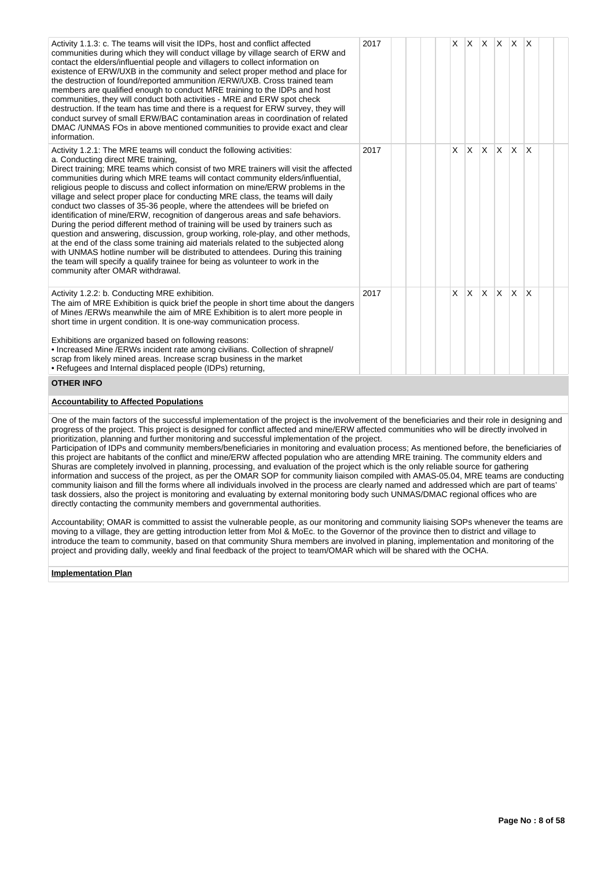| Activity 1.1.3: c. The teams will visit the IDPs, host and conflict affected<br>communities during which they will conduct village by village search of ERW and<br>contact the elders/influential people and villagers to collect information on<br>existence of ERW/UXB in the community and select proper method and place for<br>the destruction of found/reported ammunition /ERW/UXB. Cross trained team<br>members are qualified enough to conduct MRE training to the IDPs and host<br>communities, they will conduct both activities - MRE and ERW spot check<br>destruction. If the team has time and there is a request for ERW survey, they will<br>conduct survey of small ERW/BAC contamination areas in coordination of related<br>DMAC /UNMAS FOs in above mentioned communities to provide exact and clear<br>information.                                                                                                                                                                                                                                                                                                                                                                                                                                                                                                                                                                                                                                     | 2017 |  |  | X |   | $X \mid X \mid X \mid X$ |    |              | $\mathsf{I}\mathsf{X}$ |  |
|--------------------------------------------------------------------------------------------------------------------------------------------------------------------------------------------------------------------------------------------------------------------------------------------------------------------------------------------------------------------------------------------------------------------------------------------------------------------------------------------------------------------------------------------------------------------------------------------------------------------------------------------------------------------------------------------------------------------------------------------------------------------------------------------------------------------------------------------------------------------------------------------------------------------------------------------------------------------------------------------------------------------------------------------------------------------------------------------------------------------------------------------------------------------------------------------------------------------------------------------------------------------------------------------------------------------------------------------------------------------------------------------------------------------------------------------------------------------------------|------|--|--|---|---|--------------------------|----|--------------|------------------------|--|
| Activity 1.2.1: The MRE teams will conduct the following activities:<br>a. Conducting direct MRE training,<br>Direct training; MRE teams which consist of two MRE trainers will visit the affected<br>communities during which MRE teams will contact community elders/influential,<br>religious people to discuss and collect information on mine/ERW problems in the<br>village and select proper place for conducting MRE class, the teams will daily<br>conduct two classes of 35-36 people, where the attendees will be briefed on<br>identification of mine/ERW, recognition of dangerous areas and safe behaviors.<br>During the period different method of training will be used by trainers such as<br>question and answering, discussion, group working, role-play, and other methods,<br>at the end of the class some training aid materials related to the subjected along<br>with UNMAS hotline number will be distributed to attendees. During this training<br>the team will specify a qualify trainee for being as volunteer to work in the<br>community after OMAR withdrawal.                                                                                                                                                                                                                                                                                                                                                                                | 2017 |  |  | X | X | X                        | X  | $\mathsf{X}$ | X                      |  |
| Activity 1.2.2: b. Conducting MRE exhibition.<br>The aim of MRE Exhibition is quick brief the people in short time about the dangers<br>of Mines /ERWs meanwhile the aim of MRE Exhibition is to alert more people in<br>short time in urgent condition. It is one-way communication process.<br>Exhibitions are organized based on following reasons:                                                                                                                                                                                                                                                                                                                                                                                                                                                                                                                                                                                                                                                                                                                                                                                                                                                                                                                                                                                                                                                                                                                         | 2017 |  |  | X | X | X.                       | X. | <b>X</b>     | X                      |  |
| • Increased Mine /ERWs incident rate among civilians. Collection of shrapnel/<br>scrap from likely mined areas. Increase scrap business in the market<br>• Refugees and Internal displaced people (IDPs) returning,                                                                                                                                                                                                                                                                                                                                                                                                                                                                                                                                                                                                                                                                                                                                                                                                                                                                                                                                                                                                                                                                                                                                                                                                                                                            |      |  |  |   |   |                          |    |              |                        |  |
| <b>OTHER INFO</b>                                                                                                                                                                                                                                                                                                                                                                                                                                                                                                                                                                                                                                                                                                                                                                                                                                                                                                                                                                                                                                                                                                                                                                                                                                                                                                                                                                                                                                                              |      |  |  |   |   |                          |    |              |                        |  |
| <b>Accountability to Affected Populations</b>                                                                                                                                                                                                                                                                                                                                                                                                                                                                                                                                                                                                                                                                                                                                                                                                                                                                                                                                                                                                                                                                                                                                                                                                                                                                                                                                                                                                                                  |      |  |  |   |   |                          |    |              |                        |  |
| One of the main factors of the successful implementation of the project is the involvement of the beneficiaries and their role in designing and<br>progress of the project. This project is designed for conflict affected and mine/ERW affected communities who will be directly involved in<br>prioritization, planning and further monitoring and successful implementation of the project.<br>Participation of IDPs and community members/beneficiaries in monitoring and evaluation process; As mentioned before, the beneficiaries of<br>this project are habitants of the conflict and mine/ERW affected population who are attending MRE training. The community elders and<br>Shuras are completely involved in planning, processing, and evaluation of the project which is the only reliable source for gathering<br>information and success of the project, as per the OMAR SOP for community liaison compiled with AMAS-05.04, MRE teams are conducting<br>community liaison and fill the forms where all individuals involved in the process are clearly named and addressed which are part of teams'<br>task dossiers, also the project is monitoring and evaluating by external monitoring body such UNMAS/DMAC regional offices who are<br>directly contacting the community members and governmental authorities.<br>Accountability; OMAR is committed to assist the vulnerable people, as our monitoring and community liaising SOPs whenever the teams are |      |  |  |   |   |                          |    |              |                        |  |
| moving to a village, they are getting introduction letter from Mol & MoEc. to the Governor of the province then to district and village to<br>introduce the team to community, based on that community Shura members are involved in planing, implementation and monitoring of the                                                                                                                                                                                                                                                                                                                                                                                                                                                                                                                                                                                                                                                                                                                                                                                                                                                                                                                                                                                                                                                                                                                                                                                             |      |  |  |   |   |                          |    |              |                        |  |

project and providing dally, weekly and final feedback of the project to team/OMAR which will be shared with the OCHA.

# **Implementation Plan**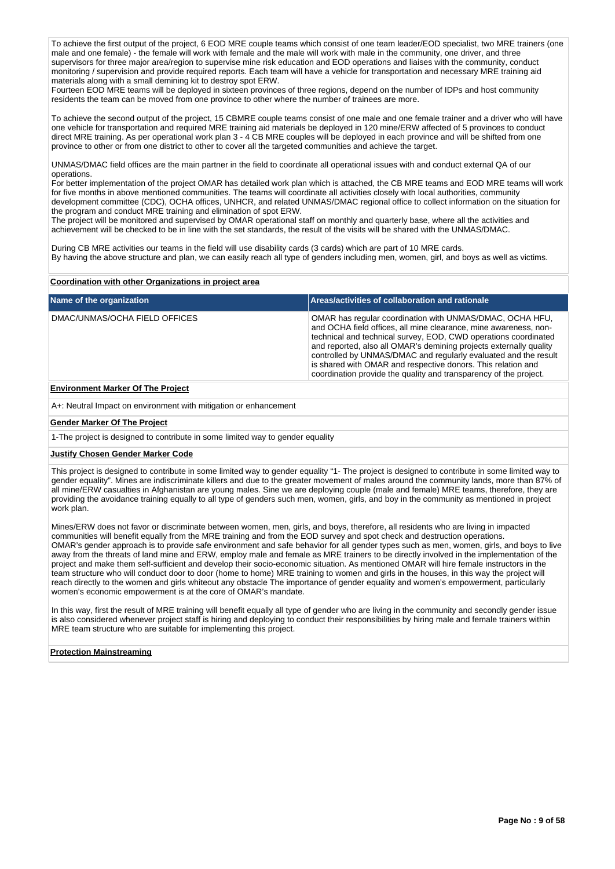To achieve the first output of the project, 6 EOD MRE couple teams which consist of one team leader/EOD specialist, two MRE trainers (one male and one female) - the female will work with female and the male will work with male in the community, one driver, and three supervisors for three major area/region to supervise mine risk education and EOD operations and liaises with the community, conduct monitoring / supervision and provide required reports. Each team will have a vehicle for transportation and necessary MRE training aid materials along with a small demining kit to destroy spot ERW.

Fourteen EOD MRE teams will be deployed in sixteen provinces of three regions, depend on the number of IDPs and host community residents the team can be moved from one province to other where the number of trainees are more.

To achieve the second output of the project, 15 CBMRE couple teams consist of one male and one female trainer and a driver who will have one vehicle for transportation and required MRE training aid materials be deployed in 120 mine/ERW affected of 5 provinces to conduct direct MRE training. As per operational work plan 3 - 4 CB MRE couples will be deployed in each province and will be shifted from one province to other or from one district to other to cover all the targeted communities and achieve the target.

UNMAS/DMAC field offices are the main partner in the field to coordinate all operational issues with and conduct external QA of our operations.

For better implementation of the project OMAR has detailed work plan which is attached, the CB MRE teams and EOD MRE teams will work for five months in above mentioned communities. The teams will coordinate all activities closely with local authorities, community development committee (CDC), OCHA offices, UNHCR, and related UNMAS/DMAC regional office to collect information on the situation for the program and conduct MRE training and elimination of spot ERW.

The project will be monitored and supervised by OMAR operational staff on monthly and quarterly base, where all the activities and achievement will be checked to be in line with the set standards, the result of the visits will be shared with the UNMAS/DMAC.

During CB MRE activities our teams in the field will use disability cards (3 cards) which are part of 10 MRE cards. By having the above structure and plan, we can easily reach all type of genders including men, women, girl, and boys as well as victims.

#### **Coordination with other Organizations in project area**

| Name of the organization      | <b>Areas/activities of collaboration and rationale</b>                                                                                                                                                                                                                                                                                                                                                                                                                        |
|-------------------------------|-------------------------------------------------------------------------------------------------------------------------------------------------------------------------------------------------------------------------------------------------------------------------------------------------------------------------------------------------------------------------------------------------------------------------------------------------------------------------------|
| DMAC/UNMAS/OCHA FIELD OFFICES | OMAR has regular coordination with UNMAS/DMAC, OCHA HFU,<br>and OCHA field offices, all mine clearance, mine awareness, non-<br>technical and technical survey, EOD, CWD operations coordinated<br>and reported, also all OMAR's demining projects externally quality<br>controlled by UNMAS/DMAC and regularly evaluated and the result<br>is shared with OMAR and respective donors. This relation and<br>coordination provide the quality and transparency of the project. |

# **Environment Marker Of The Project**

A+: Neutral Impact on environment with mitigation or enhancement

#### **Gender Marker Of The Project**

1-The project is designed to contribute in some limited way to gender equality

#### **Justify Chosen Gender Marker Code**

This project is designed to contribute in some limited way to gender equality "1- The project is designed to contribute in some limited way to gender equality". Mines are indiscriminate killers and due to the greater movement of males around the community lands, more than 87% of all mine/ERW casualties in Afghanistan are young males. Sine we are deploying couple (male and female) MRE teams, therefore, they are providing the avoidance training equally to all type of genders such men, women, girls, and boy in the community as mentioned in project work plan.

Mines/ERW does not favor or discriminate between women, men, girls, and boys, therefore, all residents who are living in impacted communities will benefit equally from the MRE training and from the EOD survey and spot check and destruction operations. OMAR's gender approach is to provide safe environment and safe behavior for all gender types such as men, women, girls, and boys to live away from the threats of land mine and ERW, employ male and female as MRE trainers to be directly involved in the implementation of the project and make them self-sufficient and develop their socio-economic situation. As mentioned OMAR will hire female instructors in the team structure who will conduct door to door (home to home) MRE training to women and girls in the houses, in this way the project will reach directly to the women and girls whiteout any obstacle The importance of gender equality and women's empowerment, particularly women's economic empowerment is at the core of OMAR's mandate.

In this way, first the result of MRE training will benefit equally all type of gender who are living in the community and secondly gender issue is also considered whenever project staff is hiring and deploying to conduct their responsibilities by hiring male and female trainers within MRE team structure who are suitable for implementing this project.

#### **Protection Mainstreaming**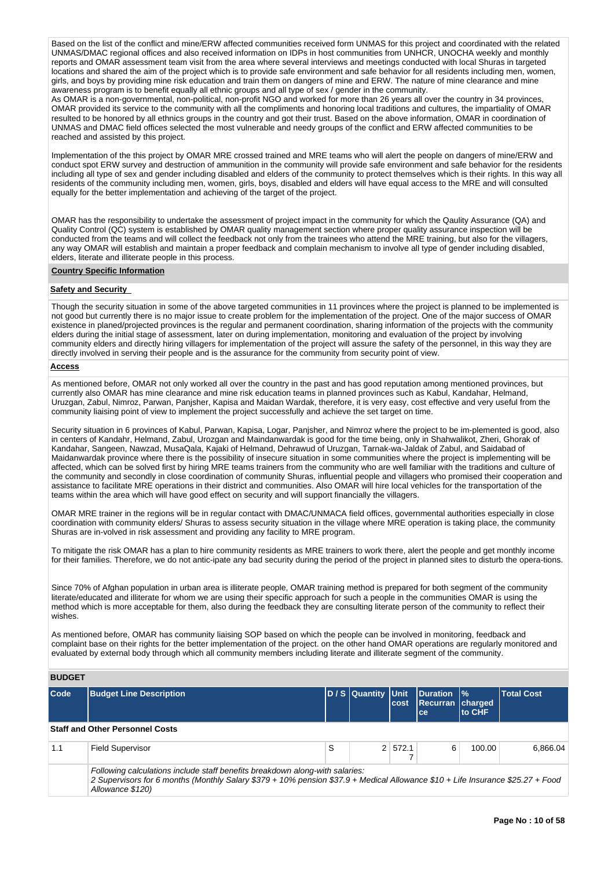Based on the list of the conflict and mine/ERW affected communities received form UNMAS for this project and coordinated with the related UNMAS/DMAC regional offices and also received information on IDPs in host communities from UNHCR, UNOCHA weekly and monthly reports and OMAR assessment team visit from the area where several interviews and meetings conducted with local Shuras in targeted locations and shared the aim of the project which is to provide safe environment and safe behavior for all residents including men, women, girls, and boys by providing mine risk education and train them on dangers of mine and ERW. The nature of mine clearance and mine awareness program is to benefit equally all ethnic groups and all type of sex / gender in the community.

As OMAR is a non-governmental, non-political, non-profit NGO and worked for more than 26 years all over the country in 34 provinces, OMAR provided its service to the community with all the compliments and honoring local traditions and cultures, the impartiality of OMAR resulted to be honored by all ethnics groups in the country and got their trust. Based on the above information, OMAR in coordination of UNMAS and DMAC field offices selected the most vulnerable and needy groups of the conflict and ERW affected communities to be reached and assisted by this project.

Implementation of the this project by OMAR MRE crossed trained and MRE teams who will alert the people on dangers of mine/ERW and conduct spot ERW survey and destruction of ammunition in the community will provide safe environment and safe behavior for the residents including all type of sex and gender including disabled and elders of the community to protect themselves which is their rights. In this way all residents of the community including men, women, girls, boys, disabled and elders will have equal access to the MRE and will consulted equally for the better implementation and achieving of the target of the project.

OMAR has the responsibility to undertake the assessment of project impact in the community for which the Qaulity Assurance (QA) and Quality Control (QC) system is established by OMAR quality management section where proper quality assurance inspection will be conducted from the teams and will collect the feedback not only from the trainees who attend the MRE training, but also for the villagers, any way OMAR will establish and maintain a proper feedback and complain mechanism to involve all type of gender including disabled, elders, literate and illiterate people in this process.

#### **Country Specific Information**

#### **Safety and Security**

Though the security situation in some of the above targeted communities in 11 provinces where the project is planned to be implemented is not good but currently there is no major issue to create problem for the implementation of the project. One of the major success of OMAR existence in planed/projected provinces is the regular and permanent coordination, sharing information of the projects with the community elders during the initial stage of assessment, later on during implementation, monitoring and evaluation of the project by involving community elders and directly hiring villagers for implementation of the project will assure the safety of the personnel, in this way they are directly involved in serving their people and is the assurance for the community from security point of view.

### **Access**

As mentioned before, OMAR not only worked all over the country in the past and has good reputation among mentioned provinces, but currently also OMAR has mine clearance and mine risk education teams in planned provinces such as Kabul, Kandahar, Helmand, Uruzgan, Zabul, Nimroz, Parwan, Panjsher, Kapisa and Maidan Wardak, therefore, it is very easy, cost effective and very useful from the community liaising point of view to implement the project successfully and achieve the set target on time.

Security situation in 6 provinces of Kabul, Parwan, Kapisa, Logar, Panjsher, and Nimroz where the project to be im-plemented is good, also in centers of Kandahr, Helmand, Zabul, Urozgan and Maindanwardak is good for the time being, only in Shahwalikot, Zheri, Ghorak of Kandahar, Sangeen, Nawzad, MusaQala, Kajaki of Helmand, Dehrawud of Uruzgan, Tarnak-wa-Jaldak of Zabul, and Saidabad of Maidanwardak province where there is the possibility of insecure situation in some communities where the project is implementing will be affected, which can be solved first by hiring MRE teams trainers from the community who are well familiar with the traditions and culture of the community and secondly in close coordination of community Shuras, influential people and villagers who promised their cooperation and assistance to facilitate MRE operations in their district and communities. Also OMAR will hire local vehicles for the transportation of the teams within the area which will have good effect on security and will support financially the villagers.

OMAR MRE trainer in the regions will be in regular contact with DMAC/UNMACA field offices, governmental authorities especially in close coordination with community elders/ Shuras to assess security situation in the village where MRE operation is taking place, the community Shuras are in-volved in risk assessment and providing any facility to MRE program.

To mitigate the risk OMAR has a plan to hire community residents as MRE trainers to work there, alert the people and get monthly income for their families. Therefore, we do not antic-ipate any bad security during the period of the project in planned sites to disturb the opera-tions.

Since 70% of Afghan population in urban area is illiterate people, OMAR training method is prepared for both segment of the community literate/educated and illiterate for whom we are using their specific approach for such a people in the communities OMAR is using the method which is more acceptable for them, also during the feedback they are consulting literate person of the community to reflect their wishes.

As mentioned before, OMAR has community liaising SOP based on which the people can be involved in monitoring, feedback and complaint base on their rights for the better implementation of the project. on the other hand OMAR operations are regularly monitored and evaluated by external body through which all community members including literate and illiterate segment of the community.

# **BUDGET**

Allowance \$120)

| Code | <b>Budget Line Description</b>                                                                                                                                                                                 |   | D / S Quantity Unit | cost    | <b>Duration  %</b><br>Recurran charged<br><b>ce</b> | <b>to CHF</b> | <b>Total Cost</b> |
|------|----------------------------------------------------------------------------------------------------------------------------------------------------------------------------------------------------------------|---|---------------------|---------|-----------------------------------------------------|---------------|-------------------|
|      | <b>Staff and Other Personnel Costs</b>                                                                                                                                                                         |   |                     |         |                                                     |               |                   |
| 1.1  | <b>Field Supervisor</b>                                                                                                                                                                                        | S |                     | 2 572.1 | 6                                                   | 100.00        | 6.866.04          |
|      | Following calculations include staff benefits breakdown along-with salaries:<br>2 Supervisors for 6 months (Monthly Salary \$379 + 10% pension \$37.9 + Medical Allowance \$10 + Life Insurance \$25.27 + Food |   |                     |         |                                                     |               |                   |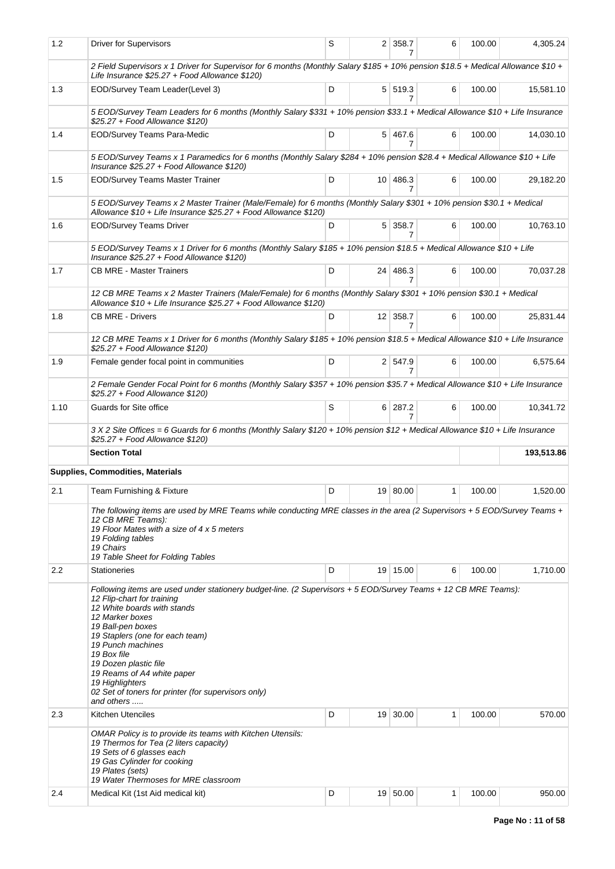| 1.2  | <b>Driver for Supervisors</b>                                                                                                                                                                                                                                                                                                                                                                                                             | S |                 | 2 358.7<br>7   | 6 | 100.00 | 4,305.24   |
|------|-------------------------------------------------------------------------------------------------------------------------------------------------------------------------------------------------------------------------------------------------------------------------------------------------------------------------------------------------------------------------------------------------------------------------------------------|---|-----------------|----------------|---|--------|------------|
|      | 2 Field Supervisors x 1 Driver for Supervisor for 6 months (Monthly Salary \$185 + 10% pension \$18.5 + Medical Allowance \$10 +<br>Life Insurance \$25.27 + Food Allowance \$120)                                                                                                                                                                                                                                                        |   |                 |                |   |        |            |
| 1.3  | EOD/Survey Team Leader(Level 3)                                                                                                                                                                                                                                                                                                                                                                                                           | D |                 | 5 519.3<br>7   | 6 | 100.00 | 15,581.10  |
|      | 5 EOD/Survey Team Leaders for 6 months (Monthly Salary \$331 + 10% pension \$33.1 + Medical Allowance \$10 + Life Insurance<br>\$25.27 + Food Allowance \$120)                                                                                                                                                                                                                                                                            |   |                 |                |   |        |            |
| 1.4  | <b>EOD/Survey Teams Para-Medic</b>                                                                                                                                                                                                                                                                                                                                                                                                        | D |                 | $5 \mid 467.6$ | 6 | 100.00 | 14,030.10  |
|      | 5 EOD/Survey Teams x 1 Paramedics for 6 months (Monthly Salary \$284 + 10% pension \$28.4 + Medical Allowance \$10 + Life<br>Insurance \$25.27 + Food Allowance \$120)                                                                                                                                                                                                                                                                    |   |                 |                |   |        |            |
| 1.5  | <b>EOD/Survey Teams Master Trainer</b>                                                                                                                                                                                                                                                                                                                                                                                                    | D | 10 <sup>1</sup> | 486.3<br>7     | 6 | 100.00 | 29.182.20  |
|      | 5 EOD/Survey Teams x 2 Master Trainer (Male/Female) for 6 months (Monthly Salary \$301 + 10% pension \$30.1 + Medical<br>Allowance \$10 + Life Insurance \$25.27 + Food Allowance \$120)                                                                                                                                                                                                                                                  |   |                 |                |   |        |            |
| 1.6  | <b>EOD/Survey Teams Driver</b>                                                                                                                                                                                                                                                                                                                                                                                                            | D |                 | 5 358.7<br>7   | 6 | 100.00 | 10,763.10  |
|      | 5 EOD/Survey Teams x 1 Driver for 6 months (Monthly Salary \$185 + 10% pension \$18.5 + Medical Allowance \$10 + Life<br>Insurance \$25.27 + Food Allowance \$120)                                                                                                                                                                                                                                                                        |   |                 |                |   |        |            |
| 1.7  | <b>CB MRE - Master Trainers</b>                                                                                                                                                                                                                                                                                                                                                                                                           | D | 24 <sup>1</sup> | 486.3<br>7     | 6 | 100.00 | 70,037.28  |
|      | 12 CB MRE Teams x 2 Master Trainers (Male/Female) for 6 months (Monthly Salary \$301 + 10% pension \$30.1 + Medical<br>Allowance \$10 + Life Insurance \$25.27 + Food Allowance \$120)                                                                                                                                                                                                                                                    |   |                 |                |   |        |            |
| 1.8  | <b>CB MRE - Drivers</b>                                                                                                                                                                                                                                                                                                                                                                                                                   | D |                 | 12 358.7<br>7  | 6 | 100.00 | 25,831.44  |
|      | 12 CB MRE Teams x 1 Driver for 6 months (Monthly Salary \$185 + 10% pension \$18.5 + Medical Allowance \$10 + Life Insurance<br>\$25.27 + Food Allowance \$120)                                                                                                                                                                                                                                                                           |   |                 |                |   |        |            |
| 1.9  | Female gender focal point in communities                                                                                                                                                                                                                                                                                                                                                                                                  | D |                 | 2 547.9<br>7   | 6 | 100.00 | 6,575.64   |
|      | 2 Female Gender Focal Point for 6 months (Monthly Salary \$357 + 10% pension \$35.7 + Medical Allowance \$10 + Life Insurance<br>\$25.27 + Food Allowance \$120)                                                                                                                                                                                                                                                                          |   |                 |                |   |        |            |
|      |                                                                                                                                                                                                                                                                                                                                                                                                                                           |   |                 |                | 6 | 100.00 |            |
| 1.10 | Guards for Site office                                                                                                                                                                                                                                                                                                                                                                                                                    | S |                 | 6 287.2        |   |        | 10,341.72  |
|      | 3 X 2 Site Offices = 6 Guards for 6 months (Monthly Salary \$120 + 10% pension \$12 + Medical Allowance \$10 + Life Insurance<br>\$25.27 + Food Allowance \$120)                                                                                                                                                                                                                                                                          |   |                 |                |   |        |            |
|      | <b>Section Total</b>                                                                                                                                                                                                                                                                                                                                                                                                                      |   |                 |                |   |        | 193,513.86 |
|      | <b>Supplies, Commodities, Materials</b>                                                                                                                                                                                                                                                                                                                                                                                                   |   |                 |                |   |        |            |
| 2.1  | Team Furnishing & Fixture                                                                                                                                                                                                                                                                                                                                                                                                                 | D |                 | 19 80.00       | 1 | 100.00 | 1,520.00   |
|      | The following items are used by MRE Teams while conducting MRE classes in the area (2 Supervisors + 5 EOD/Survey Teams +<br>12 CB MRE Teams):<br>19 Floor Mates with a size of 4 x 5 meters<br>19 Folding tables<br>19 Chairs<br>19 Table Sheet for Folding Tables                                                                                                                                                                        |   |                 |                |   |        |            |
| 2.2  | <b>Stationeries</b>                                                                                                                                                                                                                                                                                                                                                                                                                       | D |                 | 19 15.00       | 6 | 100.00 | 1,710.00   |
|      | Following items are used under stationery budget-line. (2 Supervisors + 5 EOD/Survey Teams + 12 CB MRE Teams):<br>12 Flip-chart for training<br>12 White boards with stands<br>12 Marker boxes<br>19 Ball-pen boxes<br>19 Staplers (one for each team)<br>19 Punch machines<br>19 Box file<br>19 Dozen plastic file<br>19 Reams of A4 white paper<br>19 Highlighters<br>02 Set of toners for printer (for supervisors only)<br>and others |   |                 |                |   |        |            |
| 2.3  | <b>Kitchen Utenciles</b>                                                                                                                                                                                                                                                                                                                                                                                                                  | D | 19 <sup>1</sup> | 30.00          | 1 | 100.00 | 570.00     |
|      | OMAR Policy is to provide its teams with Kitchen Utensils:<br>19 Thermos for Tea (2 liters capacity)<br>19 Sets of 6 glasses each<br>19 Gas Cylinder for cooking<br>19 Plates (sets)<br>19 Water Thermoses for MRE classroom                                                                                                                                                                                                              |   |                 | 19 50.00       |   | 100.00 |            |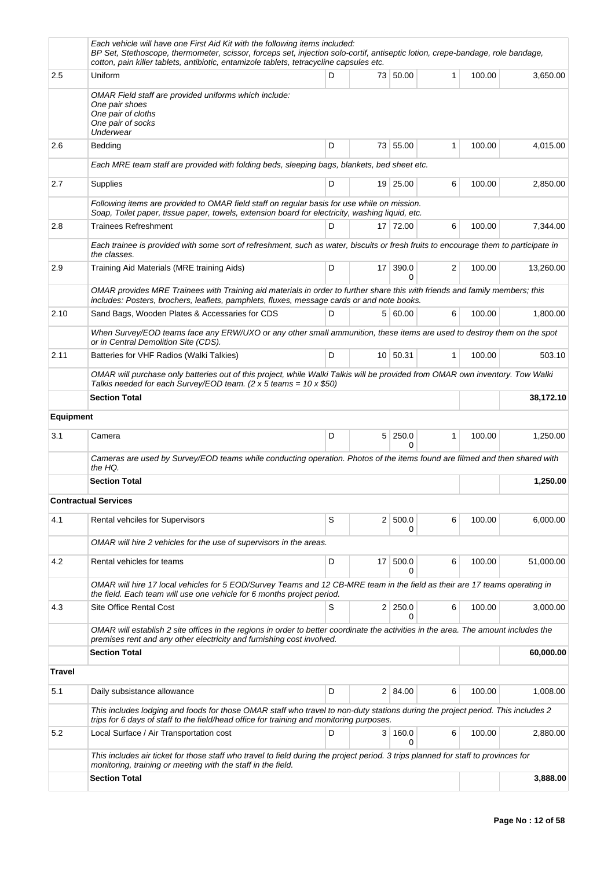|                  | Each vehicle will have one First Aid Kit with the following items included:<br>BP Set, Stethoscope, thermometer, scissor, forceps set, injection solo-cortif, antiseptic lotion, crepe-bandage, role bandage,<br>cotton, pain killer tablets, antibiotic, entamizole tablets, tetracycline capsules etc. |   |                 |                            |              |        |           |
|------------------|----------------------------------------------------------------------------------------------------------------------------------------------------------------------------------------------------------------------------------------------------------------------------------------------------------|---|-----------------|----------------------------|--------------|--------|-----------|
| 2.5              | Uniform                                                                                                                                                                                                                                                                                                  | D |                 | 73 50.00                   | $\mathbf{1}$ | 100.00 | 3,650.00  |
|                  | OMAR Field staff are provided uniforms which include:<br>One pair shoes<br>One pair of cloths<br>One pair of socks<br>Underwear                                                                                                                                                                          |   |                 |                            |              |        |           |
| 2.6              | Bedding                                                                                                                                                                                                                                                                                                  | D |                 | 73 55.00                   | 1            | 100.00 | 4,015.00  |
|                  | Each MRE team staff are provided with folding beds, sleeping bags, blankets, bed sheet etc.                                                                                                                                                                                                              |   |                 |                            |              |        |           |
| 2.7              | Supplies                                                                                                                                                                                                                                                                                                 | D |                 | 19 25.00                   | 6            | 100.00 | 2,850.00  |
|                  | Following items are provided to OMAR field staff on regular basis for use while on mission.<br>Soap, Toilet paper, tissue paper, towels, extension board for electricity, washing liquid, etc.                                                                                                           |   |                 |                            |              |        |           |
| 2.8              | <b>Trainees Refreshment</b>                                                                                                                                                                                                                                                                              | D |                 | 17 72.00                   | 6            | 100.00 | 7,344.00  |
|                  | Each trainee is provided with some sort of refreshment, such as water, biscuits or fresh fruits to encourage them to participate in<br>the classes.                                                                                                                                                      |   |                 |                            |              |        |           |
| 2.9              | Training Aid Materials (MRE training Aids)                                                                                                                                                                                                                                                               | D | 17 <sup>1</sup> | 390.0<br>0                 | 2            | 100.00 | 13,260.00 |
|                  | OMAR provides MRE Trainees with Training aid materials in order to further share this with friends and family members; this<br>includes: Posters, brochers, leaflets, pamphlets, fluxes, message cards or and note books.                                                                                |   |                 |                            |              |        |           |
| 2.10             | Sand Bags, Wooden Plates & Accessaries for CDS                                                                                                                                                                                                                                                           | D |                 | 5 60.00                    | 6            | 100.00 | 1,800.00  |
|                  | When Survey/EOD teams face any ERW/UXO or any other small ammunition, these items are used to destroy them on the spot<br>or in Central Demolition Site (CDS).                                                                                                                                           |   |                 |                            |              |        |           |
| 2.11             | Batteries for VHF Radios (Walki Talkies)                                                                                                                                                                                                                                                                 | D |                 | 10   50.31                 | $\mathbf{1}$ | 100.00 | 503.10    |
|                  | OMAR will purchase only batteries out of this project, while Walki Talkis will be provided from OMAR own inventory. Tow Walki<br>Talkis needed for each Survey/EOD team. (2 x 5 teams = $10 \times $50$ )                                                                                                |   |                 |                            |              |        |           |
|                  | <b>Section Total</b>                                                                                                                                                                                                                                                                                     |   |                 |                            |              |        | 38,172.10 |
| <b>Equipment</b> |                                                                                                                                                                                                                                                                                                          |   |                 |                            |              |        |           |
| 3.1              | Camera                                                                                                                                                                                                                                                                                                   | D |                 | $5 \mid 250.0$<br>$\Omega$ | 1            | 100.00 | 1,250.00  |
|                  | Cameras are used by Survey/EOD teams while conducting operation. Photos of the items found are filmed and then shared with<br>the HQ.                                                                                                                                                                    |   |                 |                            |              |        |           |
|                  | <b>Section Total</b>                                                                                                                                                                                                                                                                                     |   |                 |                            |              |        | 1,250.00  |
|                  | <b>Contractual Services</b>                                                                                                                                                                                                                                                                              |   |                 |                            |              |        |           |
| 4.1              | Rental vehciles for Supervisors                                                                                                                                                                                                                                                                          | S | 2 <sup>1</sup>  | 500.0<br>0                 | 6            | 100.00 | 6,000.00  |
|                  | OMAR will hire 2 vehicles for the use of supervisors in the areas.                                                                                                                                                                                                                                       |   |                 |                            |              |        |           |
| 4.2              | Rental vehicles for teams                                                                                                                                                                                                                                                                                | D | 17              | 500.0<br>0                 | 6            | 100.00 | 51,000.00 |
|                  | OMAR will hire 17 local vehicles for 5 EOD/Survey Teams and 12 CB-MRE team in the field as their are 17 teams operating in<br>the field. Each team will use one vehicle for 6 months project period.                                                                                                     |   |                 |                            |              |        |           |
| 4.3              | Site Office Rental Cost                                                                                                                                                                                                                                                                                  | S |                 | 2 250.0<br>0               | 6            | 100.00 | 3,000.00  |
|                  | OMAR will establish 2 site offices in the regions in order to better coordinate the activities in the area. The amount includes the<br>premises rent and any other electricity and furnishing cost involved.                                                                                             |   |                 |                            |              |        |           |
|                  | <b>Section Total</b>                                                                                                                                                                                                                                                                                     |   |                 |                            |              |        | 60,000.00 |
| <b>Travel</b>    |                                                                                                                                                                                                                                                                                                          |   |                 |                            |              |        |           |
| 5.1              | Daily subsistance allowance                                                                                                                                                                                                                                                                              | D |                 | 2 84.00                    | 6            | 100.00 | 1,008.00  |
|                  | This includes lodging and foods for those OMAR staff who travel to non-duty stations during the project period. This includes 2<br>trips for 6 days of staff to the field/head office for training and monitoring purposes.                                                                              |   |                 |                            |              |        |           |
| 5.2              | Local Surface / Air Transportation cost                                                                                                                                                                                                                                                                  | D |                 | 3 160.0<br>0               | 6            | 100.00 | 2,880.00  |
|                  | This includes air ticket for those staff who travel to field during the project period. 3 trips planned for staff to provinces for<br>monitoring, training or meeting with the staff in the field.                                                                                                       |   |                 |                            |              |        |           |
|                  | <b>Section Total</b>                                                                                                                                                                                                                                                                                     |   |                 |                            |              |        | 3,888.00  |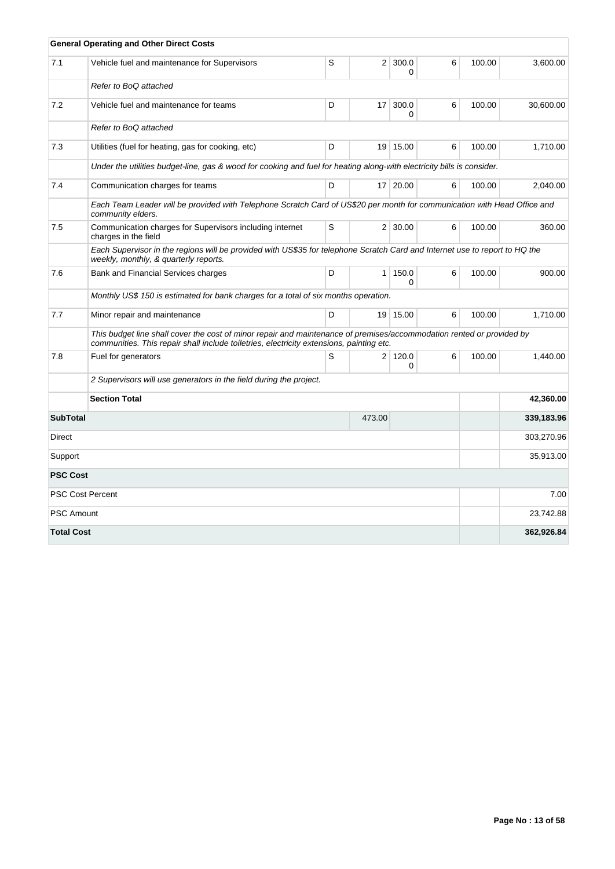|                   | <b>General Operating and Other Direct Costs</b>                                                                                                                                                                   |   |                |                     |   |        |            |
|-------------------|-------------------------------------------------------------------------------------------------------------------------------------------------------------------------------------------------------------------|---|----------------|---------------------|---|--------|------------|
| 7.1               | Vehicle fuel and maintenance for Supervisors                                                                                                                                                                      | S | 2 <sup>1</sup> | 300.0<br>0          | 6 | 100.00 | 3,600.00   |
|                   | Refer to BoQ attached                                                                                                                                                                                             |   |                |                     |   |        |            |
| 7.2               | Vehicle fuel and maintenance for teams                                                                                                                                                                            | D | 17             | 300.0<br>0          | 6 | 100.00 | 30,600.00  |
|                   | Refer to BoQ attached                                                                                                                                                                                             |   |                |                     |   |        |            |
| 7.3               | Utilities (fuel for heating, gas for cooking, etc)                                                                                                                                                                | D |                | 19 15.00            | 6 | 100.00 | 1,710.00   |
|                   | Under the utilities budget-line, gas & wood for cooking and fuel for heating along-with electricity bills is consider.                                                                                            |   |                |                     |   |        |            |
| 7.4               | Communication charges for teams                                                                                                                                                                                   | D |                | 17 20.00            | 6 | 100.00 | 2,040.00   |
|                   | Each Team Leader will be provided with Telephone Scratch Card of US\$20 per month for communication with Head Office and<br>community elders.                                                                     |   |                |                     |   |        |            |
| 7.5               | Communication charges for Supervisors including internet<br>charges in the field                                                                                                                                  | S |                | $2 \mid 30.00$      | 6 | 100.00 | 360.00     |
|                   | Each Supervisor in the regions will be provided with US\$35 for telephone Scratch Card and Internet use to report to HQ the<br>weekly, monthly, & quarterly reports.                                              |   |                |                     |   |        |            |
| 7.6               | Bank and Financial Services charges                                                                                                                                                                               | D | 1 <sup>1</sup> | 150.0<br>$\Omega$   | 6 | 100.00 | 900.00     |
|                   | Monthly US\$ 150 is estimated for bank charges for a total of six months operation.                                                                                                                               |   |                |                     |   |        |            |
| 7.7               | Minor repair and maintenance                                                                                                                                                                                      | D |                | 19 15.00            | 6 | 100.00 | 1,710.00   |
|                   | This budget line shall cover the cost of minor repair and maintenance of premises/accommodation rented or provided by<br>communities. This repair shall include toiletries, electricity extensions, painting etc. |   |                |                     |   |        |            |
| 7.8               | Fuel for generators                                                                                                                                                                                               | S |                | 2 120.0<br>$\Omega$ | 6 | 100.00 | 1,440.00   |
|                   | 2 Supervisors will use generators in the field during the project.                                                                                                                                                |   |                |                     |   |        |            |
|                   | <b>Section Total</b>                                                                                                                                                                                              |   |                |                     |   |        | 42,360.00  |
| <b>SubTotal</b>   |                                                                                                                                                                                                                   |   | 473.00         |                     |   |        | 339,183.96 |
| Direct            |                                                                                                                                                                                                                   |   |                |                     |   |        | 303,270.96 |
| Support           |                                                                                                                                                                                                                   |   |                |                     |   |        | 35,913.00  |
| <b>PSC Cost</b>   |                                                                                                                                                                                                                   |   |                |                     |   |        |            |
|                   | <b>PSC Cost Percent</b>                                                                                                                                                                                           |   |                |                     |   |        | 7.00       |
| <b>PSC Amount</b> |                                                                                                                                                                                                                   |   |                |                     |   |        | 23,742.88  |
| <b>Total Cost</b> |                                                                                                                                                                                                                   |   |                |                     |   |        | 362,926.84 |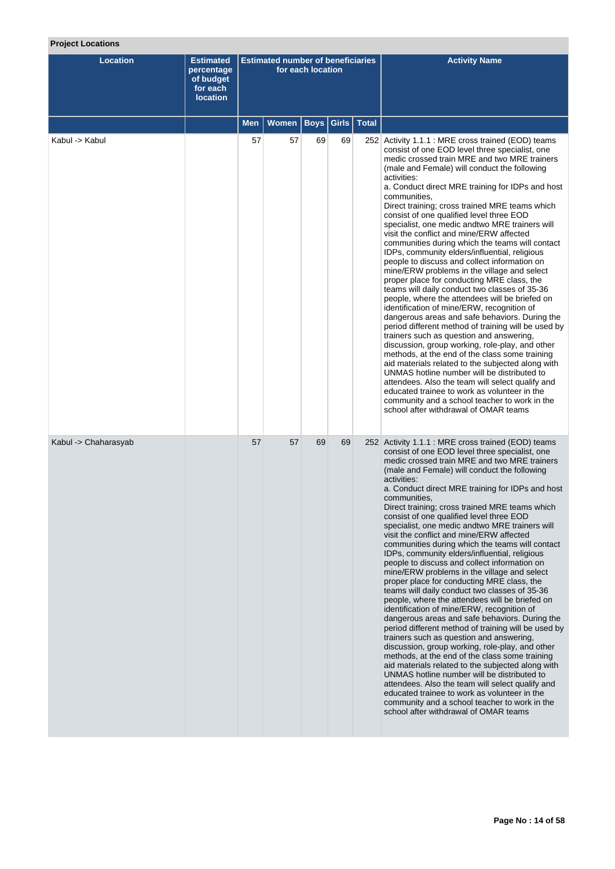# **Project Locations**

| <b>Location</b>      | <b>Estimated</b><br>percentage<br>of budget<br>for each<br><b>location</b> |     | <b>Estimated number of beneficiaries</b> | for each location |       |              | <b>Activity Name</b>                                                                                                                                                                                                                                                                                                                                                                                                                                                                                                                                                                                                                                                                                                                                                                                                                                                                                                                                                                                                                                                                                                                                                                                                                                                                                                                                                                                                                               |
|----------------------|----------------------------------------------------------------------------|-----|------------------------------------------|-------------------|-------|--------------|----------------------------------------------------------------------------------------------------------------------------------------------------------------------------------------------------------------------------------------------------------------------------------------------------------------------------------------------------------------------------------------------------------------------------------------------------------------------------------------------------------------------------------------------------------------------------------------------------------------------------------------------------------------------------------------------------------------------------------------------------------------------------------------------------------------------------------------------------------------------------------------------------------------------------------------------------------------------------------------------------------------------------------------------------------------------------------------------------------------------------------------------------------------------------------------------------------------------------------------------------------------------------------------------------------------------------------------------------------------------------------------------------------------------------------------------------|
|                      |                                                                            | Men | <b>Women</b>                             | <b>Boys</b>       | Girls | <b>Total</b> |                                                                                                                                                                                                                                                                                                                                                                                                                                                                                                                                                                                                                                                                                                                                                                                                                                                                                                                                                                                                                                                                                                                                                                                                                                                                                                                                                                                                                                                    |
| Kabul -> Kabul       |                                                                            | 57  | 57                                       | 69                | 69    |              | 252 Activity 1.1.1 : MRE cross trained (EOD) teams<br>consist of one EOD level three specialist, one<br>medic crossed train MRE and two MRE trainers<br>(male and Female) will conduct the following<br>activities:<br>a. Conduct direct MRE training for IDPs and host<br>communities,<br>Direct training; cross trained MRE teams which<br>consist of one qualified level three EOD<br>specialist, one medic and two MRE trainers will<br>visit the conflict and mine/ERW affected<br>communities during which the teams will contact<br>IDPs, community elders/influential, religious<br>people to discuss and collect information on<br>mine/ERW problems in the village and select<br>proper place for conducting MRE class, the<br>teams will daily conduct two classes of 35-36<br>people, where the attendees will be briefed on<br>identification of mine/ERW, recognition of<br>dangerous areas and safe behaviors. During the<br>period different method of training will be used by<br>trainers such as question and answering,<br>discussion, group working, role-play, and other<br>methods, at the end of the class some training<br>aid materials related to the subjected along with<br>UNMAS hotline number will be distributed to<br>attendees. Also the team will select qualify and<br>educated trainee to work as volunteer in the<br>community and a school teacher to work in the<br>school after withdrawal of OMAR teams |
| Kabul -> Chaharasyab |                                                                            | 57  | 57                                       | 69                | 69    |              | 252 Activity 1.1.1 : MRE cross trained (EOD) teams<br>consist of one EOD level three specialist, one<br>medic crossed train MRE and two MRE trainers<br>(male and Female) will conduct the following<br>activities:<br>a. Conduct direct MRE training for IDPs and host<br>communities.<br>Direct training; cross trained MRE teams which<br>consist of one qualified level three EOD<br>specialist, one medic andtwo MRE trainers will<br>visit the conflict and mine/ERW affected<br>communities during which the teams will contact<br>IDPs, community elders/influential, religious<br>people to discuss and collect information on<br>mine/ERW problems in the village and select<br>proper place for conducting MRE class, the<br>teams will daily conduct two classes of 35-36<br>people, where the attendees will be briefed on<br>identification of mine/ERW, recognition of<br>dangerous areas and safe behaviors. During the<br>period different method of training will be used by<br>trainers such as question and answering,<br>discussion, group working, role-play, and other<br>methods, at the end of the class some training<br>aid materials related to the subjected along with<br>UNMAS hotline number will be distributed to<br>attendees. Also the team will select qualify and<br>educated trainee to work as volunteer in the<br>community and a school teacher to work in the<br>school after withdrawal of OMAR teams  |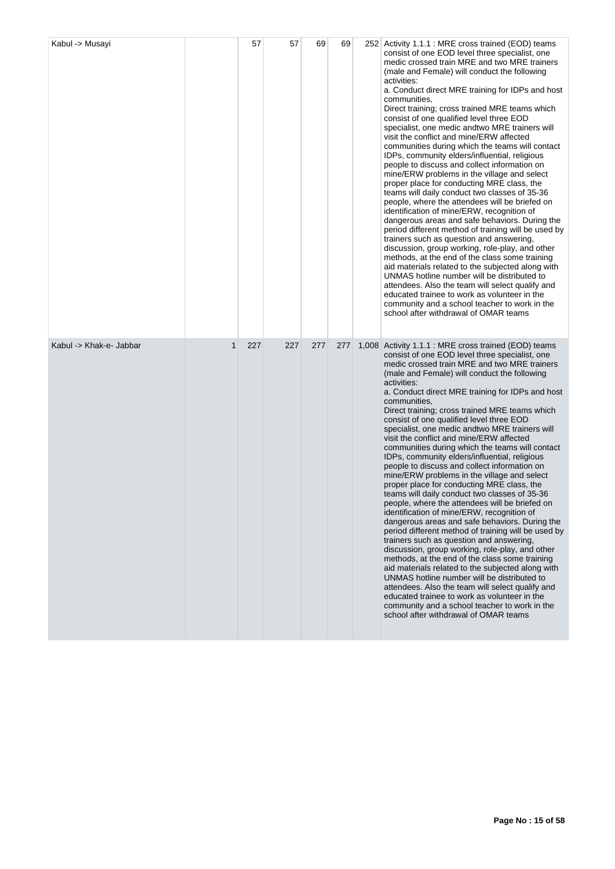| Kabul -> Musayi         |              | 57  | 57  | 69  | 69  | 252 Activity 1.1.1 : MRE cross trained (EOD) teams<br>consist of one EOD level three specialist, one<br>medic crossed train MRE and two MRE trainers<br>(male and Female) will conduct the following<br>activities:<br>a. Conduct direct MRE training for IDPs and host<br>communities,<br>Direct training; cross trained MRE teams which<br>consist of one qualified level three EOD<br>specialist, one medic and two MRE trainers will<br>visit the conflict and mine/ERW affected<br>communities during which the teams will contact<br>IDPs, community elders/influential, religious<br>people to discuss and collect information on<br>mine/ERW problems in the village and select<br>proper place for conducting MRE class, the<br>teams will daily conduct two classes of 35-36<br>people, where the attendees will be briefed on<br>identification of mine/ERW, recognition of<br>dangerous areas and safe behaviors. During the<br>period different method of training will be used by<br>trainers such as question and answering,<br>discussion, group working, role-play, and other<br>methods, at the end of the class some training<br>aid materials related to the subjected along with<br>UNMAS hotline number will be distributed to<br>attendees. Also the team will select qualify and<br>educated trainee to work as volunteer in the<br>community and a school teacher to work in the<br>school after withdrawal of OMAR teams   |
|-------------------------|--------------|-----|-----|-----|-----|------------------------------------------------------------------------------------------------------------------------------------------------------------------------------------------------------------------------------------------------------------------------------------------------------------------------------------------------------------------------------------------------------------------------------------------------------------------------------------------------------------------------------------------------------------------------------------------------------------------------------------------------------------------------------------------------------------------------------------------------------------------------------------------------------------------------------------------------------------------------------------------------------------------------------------------------------------------------------------------------------------------------------------------------------------------------------------------------------------------------------------------------------------------------------------------------------------------------------------------------------------------------------------------------------------------------------------------------------------------------------------------------------------------------------------------------------|
| Kabul -> Khak-e- Jabbar | $\mathbf{1}$ | 227 | 227 | 277 | 277 | 1,008 Activity 1.1.1 : MRE cross trained (EOD) teams<br>consist of one EOD level three specialist, one<br>medic crossed train MRE and two MRE trainers<br>(male and Female) will conduct the following<br>activities:<br>a. Conduct direct MRE training for IDPs and host<br>communities,<br>Direct training; cross trained MRE teams which<br>consist of one qualified level three EOD<br>specialist, one medic and two MRE trainers will<br>visit the conflict and mine/ERW affected<br>communities during which the teams will contact<br>IDPs, community elders/influential, religious<br>people to discuss and collect information on<br>mine/ERW problems in the village and select<br>proper place for conducting MRE class, the<br>teams will daily conduct two classes of 35-36<br>people, where the attendees will be briefed on<br>identification of mine/ERW, recognition of<br>dangerous areas and safe behaviors. During the<br>period different method of training will be used by<br>trainers such as question and answering,<br>discussion, group working, role-play, and other<br>methods, at the end of the class some training<br>aid materials related to the subjected along with<br>UNMAS hotline number will be distributed to<br>attendees. Also the team will select qualify and<br>educated trainee to work as volunteer in the<br>community and a school teacher to work in the<br>school after withdrawal of OMAR teams |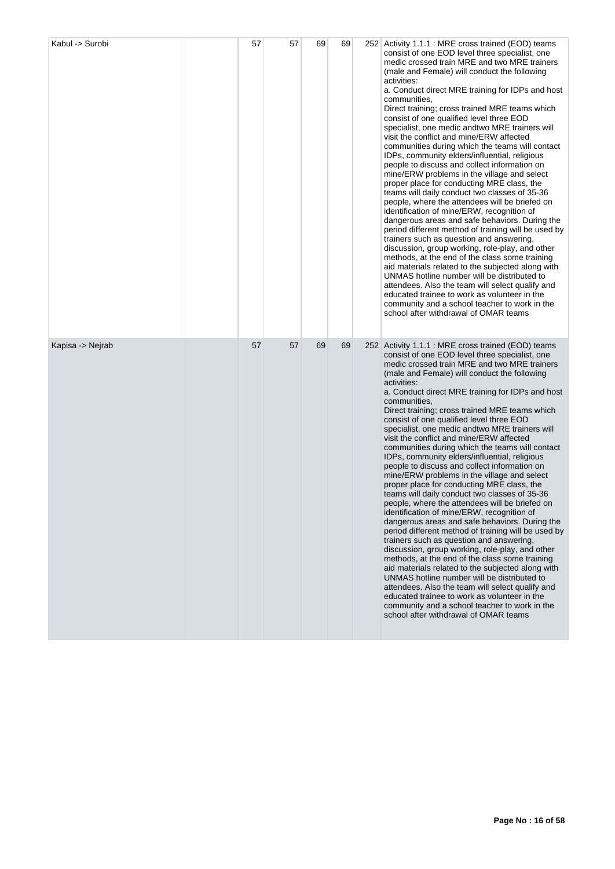| Kabul -> Surobi  | 57 | 57 | 69 | 69 | 252 Activity 1.1.1 : MRE cross trained (EOD) teams<br>consist of one EOD level three specialist, one<br>medic crossed train MRE and two MRE trainers<br>(male and Female) will conduct the following<br>activities:<br>a. Conduct direct MRE training for IDPs and host<br>communities,<br>Direct training; cross trained MRE teams which<br>consist of one qualified level three EOD<br>specialist, one medic and two MRE trainers will<br>visit the conflict and mine/ERW affected<br>communities during which the teams will contact<br>IDPs, community elders/influential, religious<br>people to discuss and collect information on<br>mine/ERW problems in the village and select<br>proper place for conducting MRE class, the<br>teams will daily conduct two classes of 35-36<br>people, where the attendees will be briefed on<br>identification of mine/ERW, recognition of<br>dangerous areas and safe behaviors. During the<br>period different method of training will be used by<br>trainers such as question and answering,<br>discussion, group working, role-play, and other<br>methods, at the end of the class some training<br>aid materials related to the subjected along with<br>UNMAS hotline number will be distributed to<br>attendees. Also the team will select qualify and<br>educated trainee to work as volunteer in the<br>community and a school teacher to work in the<br>school after withdrawal of OMAR teams |
|------------------|----|----|----|----|----------------------------------------------------------------------------------------------------------------------------------------------------------------------------------------------------------------------------------------------------------------------------------------------------------------------------------------------------------------------------------------------------------------------------------------------------------------------------------------------------------------------------------------------------------------------------------------------------------------------------------------------------------------------------------------------------------------------------------------------------------------------------------------------------------------------------------------------------------------------------------------------------------------------------------------------------------------------------------------------------------------------------------------------------------------------------------------------------------------------------------------------------------------------------------------------------------------------------------------------------------------------------------------------------------------------------------------------------------------------------------------------------------------------------------------------------|
| Kapisa -> Nejrab | 57 | 57 | 69 | 69 | 252 Activity 1.1.1 : MRE cross trained (EOD) teams<br>consist of one EOD level three specialist, one<br>medic crossed train MRE and two MRE trainers<br>(male and Female) will conduct the following<br>activities:<br>a. Conduct direct MRE training for IDPs and host<br>communities,<br>Direct training; cross trained MRE teams which<br>consist of one qualified level three EOD<br>specialist, one medic and two MRE trainers will<br>visit the conflict and mine/ERW affected<br>communities during which the teams will contact<br>IDPs, community elders/influential, religious<br>people to discuss and collect information on<br>mine/ERW problems in the village and select<br>proper place for conducting MRE class, the<br>teams will daily conduct two classes of 35-36<br>people, where the attendees will be briefed on<br>identification of mine/ERW, recognition of<br>dangerous areas and safe behaviors. During the<br>period different method of training will be used by<br>trainers such as question and answering,<br>discussion, group working, role-play, and other<br>methods, at the end of the class some training<br>aid materials related to the subjected along with<br>UNMAS hotline number will be distributed to<br>attendees. Also the team will select qualify and<br>educated trainee to work as volunteer in the<br>community and a school teacher to work in the<br>school after withdrawal of OMAR teams |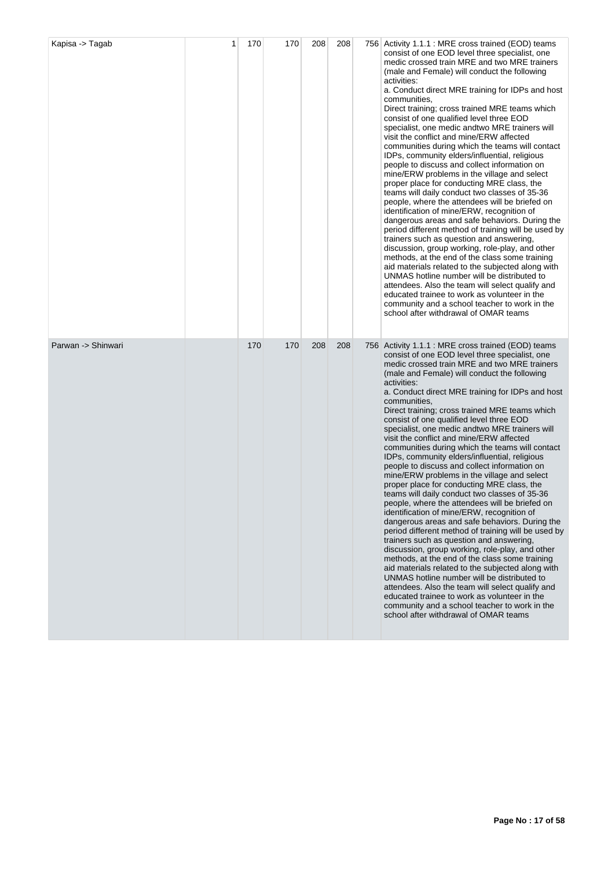| Kapisa -> Tagab    | 1 | 170 | 170 | 208 | 208 | 756 Activity 1.1.1 : MRE cross trained (EOD) teams<br>consist of one EOD level three specialist, one<br>medic crossed train MRE and two MRE trainers<br>(male and Female) will conduct the following<br>activities:<br>a. Conduct direct MRE training for IDPs and host<br>communities,<br>Direct training; cross trained MRE teams which<br>consist of one qualified level three EOD<br>specialist, one medic and two MRE trainers will<br>visit the conflict and mine/ERW affected<br>communities during which the teams will contact<br>IDPs, community elders/influential, religious<br>people to discuss and collect information on<br>mine/ERW problems in the village and select<br>proper place for conducting MRE class, the<br>teams will daily conduct two classes of 35-36<br>people, where the attendees will be briefed on<br>identification of mine/ERW, recognition of<br>dangerous areas and safe behaviors. During the<br>period different method of training will be used by<br>trainers such as question and answering,<br>discussion, group working, role-play, and other<br>methods, at the end of the class some training<br>aid materials related to the subjected along with<br>UNMAS hotline number will be distributed to<br>attendees. Also the team will select qualify and<br>educated trainee to work as volunteer in the<br>community and a school teacher to work in the<br>school after withdrawal of OMAR teams |
|--------------------|---|-----|-----|-----|-----|----------------------------------------------------------------------------------------------------------------------------------------------------------------------------------------------------------------------------------------------------------------------------------------------------------------------------------------------------------------------------------------------------------------------------------------------------------------------------------------------------------------------------------------------------------------------------------------------------------------------------------------------------------------------------------------------------------------------------------------------------------------------------------------------------------------------------------------------------------------------------------------------------------------------------------------------------------------------------------------------------------------------------------------------------------------------------------------------------------------------------------------------------------------------------------------------------------------------------------------------------------------------------------------------------------------------------------------------------------------------------------------------------------------------------------------------------|
| Parwan -> Shinwari |   | 170 | 170 | 208 | 208 | 756 Activity 1.1.1 : MRE cross trained (EOD) teams<br>consist of one EOD level three specialist, one<br>medic crossed train MRE and two MRE trainers<br>(male and Female) will conduct the following<br>activities:<br>a. Conduct direct MRE training for IDPs and host<br>communities,<br>Direct training; cross trained MRE teams which<br>consist of one qualified level three EOD<br>specialist, one medic and two MRE trainers will<br>visit the conflict and mine/ERW affected<br>communities during which the teams will contact<br>IDPs, community elders/influential, religious<br>people to discuss and collect information on<br>mine/ERW problems in the village and select<br>proper place for conducting MRE class, the<br>teams will daily conduct two classes of 35-36<br>people, where the attendees will be briefed on<br>identification of mine/ERW, recognition of<br>dangerous areas and safe behaviors. During the<br>period different method of training will be used by<br>trainers such as question and answering,<br>discussion, group working, role-play, and other<br>methods, at the end of the class some training<br>aid materials related to the subjected along with<br>UNMAS hotline number will be distributed to<br>attendees. Also the team will select qualify and<br>educated trainee to work as volunteer in the<br>community and a school teacher to work in the<br>school after withdrawal of OMAR teams |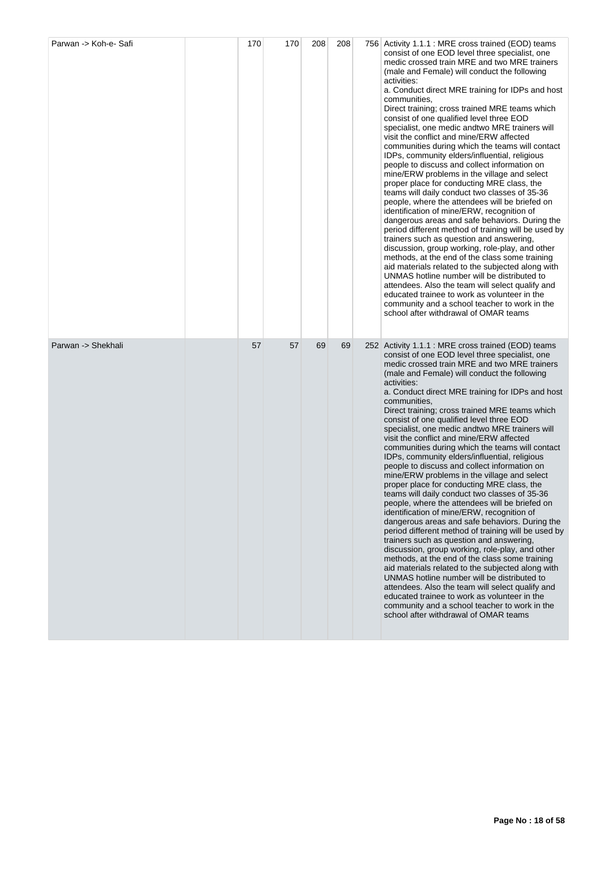| Parwan -> Koh-e- Safi | 170 | 170 | 208 | 208 | 756 Activity 1.1.1 : MRE cross trained (EOD) teams<br>consist of one EOD level three specialist, one<br>medic crossed train MRE and two MRE trainers<br>(male and Female) will conduct the following<br>activities:<br>a. Conduct direct MRE training for IDPs and host<br>communities,<br>Direct training; cross trained MRE teams which<br>consist of one qualified level three EOD<br>specialist, one medic and two MRE trainers will<br>visit the conflict and mine/ERW affected<br>communities during which the teams will contact<br>IDPs, community elders/influential, religious<br>people to discuss and collect information on<br>mine/ERW problems in the village and select<br>proper place for conducting MRE class, the<br>teams will daily conduct two classes of 35-36<br>people, where the attendees will be briefed on<br>identification of mine/ERW, recognition of<br>dangerous areas and safe behaviors. During the<br>period different method of training will be used by<br>trainers such as question and answering,<br>discussion, group working, role-play, and other<br>methods, at the end of the class some training<br>aid materials related to the subjected along with<br>UNMAS hotline number will be distributed to<br>attendees. Also the team will select qualify and<br>educated trainee to work as volunteer in the<br>community and a school teacher to work in the<br>school after withdrawal of OMAR teams |
|-----------------------|-----|-----|-----|-----|----------------------------------------------------------------------------------------------------------------------------------------------------------------------------------------------------------------------------------------------------------------------------------------------------------------------------------------------------------------------------------------------------------------------------------------------------------------------------------------------------------------------------------------------------------------------------------------------------------------------------------------------------------------------------------------------------------------------------------------------------------------------------------------------------------------------------------------------------------------------------------------------------------------------------------------------------------------------------------------------------------------------------------------------------------------------------------------------------------------------------------------------------------------------------------------------------------------------------------------------------------------------------------------------------------------------------------------------------------------------------------------------------------------------------------------------------|
| Parwan -> Shekhali    | 57  | 57  | 69  | 69  | 252 Activity 1.1.1 : MRE cross trained (EOD) teams<br>consist of one EOD level three specialist, one<br>medic crossed train MRE and two MRE trainers<br>(male and Female) will conduct the following<br>activities:<br>a. Conduct direct MRE training for IDPs and host<br>communities,<br>Direct training; cross trained MRE teams which<br>consist of one qualified level three EOD<br>specialist, one medic and two MRE trainers will<br>visit the conflict and mine/ERW affected<br>communities during which the teams will contact<br>IDPs, community elders/influential, religious<br>people to discuss and collect information on<br>mine/ERW problems in the village and select<br>proper place for conducting MRE class, the<br>teams will daily conduct two classes of 35-36<br>people, where the attendees will be briefed on<br>identification of mine/ERW, recognition of<br>dangerous areas and safe behaviors. During the<br>period different method of training will be used by<br>trainers such as question and answering,<br>discussion, group working, role-play, and other<br>methods, at the end of the class some training<br>aid materials related to the subjected along with<br>UNMAS hotline number will be distributed to<br>attendees. Also the team will select qualify and<br>educated trainee to work as volunteer in the<br>community and a school teacher to work in the<br>school after withdrawal of OMAR teams |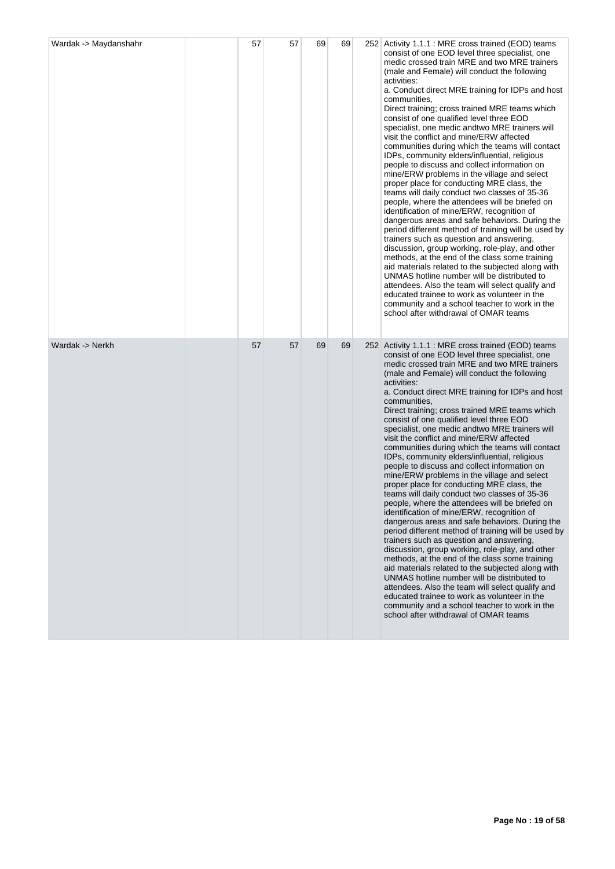| Wardak -> Maydanshahr | 57 | 57 | 69 | 69 | 252 Activity 1.1.1 : MRE cross trained (EOD) teams<br>consist of one EOD level three specialist, one<br>medic crossed train MRE and two MRE trainers<br>(male and Female) will conduct the following<br>activities:<br>a. Conduct direct MRE training for IDPs and host<br>communities,<br>Direct training; cross trained MRE teams which<br>consist of one qualified level three EOD<br>specialist, one medic and two MRE trainers will<br>visit the conflict and mine/ERW affected<br>communities during which the teams will contact<br>IDPs, community elders/influential, religious<br>people to discuss and collect information on<br>mine/ERW problems in the village and select<br>proper place for conducting MRE class, the<br>teams will daily conduct two classes of 35-36<br>people, where the attendees will be briefed on<br>identification of mine/ERW, recognition of<br>dangerous areas and safe behaviors. During the<br>period different method of training will be used by<br>trainers such as question and answering,<br>discussion, group working, role-play, and other<br>methods, at the end of the class some training<br>aid materials related to the subjected along with<br>UNMAS hotline number will be distributed to<br>attendees. Also the team will select qualify and<br>educated trainee to work as volunteer in the<br>community and a school teacher to work in the<br>school after withdrawal of OMAR teams |
|-----------------------|----|----|----|----|----------------------------------------------------------------------------------------------------------------------------------------------------------------------------------------------------------------------------------------------------------------------------------------------------------------------------------------------------------------------------------------------------------------------------------------------------------------------------------------------------------------------------------------------------------------------------------------------------------------------------------------------------------------------------------------------------------------------------------------------------------------------------------------------------------------------------------------------------------------------------------------------------------------------------------------------------------------------------------------------------------------------------------------------------------------------------------------------------------------------------------------------------------------------------------------------------------------------------------------------------------------------------------------------------------------------------------------------------------------------------------------------------------------------------------------------------|
| Wardak -> Nerkh       | 57 | 57 | 69 | 69 | 252 Activity 1.1.1 : MRE cross trained (EOD) teams<br>consist of one EOD level three specialist, one<br>medic crossed train MRE and two MRE trainers<br>(male and Female) will conduct the following<br>activities:<br>a. Conduct direct MRE training for IDPs and host<br>communities,<br>Direct training; cross trained MRE teams which<br>consist of one qualified level three EOD<br>specialist, one medic and two MRE trainers will<br>visit the conflict and mine/ERW affected<br>communities during which the teams will contact<br>IDPs, community elders/influential, religious<br>people to discuss and collect information on<br>mine/ERW problems in the village and select<br>proper place for conducting MRE class, the<br>teams will daily conduct two classes of 35-36<br>people, where the attendees will be briefed on<br>identification of mine/ERW, recognition of<br>dangerous areas and safe behaviors. During the<br>period different method of training will be used by<br>trainers such as question and answering,<br>discussion, group working, role-play, and other<br>methods, at the end of the class some training<br>aid materials related to the subjected along with<br>UNMAS hotline number will be distributed to<br>attendees. Also the team will select qualify and<br>educated trainee to work as volunteer in the<br>community and a school teacher to work in the<br>school after withdrawal of OMAR teams |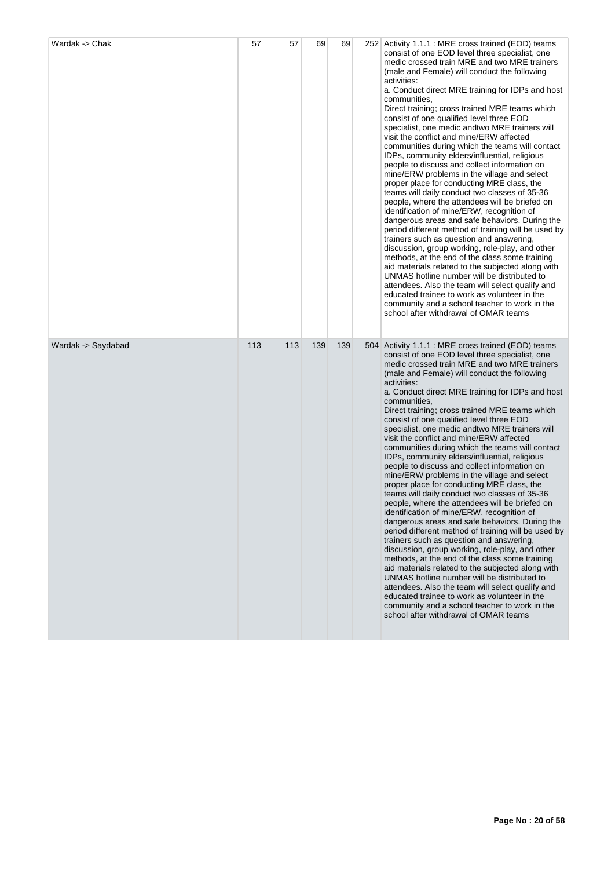| Wardak -> Chak     | 57  | 57  | 69  | 69  | 252 Activity 1.1.1 : MRE cross trained (EOD) teams<br>consist of one EOD level three specialist, one<br>medic crossed train MRE and two MRE trainers<br>(male and Female) will conduct the following<br>activities:<br>a. Conduct direct MRE training for IDPs and host<br>communities,<br>Direct training; cross trained MRE teams which<br>consist of one qualified level three EOD<br>specialist, one medic and two MRE trainers will<br>visit the conflict and mine/ERW affected<br>communities during which the teams will contact<br>IDPs, community elders/influential, religious<br>people to discuss and collect information on<br>mine/ERW problems in the village and select<br>proper place for conducting MRE class, the<br>teams will daily conduct two classes of 35-36<br>people, where the attendees will be briefed on<br>identification of mine/ERW, recognition of<br>dangerous areas and safe behaviors. During the<br>period different method of training will be used by<br>trainers such as question and answering,<br>discussion, group working, role-play, and other<br>methods, at the end of the class some training<br>aid materials related to the subjected along with<br>UNMAS hotline number will be distributed to<br>attendees. Also the team will select qualify and<br>educated trainee to work as volunteer in the<br>community and a school teacher to work in the<br>school after withdrawal of OMAR teams |
|--------------------|-----|-----|-----|-----|----------------------------------------------------------------------------------------------------------------------------------------------------------------------------------------------------------------------------------------------------------------------------------------------------------------------------------------------------------------------------------------------------------------------------------------------------------------------------------------------------------------------------------------------------------------------------------------------------------------------------------------------------------------------------------------------------------------------------------------------------------------------------------------------------------------------------------------------------------------------------------------------------------------------------------------------------------------------------------------------------------------------------------------------------------------------------------------------------------------------------------------------------------------------------------------------------------------------------------------------------------------------------------------------------------------------------------------------------------------------------------------------------------------------------------------------------|
| Wardak -> Saydabad | 113 | 113 | 139 | 139 | 504 Activity 1.1.1 : MRE cross trained (EOD) teams<br>consist of one EOD level three specialist, one<br>medic crossed train MRE and two MRE trainers<br>(male and Female) will conduct the following<br>activities:<br>a. Conduct direct MRE training for IDPs and host<br>communities,<br>Direct training; cross trained MRE teams which<br>consist of one qualified level three EOD<br>specialist, one medic andtwo MRE trainers will<br>visit the conflict and mine/ERW affected<br>communities during which the teams will contact<br>IDPs, community elders/influential, religious<br>people to discuss and collect information on<br>mine/ERW problems in the village and select<br>proper place for conducting MRE class, the<br>teams will daily conduct two classes of 35-36<br>people, where the attendees will be briefed on<br>identification of mine/ERW, recognition of<br>dangerous areas and safe behaviors. During the<br>period different method of training will be used by<br>trainers such as question and answering,<br>discussion, group working, role-play, and other<br>methods, at the end of the class some training<br>aid materials related to the subjected along with<br>UNMAS hotline number will be distributed to<br>attendees. Also the team will select qualify and<br>educated trainee to work as volunteer in the<br>community and a school teacher to work in the<br>school after withdrawal of OMAR teams  |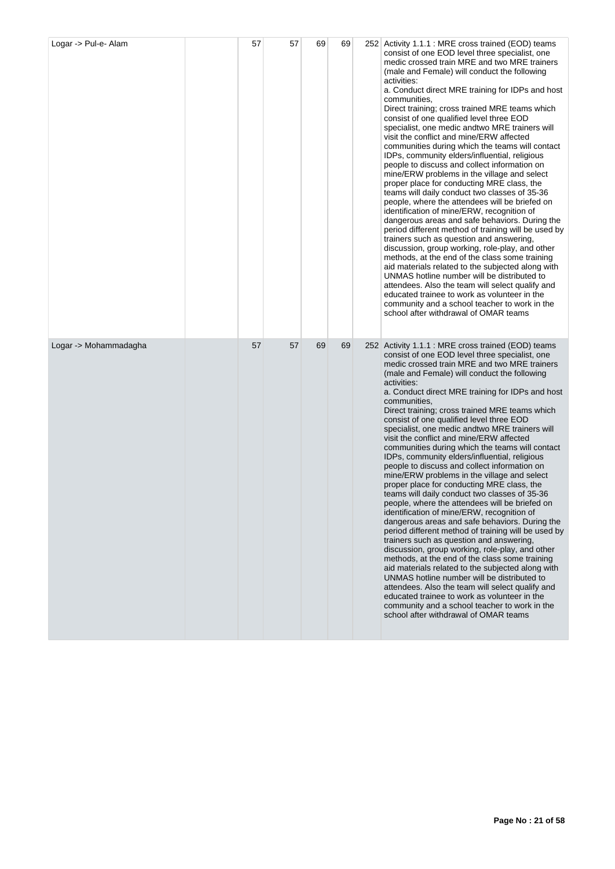| Logar -> Pul-e- Alam  | 57 | 57 | 69 | 69 | 252 Activity 1.1.1 : MRE cross trained (EOD) teams<br>consist of one EOD level three specialist, one<br>medic crossed train MRE and two MRE trainers<br>(male and Female) will conduct the following<br>activities:<br>a. Conduct direct MRE training for IDPs and host<br>communities,<br>Direct training; cross trained MRE teams which<br>consist of one qualified level three EOD<br>specialist, one medic and two MRE trainers will<br>visit the conflict and mine/ERW affected<br>communities during which the teams will contact<br>IDPs, community elders/influential, religious<br>people to discuss and collect information on<br>mine/ERW problems in the village and select<br>proper place for conducting MRE class, the<br>teams will daily conduct two classes of 35-36<br>people, where the attendees will be briefed on<br>identification of mine/ERW, recognition of<br>dangerous areas and safe behaviors. During the<br>period different method of training will be used by<br>trainers such as question and answering,<br>discussion, group working, role-play, and other<br>methods, at the end of the class some training<br>aid materials related to the subjected along with<br>UNMAS hotline number will be distributed to<br>attendees. Also the team will select qualify and<br>educated trainee to work as volunteer in the<br>community and a school teacher to work in the<br>school after withdrawal of OMAR teams |
|-----------------------|----|----|----|----|----------------------------------------------------------------------------------------------------------------------------------------------------------------------------------------------------------------------------------------------------------------------------------------------------------------------------------------------------------------------------------------------------------------------------------------------------------------------------------------------------------------------------------------------------------------------------------------------------------------------------------------------------------------------------------------------------------------------------------------------------------------------------------------------------------------------------------------------------------------------------------------------------------------------------------------------------------------------------------------------------------------------------------------------------------------------------------------------------------------------------------------------------------------------------------------------------------------------------------------------------------------------------------------------------------------------------------------------------------------------------------------------------------------------------------------------------|
| Logar -> Mohammadagha | 57 | 57 | 69 | 69 | 252 Activity 1.1.1 : MRE cross trained (EOD) teams<br>consist of one EOD level three specialist, one<br>medic crossed train MRE and two MRE trainers<br>(male and Female) will conduct the following<br>activities:<br>a. Conduct direct MRE training for IDPs and host<br>communities,<br>Direct training; cross trained MRE teams which<br>consist of one qualified level three EOD<br>specialist, one medic and two MRE trainers will<br>visit the conflict and mine/ERW affected<br>communities during which the teams will contact<br>IDPs, community elders/influential, religious<br>people to discuss and collect information on<br>mine/ERW problems in the village and select<br>proper place for conducting MRE class, the<br>teams will daily conduct two classes of 35-36<br>people, where the attendees will be briefed on<br>identification of mine/ERW, recognition of<br>dangerous areas and safe behaviors. During the<br>period different method of training will be used by<br>trainers such as question and answering,<br>discussion, group working, role-play, and other<br>methods, at the end of the class some training<br>aid materials related to the subjected along with<br>UNMAS hotline number will be distributed to<br>attendees. Also the team will select qualify and<br>educated trainee to work as volunteer in the<br>community and a school teacher to work in the<br>school after withdrawal of OMAR teams |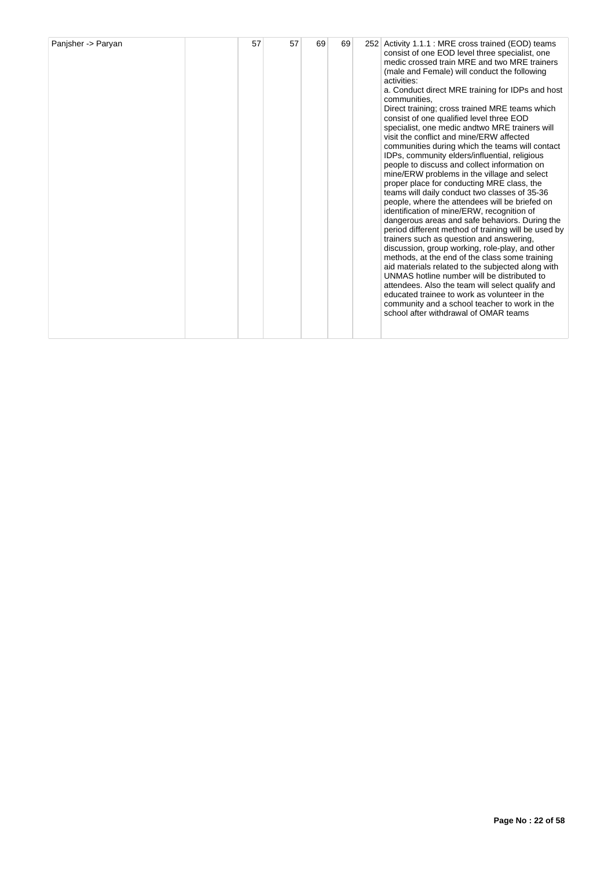| Panisher -> Paryan | 57 | 57 | 69 | 69 |  | 252 Activity 1.1.1 : MRE cross trained (EOD) teams<br>consist of one EOD level three specialist, one<br>medic crossed train MRE and two MRE trainers<br>(male and Female) will conduct the following<br>activities:<br>a. Conduct direct MRE training for IDPs and host<br>communities,<br>Direct training; cross trained MRE teams which<br>consist of one qualified level three EOD<br>specialist, one medic and two MRE trainers will<br>visit the conflict and mine/ERW affected<br>communities during which the teams will contact<br>IDPs, community elders/influential, religious<br>people to discuss and collect information on<br>mine/ERW problems in the village and select<br>proper place for conducting MRE class, the<br>teams will daily conduct two classes of 35-36<br>people, where the attendees will be briefed on<br>identification of mine/ERW, recognition of<br>dangerous areas and safe behaviors. During the<br>period different method of training will be used by<br>trainers such as question and answering.<br>discussion, group working, role-play, and other<br>methods, at the end of the class some training<br>aid materials related to the subjected along with<br>UNMAS hotline number will be distributed to<br>attendees. Also the team will select qualify and<br>educated trainee to work as volunteer in the<br>community and a school teacher to work in the<br>school after withdrawal of OMAR teams |
|--------------------|----|----|----|----|--|----------------------------------------------------------------------------------------------------------------------------------------------------------------------------------------------------------------------------------------------------------------------------------------------------------------------------------------------------------------------------------------------------------------------------------------------------------------------------------------------------------------------------------------------------------------------------------------------------------------------------------------------------------------------------------------------------------------------------------------------------------------------------------------------------------------------------------------------------------------------------------------------------------------------------------------------------------------------------------------------------------------------------------------------------------------------------------------------------------------------------------------------------------------------------------------------------------------------------------------------------------------------------------------------------------------------------------------------------------------------------------------------------------------------------------------------------|
|--------------------|----|----|----|----|--|----------------------------------------------------------------------------------------------------------------------------------------------------------------------------------------------------------------------------------------------------------------------------------------------------------------------------------------------------------------------------------------------------------------------------------------------------------------------------------------------------------------------------------------------------------------------------------------------------------------------------------------------------------------------------------------------------------------------------------------------------------------------------------------------------------------------------------------------------------------------------------------------------------------------------------------------------------------------------------------------------------------------------------------------------------------------------------------------------------------------------------------------------------------------------------------------------------------------------------------------------------------------------------------------------------------------------------------------------------------------------------------------------------------------------------------------------|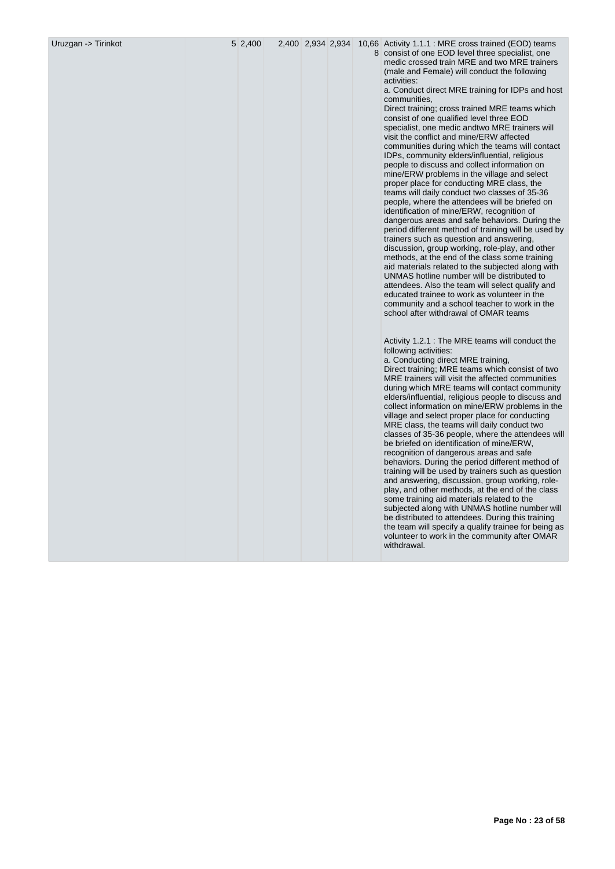| Uruzgan -> Tirinkot | 5 2,400 | 2,400 2,934 2,934 |  | 10,66 Activity 1.1.1 : MRE cross trained (EOD) teams<br>8 consist of one EOD level three specialist, one<br>medic crossed train MRE and two MRE trainers<br>(male and Female) will conduct the following<br>activities:<br>a. Conduct direct MRE training for IDPs and host<br>communities,<br>Direct training; cross trained MRE teams which<br>consist of one qualified level three EOD<br>specialist, one medic and two MRE trainers will<br>visit the conflict and mine/ERW affected<br>communities during which the teams will contact<br>IDPs, community elders/influential, religious<br>people to discuss and collect information on<br>mine/ERW problems in the village and select<br>proper place for conducting MRE class, the<br>teams will daily conduct two classes of 35-36<br>people, where the attendees will be briefed on<br>identification of mine/ERW, recognition of<br>dangerous areas and safe behaviors. During the<br>period different method of training will be used by<br>trainers such as question and answering,<br>discussion, group working, role-play, and other<br>methods, at the end of the class some training<br>aid materials related to the subjected along with<br>UNMAS hotline number will be distributed to<br>attendees. Also the team will select qualify and<br>educated trainee to work as volunteer in the<br>community and a school teacher to work in the<br>school after withdrawal of OMAR teams<br>Activity 1.2.1 : The MRE teams will conduct the<br>following activities:<br>a. Conducting direct MRE training,<br>Direct training; MRE teams which consist of two<br>MRE trainers will visit the affected communities<br>during which MRE teams will contact community<br>elders/influential, religious people to discuss and<br>collect information on mine/ERW problems in the<br>village and select proper place for conducting<br>MRE class, the teams will daily conduct two<br>classes of 35-36 people, where the attendees will<br>be briefed on identification of mine/ERW,<br>recognition of dangerous areas and safe<br>behaviors. During the period different method of<br>training will be used by trainers such as question<br>and answering, discussion, group working, role-<br>play, and other methods, at the end of the class<br>some training aid materials related to the<br>subjected along with UNMAS hotline number will<br>be distributed to attendees. During this training<br>the team will specify a qualify trainee for being as<br>volunteer to work in the community after OMAR<br>withdrawal. |
|---------------------|---------|-------------------|--|----------------------------------------------------------------------------------------------------------------------------------------------------------------------------------------------------------------------------------------------------------------------------------------------------------------------------------------------------------------------------------------------------------------------------------------------------------------------------------------------------------------------------------------------------------------------------------------------------------------------------------------------------------------------------------------------------------------------------------------------------------------------------------------------------------------------------------------------------------------------------------------------------------------------------------------------------------------------------------------------------------------------------------------------------------------------------------------------------------------------------------------------------------------------------------------------------------------------------------------------------------------------------------------------------------------------------------------------------------------------------------------------------------------------------------------------------------------------------------------------------------------------------------------------------------------------------------------------------------------------------------------------------------------------------------------------------------------------------------------------------------------------------------------------------------------------------------------------------------------------------------------------------------------------------------------------------------------------------------------------------------------------------------------------------------------------------------------------------------------------------------------------------------------------------------------------------------------------------------------------------------------------------------------------------------------------------------------------------------------------------------------------------------------------------------------------------------------------------------------------------------------------------------------------------------------------------------------|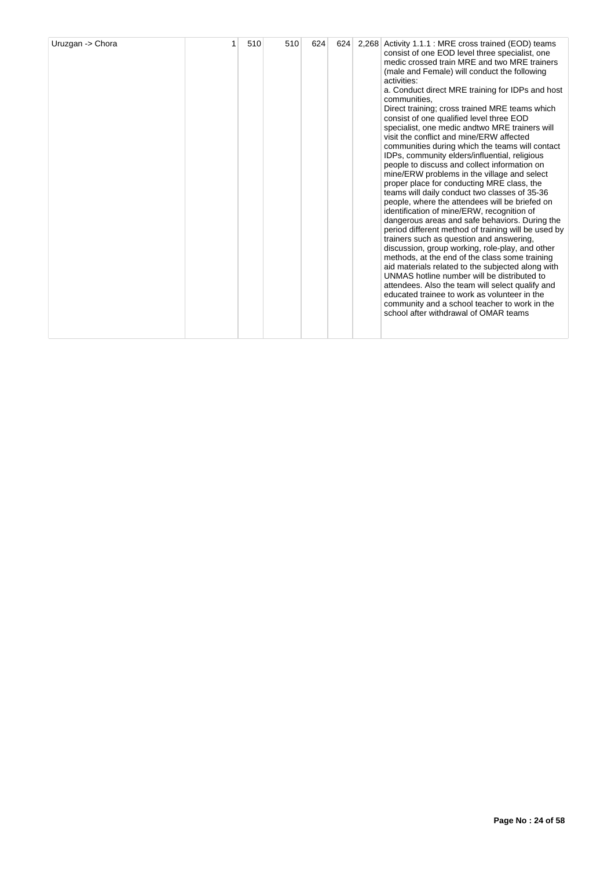| Uruzgan -> Chora |  | 510 | 510 | 624 | 624 | 2,268 | Activity 1.1.1 : MRE cross trained (EOD) teams<br>consist of one EOD level three specialist, one<br>medic crossed train MRE and two MRE trainers<br>(male and Female) will conduct the following<br>activities:<br>a. Conduct direct MRE training for IDPs and host<br>communities,<br>Direct training; cross trained MRE teams which<br>consist of one qualified level three EOD<br>specialist, one medic and two MRE trainers will<br>visit the conflict and mine/ERW affected<br>communities during which the teams will contact<br>IDPs, community elders/influential, religious<br>people to discuss and collect information on<br>mine/ERW problems in the village and select<br>proper place for conducting MRE class, the<br>teams will daily conduct two classes of 35-36<br>people, where the attendees will be briefed on<br>identification of mine/ERW, recognition of<br>dangerous areas and safe behaviors. During the<br>period different method of training will be used by<br>trainers such as question and answering,<br>discussion, group working, role-play, and other<br>methods, at the end of the class some training<br>aid materials related to the subjected along with<br>UNMAS hotline number will be distributed to<br>attendees. Also the team will select qualify and<br>educated trainee to work as volunteer in the<br>community and a school teacher to work in the<br>school after withdrawal of OMAR teams |
|------------------|--|-----|-----|-----|-----|-------|------------------------------------------------------------------------------------------------------------------------------------------------------------------------------------------------------------------------------------------------------------------------------------------------------------------------------------------------------------------------------------------------------------------------------------------------------------------------------------------------------------------------------------------------------------------------------------------------------------------------------------------------------------------------------------------------------------------------------------------------------------------------------------------------------------------------------------------------------------------------------------------------------------------------------------------------------------------------------------------------------------------------------------------------------------------------------------------------------------------------------------------------------------------------------------------------------------------------------------------------------------------------------------------------------------------------------------------------------------------------------------------------------------------------------------------------|
|------------------|--|-----|-----|-----|-----|-------|------------------------------------------------------------------------------------------------------------------------------------------------------------------------------------------------------------------------------------------------------------------------------------------------------------------------------------------------------------------------------------------------------------------------------------------------------------------------------------------------------------------------------------------------------------------------------------------------------------------------------------------------------------------------------------------------------------------------------------------------------------------------------------------------------------------------------------------------------------------------------------------------------------------------------------------------------------------------------------------------------------------------------------------------------------------------------------------------------------------------------------------------------------------------------------------------------------------------------------------------------------------------------------------------------------------------------------------------------------------------------------------------------------------------------------------------|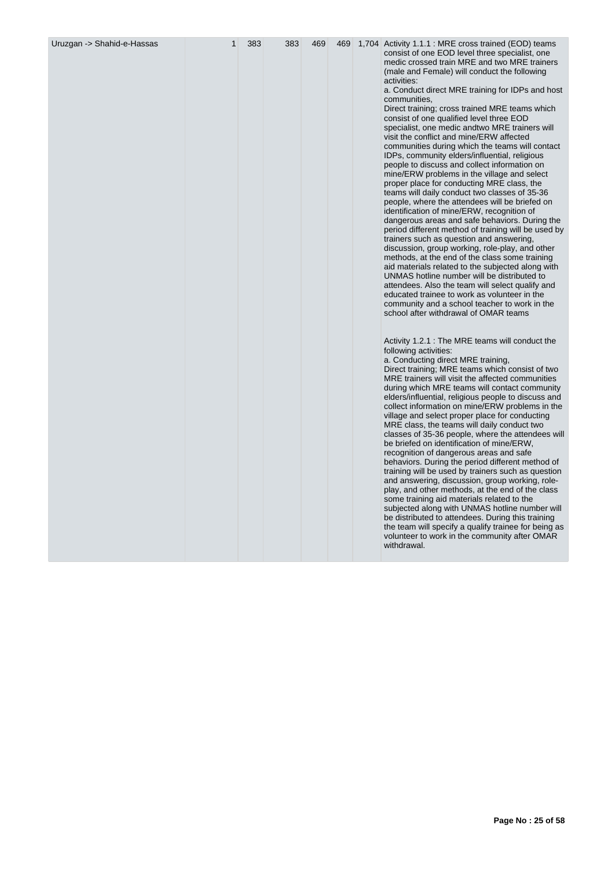| Uruzgan -> Shahid-e-Hassas | 1 | 383 | 383 | 469 | 469 | 1,704 Activity 1.1.1 : MRE cross trained (EOD) teams<br>consist of one EOD level three specialist, one<br>medic crossed train MRE and two MRE trainers<br>(male and Female) will conduct the following<br>activities:<br>a. Conduct direct MRE training for IDPs and host<br>communities,<br>Direct training; cross trained MRE teams which<br>consist of one qualified level three EOD<br>specialist, one medic and two MRE trainers will<br>visit the conflict and mine/ERW affected<br>communities during which the teams will contact<br>IDPs, community elders/influential, religious<br>people to discuss and collect information on<br>mine/ERW problems in the village and select<br>proper place for conducting MRE class, the<br>teams will daily conduct two classes of 35-36<br>people, where the attendees will be briefed on<br>identification of mine/ERW, recognition of<br>dangerous areas and safe behaviors. During the<br>period different method of training will be used by<br>trainers such as question and answering,<br>discussion, group working, role-play, and other<br>methods, at the end of the class some training<br>aid materials related to the subjected along with<br>UNMAS hotline number will be distributed to<br>attendees. Also the team will select qualify and<br>educated trainee to work as volunteer in the<br>community and a school teacher to work in the<br>school after withdrawal of OMAR teams |
|----------------------------|---|-----|-----|-----|-----|------------------------------------------------------------------------------------------------------------------------------------------------------------------------------------------------------------------------------------------------------------------------------------------------------------------------------------------------------------------------------------------------------------------------------------------------------------------------------------------------------------------------------------------------------------------------------------------------------------------------------------------------------------------------------------------------------------------------------------------------------------------------------------------------------------------------------------------------------------------------------------------------------------------------------------------------------------------------------------------------------------------------------------------------------------------------------------------------------------------------------------------------------------------------------------------------------------------------------------------------------------------------------------------------------------------------------------------------------------------------------------------------------------------------------------------------------|
|                            |   |     |     |     |     | Activity 1.2.1 : The MRE teams will conduct the<br>following activities:<br>a. Conducting direct MRE training,<br>Direct training; MRE teams which consist of two<br>MRE trainers will visit the affected communities<br>during which MRE teams will contact community<br>elders/influential, religious people to discuss and<br>collect information on mine/ERW problems in the<br>village and select proper place for conducting<br>MRE class, the teams will daily conduct two<br>classes of 35-36 people, where the attendees will<br>be briefed on identification of mine/ERW,<br>recognition of dangerous areas and safe<br>behaviors. During the period different method of<br>training will be used by trainers such as question<br>and answering, discussion, group working, role-<br>play, and other methods, at the end of the class<br>some training aid materials related to the<br>subjected along with UNMAS hotline number will<br>be distributed to attendees. During this training<br>the team will specify a qualify trainee for being as<br>volunteer to work in the community after OMAR<br>withdrawal.                                                                                                                                                                                                                                                                                                                         |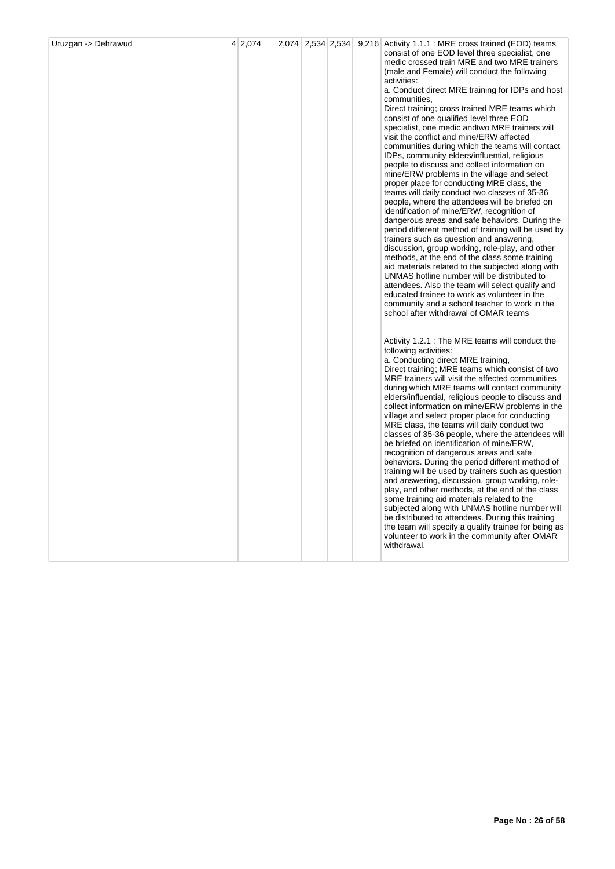|  |  |  | consist of one EOD level three specialist, one<br>medic crossed train MRE and two MRE trainers<br>(male and Female) will conduct the following<br>activities:<br>a. Conduct direct MRE training for IDPs and host<br>communities,<br>Direct training; cross trained MRE teams which<br>consist of one qualified level three EOD<br>specialist, one medic andtwo MRE trainers will<br>visit the conflict and mine/ERW affected<br>communities during which the teams will contact<br>IDPs, community elders/influential, religious<br>people to discuss and collect information on<br>mine/ERW problems in the village and select<br>proper place for conducting MRE class, the<br>teams will daily conduct two classes of 35-36<br>people, where the attendees will be briefed on<br>identification of mine/ERW, recognition of<br>dangerous areas and safe behaviors. During the<br>period different method of training will be used by<br>trainers such as question and answering,<br>discussion, group working, role-play, and other<br>methods, at the end of the class some training<br>aid materials related to the subjected along with<br>UNMAS hotline number will be distributed to<br>attendees. Also the team will select qualify and<br>educated trainee to work as volunteer in the<br>community and a school teacher to work in the<br>school after withdrawal of OMAR teams |
|--|--|--|---------------------------------------------------------------------------------------------------------------------------------------------------------------------------------------------------------------------------------------------------------------------------------------------------------------------------------------------------------------------------------------------------------------------------------------------------------------------------------------------------------------------------------------------------------------------------------------------------------------------------------------------------------------------------------------------------------------------------------------------------------------------------------------------------------------------------------------------------------------------------------------------------------------------------------------------------------------------------------------------------------------------------------------------------------------------------------------------------------------------------------------------------------------------------------------------------------------------------------------------------------------------------------------------------------------------------------------------------------------------------------------------|
|  |  |  | Activity 1.2.1 : The MRE teams will conduct the<br>following activities:<br>a. Conducting direct MRE training,<br>Direct training; MRE teams which consist of two<br>MRE trainers will visit the affected communities<br>during which MRE teams will contact community<br>elders/influential, religious people to discuss and<br>collect information on mine/ERW problems in the<br>village and select proper place for conducting<br>MRE class, the teams will daily conduct two<br>classes of 35-36 people, where the attendees will<br>be briefed on identification of mine/ERW,<br>recognition of dangerous areas and safe<br>behaviors. During the period different method of<br>training will be used by trainers such as question<br>and answering, discussion, group working, role-<br>play, and other methods, at the end of the class<br>some training aid materials related to the<br>subjected along with UNMAS hotline number will<br>be distributed to attendees. During this training<br>the team will specify a qualify trainee for being as<br>volunteer to work in the community after OMAR<br>withdrawal.                                                                                                                                                                                                                                                                |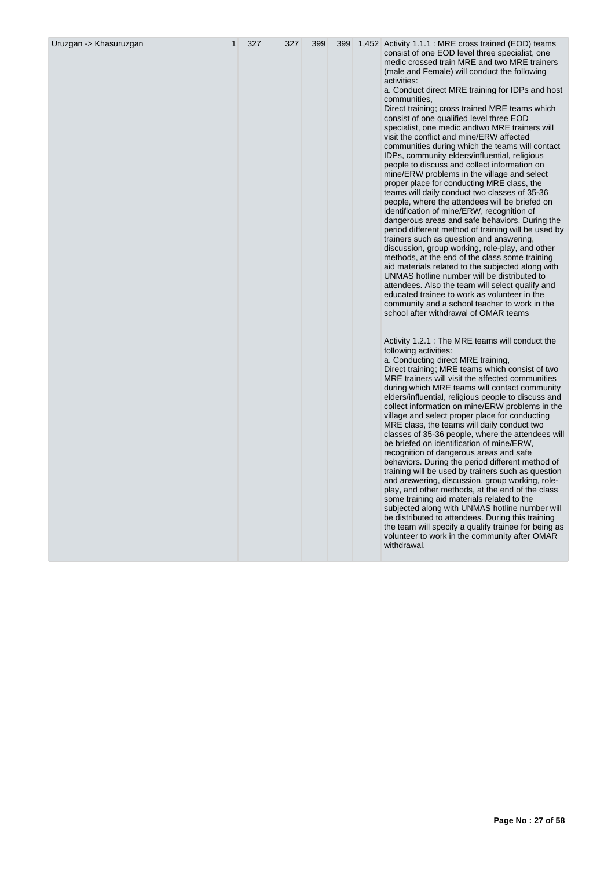| Uruzgan -> Khasuruzgan |  | 399 | 399 | 1,452 Activity 1.1.1 : MRE cross trained (EOD) teams<br>consist of one EOD level three specialist, one<br>medic crossed train MRE and two MRE trainers<br>(male and Female) will conduct the following<br>activities:<br>a. Conduct direct MRE training for IDPs and host<br>communities,<br>Direct training; cross trained MRE teams which<br>consist of one qualified level three EOD<br>specialist, one medic and two MRE trainers will<br>visit the conflict and mine/ERW affected<br>communities during which the teams will contact<br>IDPs, community elders/influential, religious<br>people to discuss and collect information on<br>mine/ERW problems in the village and select<br>proper place for conducting MRE class, the<br>teams will daily conduct two classes of 35-36<br>people, where the attendees will be briefed on<br>identification of mine/ERW, recognition of<br>dangerous areas and safe behaviors. During the<br>period different method of training will be used by<br>trainers such as question and answering,<br>discussion, group working, role-play, and other<br>methods, at the end of the class some training<br>aid materials related to the subjected along with<br>UNMAS hotline number will be distributed to<br>attendees. Also the team will select qualify and<br>educated trainee to work as volunteer in the<br>community and a school teacher to work in the<br>school after withdrawal of OMAR teams |
|------------------------|--|-----|-----|------------------------------------------------------------------------------------------------------------------------------------------------------------------------------------------------------------------------------------------------------------------------------------------------------------------------------------------------------------------------------------------------------------------------------------------------------------------------------------------------------------------------------------------------------------------------------------------------------------------------------------------------------------------------------------------------------------------------------------------------------------------------------------------------------------------------------------------------------------------------------------------------------------------------------------------------------------------------------------------------------------------------------------------------------------------------------------------------------------------------------------------------------------------------------------------------------------------------------------------------------------------------------------------------------------------------------------------------------------------------------------------------------------------------------------------------------|
|                        |  |     |     | Activity 1.2.1 : The MRE teams will conduct the<br>following activities:<br>a. Conducting direct MRE training,<br>Direct training; MRE teams which consist of two<br>MRE trainers will visit the affected communities<br>during which MRE teams will contact community<br>elders/influential, religious people to discuss and<br>collect information on mine/ERW problems in the<br>village and select proper place for conducting<br>MRE class, the teams will daily conduct two<br>classes of 35-36 people, where the attendees will<br>be briefed on identification of mine/ERW,<br>recognition of dangerous areas and safe<br>behaviors. During the period different method of<br>training will be used by trainers such as question<br>and answering, discussion, group working, role-<br>play, and other methods, at the end of the class<br>some training aid materials related to the<br>subjected along with UNMAS hotline number will<br>be distributed to attendees. During this training<br>the team will specify a qualify trainee for being as<br>volunteer to work in the community after OMAR<br>withdrawal.                                                                                                                                                                                                                                                                                                                         |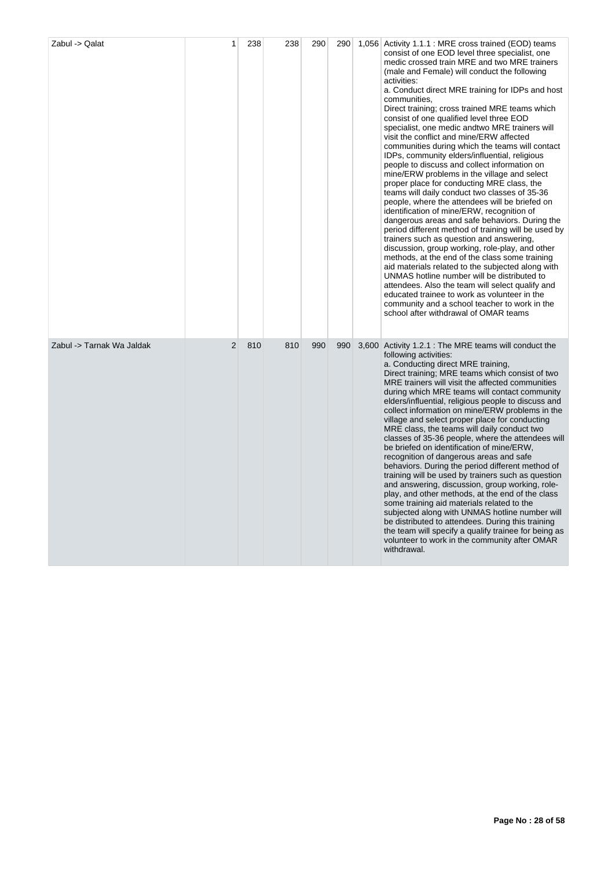| Zabul -> Qalat            | 1 | 238 | 238 | 290 | 290 | 1,056 Activity 1.1.1 : MRE cross trained (EOD) teams<br>consist of one EOD level three specialist, one<br>medic crossed train MRE and two MRE trainers<br>(male and Female) will conduct the following<br>activities:<br>a. Conduct direct MRE training for IDPs and host<br>communities,<br>Direct training; cross trained MRE teams which<br>consist of one qualified level three EOD<br>specialist, one medic andtwo MRE trainers will<br>visit the conflict and mine/ERW affected<br>communities during which the teams will contact<br>IDPs, community elders/influential, religious<br>people to discuss and collect information on<br>mine/ERW problems in the village and select<br>proper place for conducting MRE class, the<br>teams will daily conduct two classes of 35-36<br>people, where the attendees will be briefed on<br>identification of mine/ERW, recognition of<br>dangerous areas and safe behaviors. During the<br>period different method of training will be used by<br>trainers such as question and answering,<br>discussion, group working, role-play, and other<br>methods, at the end of the class some training<br>aid materials related to the subjected along with<br>UNMAS hotline number will be distributed to<br>attendees. Also the team will select qualify and<br>educated trainee to work as volunteer in the<br>community and a school teacher to work in the<br>school after withdrawal of OMAR teams |
|---------------------------|---|-----|-----|-----|-----|-----------------------------------------------------------------------------------------------------------------------------------------------------------------------------------------------------------------------------------------------------------------------------------------------------------------------------------------------------------------------------------------------------------------------------------------------------------------------------------------------------------------------------------------------------------------------------------------------------------------------------------------------------------------------------------------------------------------------------------------------------------------------------------------------------------------------------------------------------------------------------------------------------------------------------------------------------------------------------------------------------------------------------------------------------------------------------------------------------------------------------------------------------------------------------------------------------------------------------------------------------------------------------------------------------------------------------------------------------------------------------------------------------------------------------------------------------|
| Zabul -> Tarnak Wa Jaldak | 2 | 810 | 810 | 990 | 990 | 3,600 Activity 1.2.1 : The MRE teams will conduct the<br>following activities:<br>a. Conducting direct MRE training,<br>Direct training; MRE teams which consist of two<br>MRE trainers will visit the affected communities<br>during which MRE teams will contact community<br>elders/influential, religious people to discuss and<br>collect information on mine/ERW problems in the<br>village and select proper place for conducting<br>MRE class, the teams will daily conduct two<br>classes of 35-36 people, where the attendees will<br>be briefed on identification of mine/ERW,<br>recognition of dangerous areas and safe<br>behaviors. During the period different method of<br>training will be used by trainers such as question<br>and answering, discussion, group working, role-<br>play, and other methods, at the end of the class<br>some training aid materials related to the<br>subjected along with UNMAS hotline number will<br>be distributed to attendees. During this training<br>the team will specify a qualify trainee for being as<br>volunteer to work in the community after OMAR<br>withdrawal.                                                                                                                                                                                                                                                                                                                  |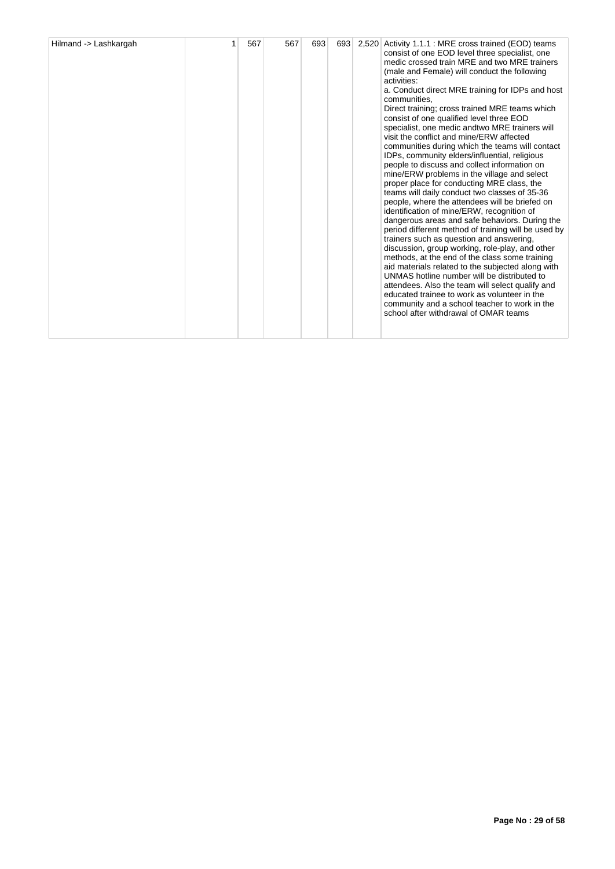| Hilmand -> Lashkargah |  | 567 | 567 | 693 | 693 | 2,520 | Activity 1.1.1 : MRE cross trained (EOD) teams<br>consist of one EOD level three specialist, one<br>medic crossed train MRE and two MRE trainers<br>(male and Female) will conduct the following<br>activities:<br>a. Conduct direct MRE training for IDPs and host<br>communities.<br>Direct training; cross trained MRE teams which<br>consist of one qualified level three EOD<br>specialist, one medic and two MRE trainers will<br>visit the conflict and mine/ERW affected<br>communities during which the teams will contact<br>IDPs, community elders/influential, religious<br>people to discuss and collect information on<br>mine/ERW problems in the village and select<br>proper place for conducting MRE class, the<br>teams will daily conduct two classes of 35-36<br>people, where the attendees will be briefed on<br>identification of mine/ERW, recognition of<br>dangerous areas and safe behaviors. During the<br>period different method of training will be used by<br>trainers such as question and answering,<br>discussion, group working, role-play, and other<br>methods, at the end of the class some training<br>aid materials related to the subjected along with<br>UNMAS hotline number will be distributed to<br>attendees. Also the team will select qualify and<br>educated trainee to work as volunteer in the<br>community and a school teacher to work in the<br>school after withdrawal of OMAR teams |
|-----------------------|--|-----|-----|-----|-----|-------|------------------------------------------------------------------------------------------------------------------------------------------------------------------------------------------------------------------------------------------------------------------------------------------------------------------------------------------------------------------------------------------------------------------------------------------------------------------------------------------------------------------------------------------------------------------------------------------------------------------------------------------------------------------------------------------------------------------------------------------------------------------------------------------------------------------------------------------------------------------------------------------------------------------------------------------------------------------------------------------------------------------------------------------------------------------------------------------------------------------------------------------------------------------------------------------------------------------------------------------------------------------------------------------------------------------------------------------------------------------------------------------------------------------------------------------------|
|-----------------------|--|-----|-----|-----|-----|-------|------------------------------------------------------------------------------------------------------------------------------------------------------------------------------------------------------------------------------------------------------------------------------------------------------------------------------------------------------------------------------------------------------------------------------------------------------------------------------------------------------------------------------------------------------------------------------------------------------------------------------------------------------------------------------------------------------------------------------------------------------------------------------------------------------------------------------------------------------------------------------------------------------------------------------------------------------------------------------------------------------------------------------------------------------------------------------------------------------------------------------------------------------------------------------------------------------------------------------------------------------------------------------------------------------------------------------------------------------------------------------------------------------------------------------------------------|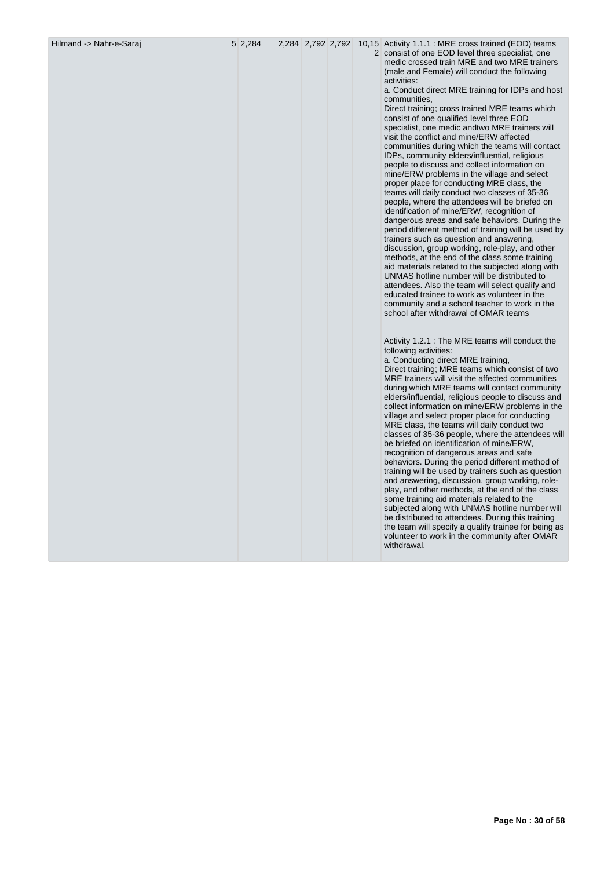Hilmand -> Nahr-e-Saraj 5 2,284 2,284 2,792 2,792 10,15 Activity 1.1.1 : MRE cross trained (EOD) teams 2 consist of one EOD level three specialist, one medic crossed train MRE and two MRE trainers (male and Female) will conduct the following activities:

a. Conduct direct MRE training for IDPs and host communities,

Direct training; cross trained MRE teams which consist of one qualified level three EOD specialist, one medic andtwo MRE trainers will visit the conflict and mine/ERW affected communities during which the teams will contact IDPs, community elders/influential, religious people to discuss and collect information on mine/ERW problems in the village and select proper place for conducting MRE class, the teams will daily conduct two classes of 35-36 people, where the attendees will be briefed on identification of mine/ERW, recognition of dangerous areas and safe behaviors. During the period different method of training will be used by trainers such as question and answering, discussion, group working, role-play, and other methods, at the end of the class some training aid materials related to the subjected along with UNMAS hotline number will be distributed to attendees. Also the team will select qualify and educated trainee to work as volunteer in the community and a school teacher to work in the school after withdrawal of OMAR teams

Activity 1.2.1 : The MRE teams will conduct the following activities: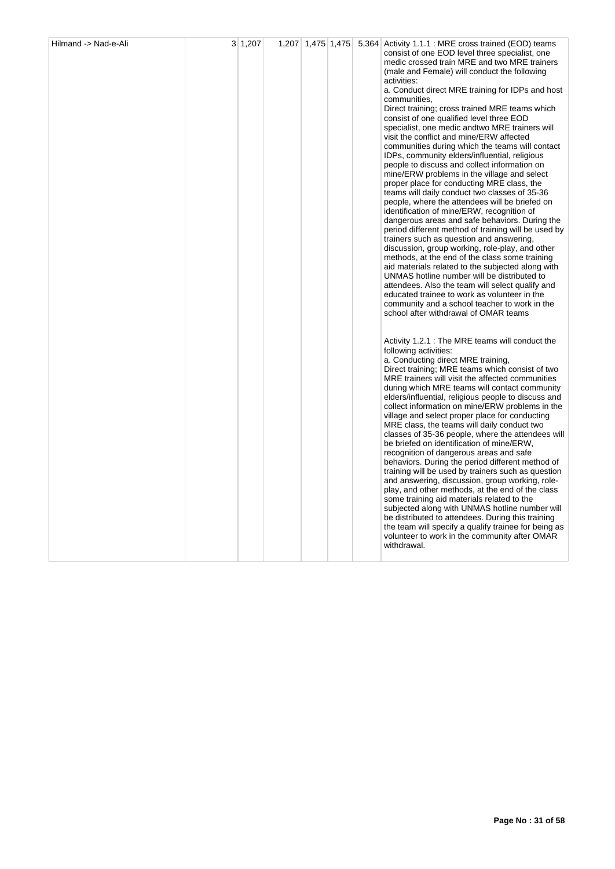| Hilmand -> Nad-e-Ali | 3 1,207 | 1,207 1,475 1,475 |  | 5,364 Activity 1.1.1 : MRE cross trained (EOD) teams<br>consist of one EOD level three specialist, one<br>medic crossed train MRE and two MRE trainers<br>(male and Female) will conduct the following<br>activities:<br>a. Conduct direct MRE training for IDPs and host<br>communities,<br>Direct training; cross trained MRE teams which<br>consist of one qualified level three EOD<br>specialist, one medic andtwo MRE trainers will<br>visit the conflict and mine/ERW affected<br>communities during which the teams will contact<br>IDPs, community elders/influential, religious<br>people to discuss and collect information on<br>mine/ERW problems in the village and select<br>proper place for conducting MRE class, the<br>teams will daily conduct two classes of 35-36<br>people, where the attendees will be briefed on<br>identification of mine/ERW, recognition of<br>dangerous areas and safe behaviors. During the<br>period different method of training will be used by<br>trainers such as question and answering,<br>discussion, group working, role-play, and other<br>methods, at the end of the class some training<br>aid materials related to the subjected along with<br>UNMAS hotline number will be distributed to<br>attendees. Also the team will select qualify and<br>educated trainee to work as volunteer in the<br>community and a school teacher to work in the<br>school after withdrawal of OMAR teams |
|----------------------|---------|-------------------|--|-----------------------------------------------------------------------------------------------------------------------------------------------------------------------------------------------------------------------------------------------------------------------------------------------------------------------------------------------------------------------------------------------------------------------------------------------------------------------------------------------------------------------------------------------------------------------------------------------------------------------------------------------------------------------------------------------------------------------------------------------------------------------------------------------------------------------------------------------------------------------------------------------------------------------------------------------------------------------------------------------------------------------------------------------------------------------------------------------------------------------------------------------------------------------------------------------------------------------------------------------------------------------------------------------------------------------------------------------------------------------------------------------------------------------------------------------------|
|                      |         |                   |  | Activity 1.2.1 : The MRE teams will conduct the<br>following activities:<br>a. Conducting direct MRE training,<br>Direct training; MRE teams which consist of two<br>MRE trainers will visit the affected communities<br>during which MRE teams will contact community<br>elders/influential, religious people to discuss and<br>collect information on mine/ERW problems in the<br>village and select proper place for conducting<br>MRE class, the teams will daily conduct two<br>classes of 35-36 people, where the attendees will<br>be briefed on identification of mine/ERW,<br>recognition of dangerous areas and safe<br>behaviors. During the period different method of<br>training will be used by trainers such as question<br>and answering, discussion, group working, role-<br>play, and other methods, at the end of the class<br>some training aid materials related to the<br>subjected along with UNMAS hotline number will<br>be distributed to attendees. During this training<br>the team will specify a qualify trainee for being as<br>volunteer to work in the community after OMAR<br>withdrawal.                                                                                                                                                                                                                                                                                                                        |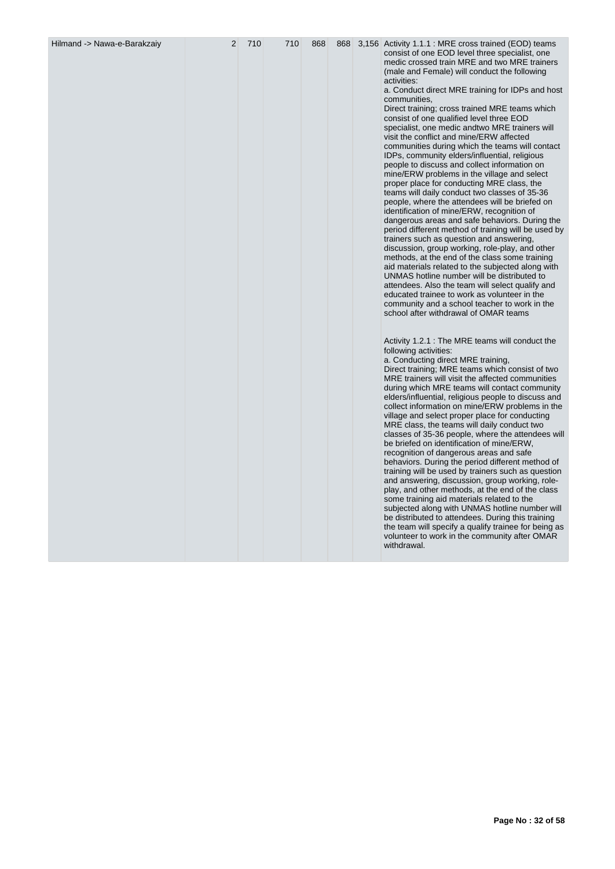| Hilmand -> Nawa-e-Barakzaiy | 2 | 710 | 710 | 868 | 868 | 3,156 Activity 1.1.1 : MRE cross trained (EOD) teams<br>consist of one EOD level three specialist, one<br>medic crossed train MRE and two MRE trainers<br>(male and Female) will conduct the following<br>activities:<br>a. Conduct direct MRE training for IDPs and host<br>communities,<br>Direct training; cross trained MRE teams which<br>consist of one qualified level three EOD<br>specialist, one medic andtwo MRE trainers will<br>visit the conflict and mine/ERW affected<br>communities during which the teams will contact<br>IDPs, community elders/influential, religious<br>people to discuss and collect information on<br>mine/ERW problems in the village and select<br>proper place for conducting MRE class, the<br>teams will daily conduct two classes of 35-36<br>people, where the attendees will be briefed on<br>identification of mine/ERW, recognition of<br>dangerous areas and safe behaviors. During the<br>period different method of training will be used by<br>trainers such as question and answering,<br>discussion, group working, role-play, and other<br>methods, at the end of the class some training<br>aid materials related to the subjected along with<br>UNMAS hotline number will be distributed to<br>attendees. Also the team will select qualify and<br>educated trainee to work as volunteer in the<br>community and a school teacher to work in the<br>school after withdrawal of OMAR teams<br>Activity 1.2.1 : The MRE teams will conduct the<br>following activities: |
|-----------------------------|---|-----|-----|-----|-----|---------------------------------------------------------------------------------------------------------------------------------------------------------------------------------------------------------------------------------------------------------------------------------------------------------------------------------------------------------------------------------------------------------------------------------------------------------------------------------------------------------------------------------------------------------------------------------------------------------------------------------------------------------------------------------------------------------------------------------------------------------------------------------------------------------------------------------------------------------------------------------------------------------------------------------------------------------------------------------------------------------------------------------------------------------------------------------------------------------------------------------------------------------------------------------------------------------------------------------------------------------------------------------------------------------------------------------------------------------------------------------------------------------------------------------------------------------------------------------------------------------------------------------|
|                             |   |     |     |     |     | a. Conducting direct MRE training,<br>Direct training; MRE teams which consist of two<br>MRE trainers will visit the affected communities<br>during which MRE teams will contact community<br>elders/influential, religious people to discuss and<br>collect information on mine/ERW problems in the<br>village and select proper place for conducting<br>MRE class, the teams will daily conduct two<br>classes of 35-36 people, where the attendees will<br>be briefed on identification of mine/ERW,<br>recognition of dangerous areas and safe<br>behaviors. During the period different method of<br>training will be used by trainers such as question<br>and answering, discussion, group working, role-<br>play, and other methods, at the end of the class<br>some training aid materials related to the<br>subjected along with UNMAS hotline number will<br>be distributed to attendees. During this training<br>the team will specify a qualify trainee for being as<br>volunteer to work in the community after OMAR<br>withdrawal.                                                                                                                                                                                                                                                                                                                                                                                                                                                                                |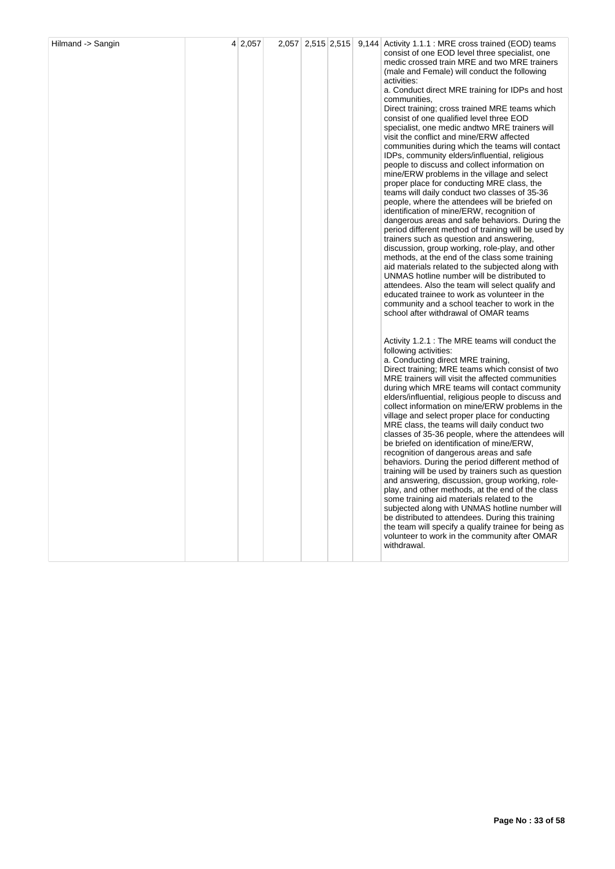| Hilmand -> Sangin | 4 2,057 |  |  | 2,057 2,515 2,515 9,144 Activity 1.1.1 : MRE cross trained (EOD) teams<br>consist of one EOD level three specialist, one<br>medic crossed train MRE and two MRE trainers<br>(male and Female) will conduct the following<br>activities:<br>a. Conduct direct MRE training for IDPs and host<br>communities,<br>Direct training; cross trained MRE teams which<br>consist of one qualified level three EOD<br>specialist, one medic andtwo MRE trainers will<br>visit the conflict and mine/ERW affected<br>communities during which the teams will contact<br>IDPs, community elders/influential, religious<br>people to discuss and collect information on<br>mine/ERW problems in the village and select<br>proper place for conducting MRE class, the<br>teams will daily conduct two classes of 35-36<br>people, where the attendees will be briefed on<br>identification of mine/ERW, recognition of<br>dangerous areas and safe behaviors. During the<br>period different method of training will be used by<br>trainers such as question and answering,<br>discussion, group working, role-play, and other<br>methods, at the end of the class some training<br>aid materials related to the subjected along with<br>UNMAS hotline number will be distributed to<br>attendees. Also the team will select qualify and |
|-------------------|---------|--|--|-----------------------------------------------------------------------------------------------------------------------------------------------------------------------------------------------------------------------------------------------------------------------------------------------------------------------------------------------------------------------------------------------------------------------------------------------------------------------------------------------------------------------------------------------------------------------------------------------------------------------------------------------------------------------------------------------------------------------------------------------------------------------------------------------------------------------------------------------------------------------------------------------------------------------------------------------------------------------------------------------------------------------------------------------------------------------------------------------------------------------------------------------------------------------------------------------------------------------------------------------------------------------------------------------------------------------------|
|                   |         |  |  | educated trainee to work as volunteer in the<br>community and a school teacher to work in the<br>school after withdrawal of OMAR teams<br>Activity 1.2.1 : The MRE teams will conduct the<br>following activities:<br>a. Conducting direct MRE training,<br>Direct training; MRE teams which consist of two<br>MRE trainers will visit the affected communities<br>during which MRE teams will contact community<br>elders/influential, religious people to discuss and<br>collect information on mine/ERW problems in the<br>village and select proper place for conducting<br>MRE class, the teams will daily conduct two<br>classes of 35-36 people, where the attendees will<br>be briefed on identification of mine/ERW,<br>recognition of dangerous areas and safe<br>behaviors. During the period different method of<br>training will be used by trainers such as question<br>and answering, discussion, group working, role-<br>play, and other methods, at the end of the class<br>some training aid materials related to the<br>subjected along with UNMAS hotline number will<br>be distributed to attendees. During this training<br>the team will specify a qualify trainee for being as<br>volunteer to work in the community after OMAR<br>withdrawal.                                                      |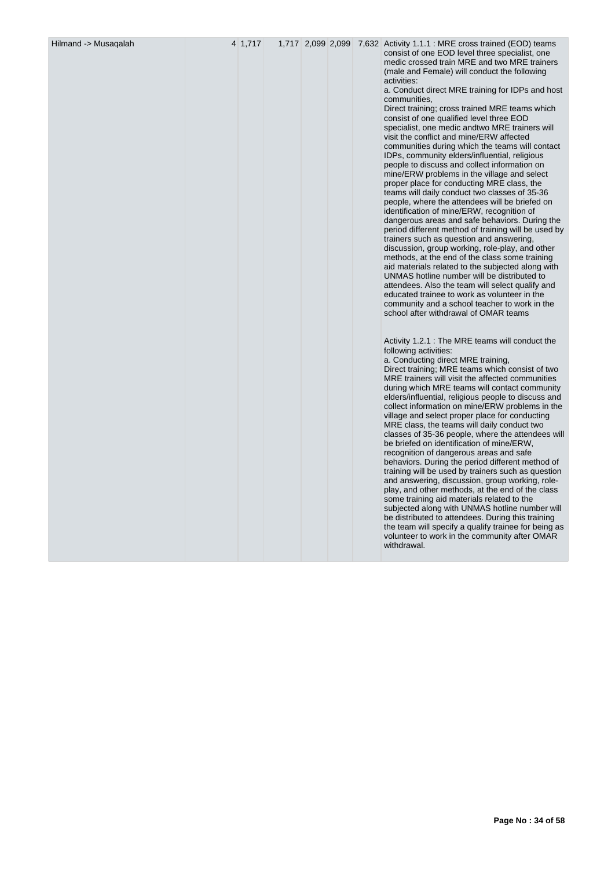Hilmand -> Musaqalah 4 1,717 1,717 2,099 2,099 7,632 Activity 1.1.1 : MRE cross trained (EOD) teams consist of one EOD level three specialist, one medic crossed train MRE and two MRE trainers (male and Female) will conduct the following activities:

> a. Conduct direct MRE training for IDPs and host communities,

> Direct training; cross trained MRE teams which consist of one qualified level three EOD specialist, one medic andtwo MRE trainers will visit the conflict and mine/ERW affected communities during which the teams will contact IDPs, community elders/influential, religious people to discuss and collect information on mine/ERW problems in the village and select proper place for conducting MRE class, the teams will daily conduct two classes of 35-36 people, where the attendees will be briefed on identification of mine/ERW, recognition of dangerous areas and safe behaviors. During the period different method of training will be used by trainers such as question and answering, discussion, group working, role-play, and other methods, at the end of the class some training aid materials related to the subjected along with UNMAS hotline number will be distributed to attendees. Also the team will select qualify and educated trainee to work as volunteer in the community and a school teacher to work in the school after withdrawal of OMAR teams

Activity 1.2.1 : The MRE teams will conduct the following activities: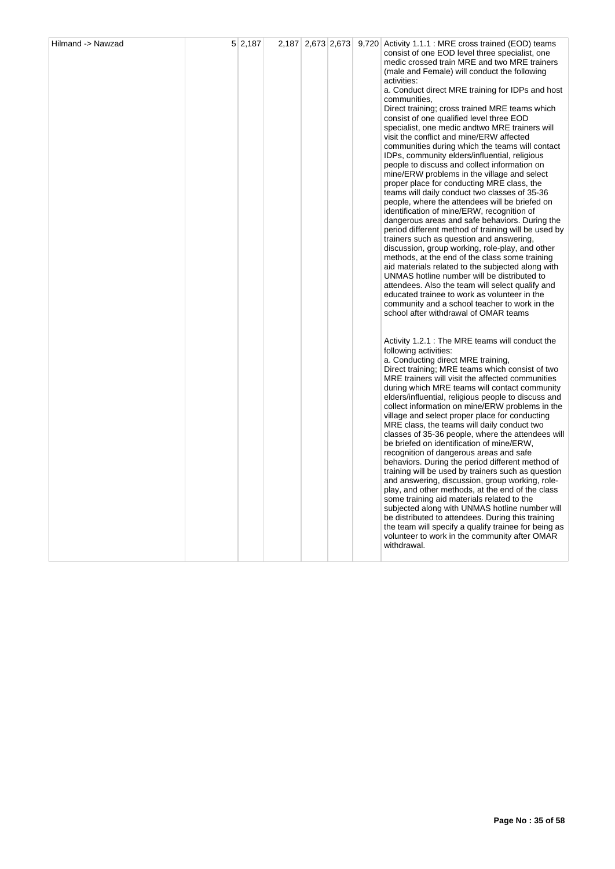|  |  |  | consist of one EOD level three specialist, one<br>medic crossed train MRE and two MRE trainers<br>(male and Female) will conduct the following<br>activities:<br>a. Conduct direct MRE training for IDPs and host<br>communities,<br>Direct training; cross trained MRE teams which<br>consist of one qualified level three EOD<br>specialist, one medic andtwo MRE trainers will<br>visit the conflict and mine/ERW affected<br>communities during which the teams will contact<br>IDPs, community elders/influential, religious<br>people to discuss and collect information on<br>mine/ERW problems in the village and select<br>proper place for conducting MRE class, the<br>teams will daily conduct two classes of 35-36<br>people, where the attendees will be briefed on<br>identification of mine/ERW, recognition of<br>dangerous areas and safe behaviors. During the<br>period different method of training will be used by<br>trainers such as question and answering,<br>discussion, group working, role-play, and other<br>methods, at the end of the class some training<br>aid materials related to the subjected along with<br>UNMAS hotline number will be distributed to<br>attendees. Also the team will select qualify and<br>educated trainee to work as volunteer in the<br>community and a school teacher to work in the<br>school after withdrawal of OMAR teams |
|--|--|--|---------------------------------------------------------------------------------------------------------------------------------------------------------------------------------------------------------------------------------------------------------------------------------------------------------------------------------------------------------------------------------------------------------------------------------------------------------------------------------------------------------------------------------------------------------------------------------------------------------------------------------------------------------------------------------------------------------------------------------------------------------------------------------------------------------------------------------------------------------------------------------------------------------------------------------------------------------------------------------------------------------------------------------------------------------------------------------------------------------------------------------------------------------------------------------------------------------------------------------------------------------------------------------------------------------------------------------------------------------------------------------------------|
|  |  |  | Activity 1.2.1 : The MRE teams will conduct the<br>following activities:<br>a. Conducting direct MRE training,<br>Direct training; MRE teams which consist of two<br>MRE trainers will visit the affected communities<br>during which MRE teams will contact community<br>elders/influential, religious people to discuss and<br>collect information on mine/ERW problems in the<br>village and select proper place for conducting<br>MRE class, the teams will daily conduct two<br>classes of 35-36 people, where the attendees will<br>be briefed on identification of mine/ERW,<br>recognition of dangerous areas and safe<br>behaviors. During the period different method of<br>training will be used by trainers such as question<br>and answering, discussion, group working, role-<br>play, and other methods, at the end of the class<br>some training aid materials related to the<br>subjected along with UNMAS hotline number will<br>be distributed to attendees. During this training<br>the team will specify a qualify trainee for being as<br>volunteer to work in the community after OMAR<br>withdrawal.                                                                                                                                                                                                                                                                |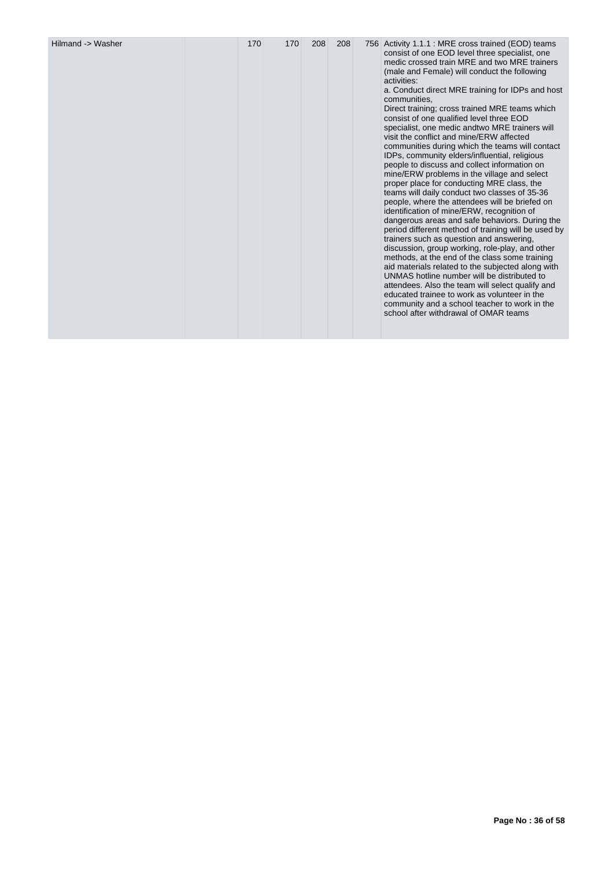| Hilmand -> Washer | 170 | 170 | 208 | 208 |  | 756 Activity 1.1.1 : MRE cross trained (EOD) teams<br>consist of one EOD level three specialist, one<br>medic crossed train MRE and two MRE trainers<br>(male and Female) will conduct the following<br>activities:<br>a. Conduct direct MRE training for IDPs and host<br>communities.<br>Direct training; cross trained MRE teams which<br>consist of one qualified level three EOD<br>specialist, one medic andtwo MRE trainers will<br>visit the conflict and mine/ERW affected<br>communities during which the teams will contact<br>IDPs, community elders/influential, religious<br>people to discuss and collect information on<br>mine/ERW problems in the village and select<br>proper place for conducting MRE class, the<br>teams will daily conduct two classes of 35-36<br>people, where the attendees will be briefed on<br>identification of mine/ERW, recognition of<br>dangerous areas and safe behaviors. During the<br>period different method of training will be used by<br>trainers such as question and answering.<br>discussion, group working, role-play, and other<br>methods, at the end of the class some training<br>aid materials related to the subjected along with<br>UNMAS hotline number will be distributed to<br>attendees. Also the team will select qualify and<br>educated trainee to work as volunteer in the<br>community and a school teacher to work in the<br>school after withdrawal of OMAR teams |
|-------------------|-----|-----|-----|-----|--|---------------------------------------------------------------------------------------------------------------------------------------------------------------------------------------------------------------------------------------------------------------------------------------------------------------------------------------------------------------------------------------------------------------------------------------------------------------------------------------------------------------------------------------------------------------------------------------------------------------------------------------------------------------------------------------------------------------------------------------------------------------------------------------------------------------------------------------------------------------------------------------------------------------------------------------------------------------------------------------------------------------------------------------------------------------------------------------------------------------------------------------------------------------------------------------------------------------------------------------------------------------------------------------------------------------------------------------------------------------------------------------------------------------------------------------------------|
|-------------------|-----|-----|-----|-----|--|---------------------------------------------------------------------------------------------------------------------------------------------------------------------------------------------------------------------------------------------------------------------------------------------------------------------------------------------------------------------------------------------------------------------------------------------------------------------------------------------------------------------------------------------------------------------------------------------------------------------------------------------------------------------------------------------------------------------------------------------------------------------------------------------------------------------------------------------------------------------------------------------------------------------------------------------------------------------------------------------------------------------------------------------------------------------------------------------------------------------------------------------------------------------------------------------------------------------------------------------------------------------------------------------------------------------------------------------------------------------------------------------------------------------------------------------------|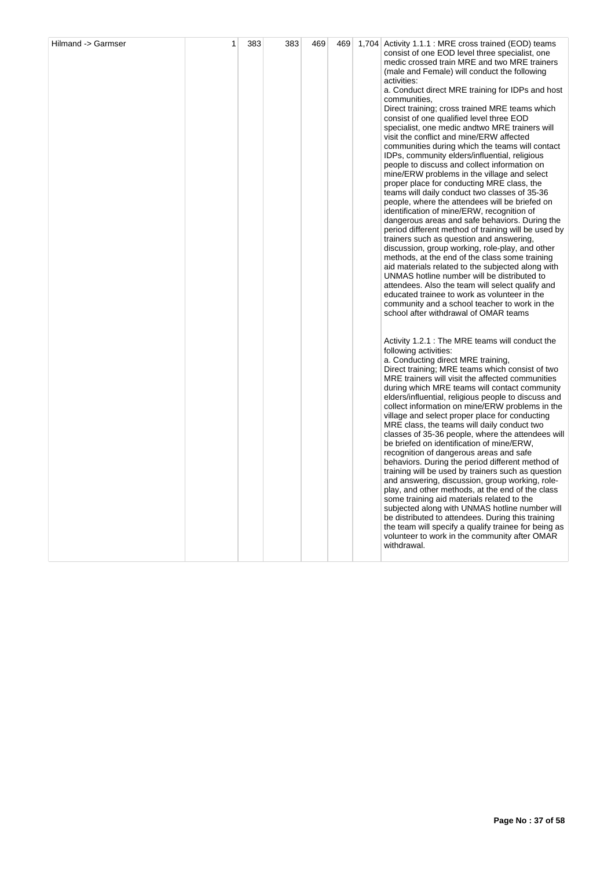|  |  |  | consist of one EOD level three specialist, one<br>medic crossed train MRE and two MRE trainers<br>(male and Female) will conduct the following<br>activities:<br>a. Conduct direct MRE training for IDPs and host<br>communities,<br>Direct training; cross trained MRE teams which<br>consist of one qualified level three EOD<br>specialist, one medic andtwo MRE trainers will<br>visit the conflict and mine/ERW affected<br>communities during which the teams will contact<br>IDPs, community elders/influential, religious<br>people to discuss and collect information on<br>mine/ERW problems in the village and select<br>proper place for conducting MRE class, the<br>teams will daily conduct two classes of 35-36<br>people, where the attendees will be briefed on<br>identification of mine/ERW, recognition of<br>dangerous areas and safe behaviors. During the<br>period different method of training will be used by<br>trainers such as question and answering,<br>discussion, group working, role-play, and other<br>methods, at the end of the class some training<br>aid materials related to the subjected along with<br>UNMAS hotline number will be distributed to<br>attendees. Also the team will select qualify and<br>educated trainee to work as volunteer in the<br>community and a school teacher to work in the<br>school after withdrawal of OMAR teams |
|--|--|--|---------------------------------------------------------------------------------------------------------------------------------------------------------------------------------------------------------------------------------------------------------------------------------------------------------------------------------------------------------------------------------------------------------------------------------------------------------------------------------------------------------------------------------------------------------------------------------------------------------------------------------------------------------------------------------------------------------------------------------------------------------------------------------------------------------------------------------------------------------------------------------------------------------------------------------------------------------------------------------------------------------------------------------------------------------------------------------------------------------------------------------------------------------------------------------------------------------------------------------------------------------------------------------------------------------------------------------------------------------------------------------------------|
|  |  |  | Activity 1.2.1 : The MRE teams will conduct the<br>following activities:<br>a. Conducting direct MRE training,<br>Direct training; MRE teams which consist of two<br>MRE trainers will visit the affected communities<br>during which MRE teams will contact community<br>elders/influential, religious people to discuss and<br>collect information on mine/ERW problems in the<br>village and select proper place for conducting<br>MRE class, the teams will daily conduct two<br>classes of 35-36 people, where the attendees will<br>be briefed on identification of mine/ERW,<br>recognition of dangerous areas and safe<br>behaviors. During the period different method of<br>training will be used by trainers such as question<br>and answering, discussion, group working, role-<br>play, and other methods, at the end of the class<br>some training aid materials related to the<br>subjected along with UNMAS hotline number will<br>be distributed to attendees. During this training<br>the team will specify a qualify trainee for being as<br>volunteer to work in the community after OMAR<br>withdrawal.                                                                                                                                                                                                                                                                |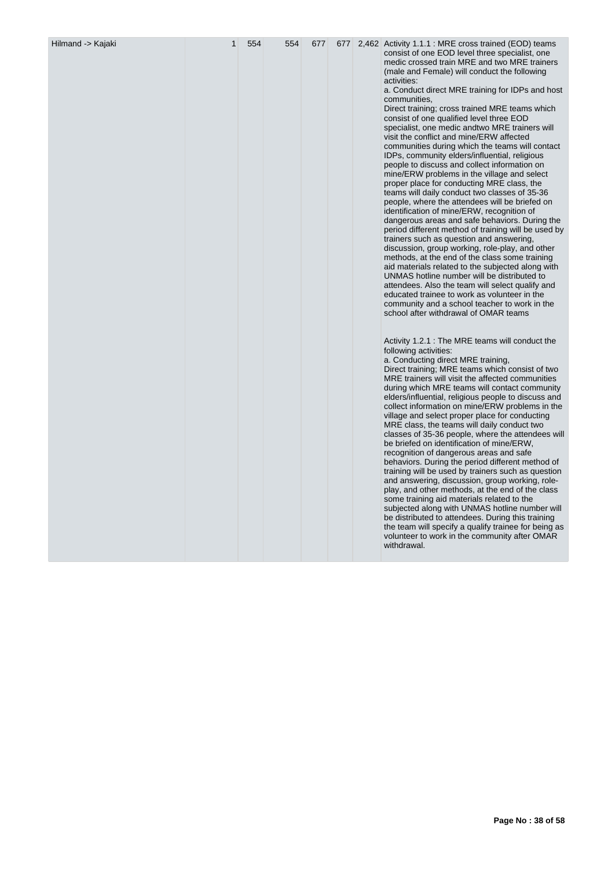| Hilmand -> Kajaki | 1 | 554 | 554 | 677 |  | 677 2,462 Activity 1.1.1 : MRE cross trained (EOD) teams<br>consist of one EOD level three specialist, one<br>medic crossed train MRE and two MRE trainers<br>(male and Female) will conduct the following<br>activities:<br>a. Conduct direct MRE training for IDPs and host<br>communities,<br>Direct training; cross trained MRE teams which<br>consist of one qualified level three EOD<br>specialist, one medic andtwo MRE trainers will<br>visit the conflict and mine/ERW affected<br>communities during which the teams will contact<br>IDPs, community elders/influential, religious<br>people to discuss and collect information on<br>mine/ERW problems in the village and select<br>proper place for conducting MRE class, the<br>teams will daily conduct two classes of 35-36<br>people, where the attendees will be briefed on<br>identification of mine/ERW, recognition of<br>dangerous areas and safe behaviors. During the<br>period different method of training will be used by<br>trainers such as question and answering,<br>discussion, group working, role-play, and other<br>methods, at the end of the class some training<br>aid materials related to the subjected along with<br>UNMAS hotline number will be distributed to<br>attendees. Also the team will select qualify and<br>educated trainee to work as volunteer in the<br>community and a school teacher to work in the<br>school after withdrawal of OMAR teams<br>Activity 1.2.1 : The MRE teams will conduct the<br>following activities: |
|-------------------|---|-----|-----|-----|--|-------------------------------------------------------------------------------------------------------------------------------------------------------------------------------------------------------------------------------------------------------------------------------------------------------------------------------------------------------------------------------------------------------------------------------------------------------------------------------------------------------------------------------------------------------------------------------------------------------------------------------------------------------------------------------------------------------------------------------------------------------------------------------------------------------------------------------------------------------------------------------------------------------------------------------------------------------------------------------------------------------------------------------------------------------------------------------------------------------------------------------------------------------------------------------------------------------------------------------------------------------------------------------------------------------------------------------------------------------------------------------------------------------------------------------------------------------------------------------------------------------------------------------------|
|                   |   |     |     |     |  | a. Conducting direct MRE training,<br>Direct training; MRE teams which consist of two<br>MRE trainers will visit the affected communities<br>during which MRE teams will contact community<br>elders/influential, religious people to discuss and<br>collect information on mine/ERW problems in the<br>village and select proper place for conducting<br>MRE class, the teams will daily conduct two<br>classes of 35-36 people, where the attendees will<br>be briefed on identification of mine/ERW,<br>recognition of dangerous areas and safe<br>behaviors. During the period different method of<br>training will be used by trainers such as question<br>and answering, discussion, group working, role-<br>play, and other methods, at the end of the class<br>some training aid materials related to the<br>subjected along with UNMAS hotline number will<br>be distributed to attendees. During this training<br>the team will specify a qualify trainee for being as<br>volunteer to work in the community after OMAR<br>withdrawal.                                                                                                                                                                                                                                                                                                                                                                                                                                                                                    |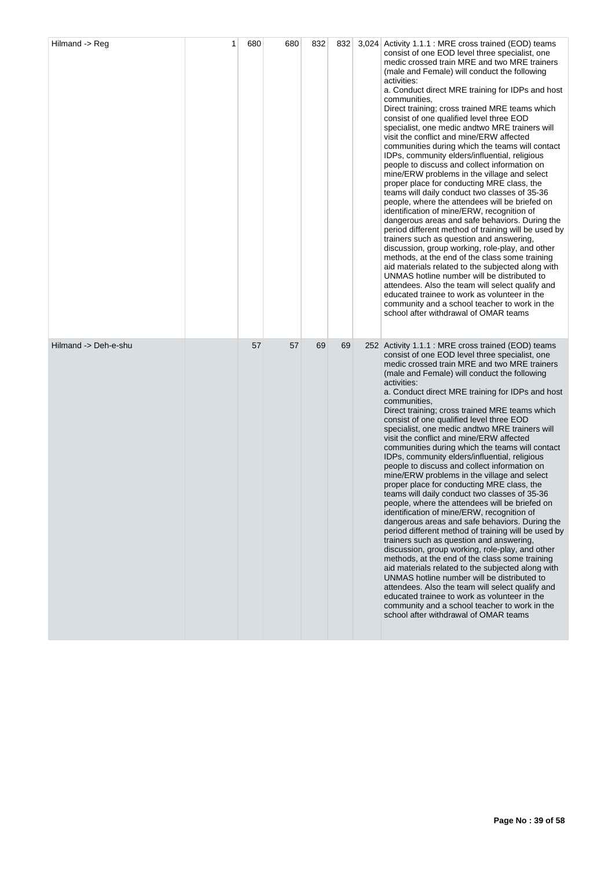| Hilmand -> Reg       | 1 | 680 | 680 | 832 | 832 | 3,024 Activity 1.1.1 : MRE cross trained (EOD) teams<br>consist of one EOD level three specialist, one<br>medic crossed train MRE and two MRE trainers<br>(male and Female) will conduct the following<br>activities:<br>a. Conduct direct MRE training for IDPs and host<br>communities,<br>Direct training; cross trained MRE teams which<br>consist of one qualified level three EOD<br>specialist, one medic and two MRE trainers will<br>visit the conflict and mine/ERW affected<br>communities during which the teams will contact<br>IDPs, community elders/influential, religious<br>people to discuss and collect information on<br>mine/ERW problems in the village and select<br>proper place for conducting MRE class, the<br>teams will daily conduct two classes of 35-36<br>people, where the attendees will be briefed on<br>identification of mine/ERW, recognition of<br>dangerous areas and safe behaviors. During the<br>period different method of training will be used by<br>trainers such as question and answering,<br>discussion, group working, role-play, and other<br>methods, at the end of the class some training<br>aid materials related to the subjected along with<br>UNMAS hotline number will be distributed to<br>attendees. Also the team will select qualify and<br>educated trainee to work as volunteer in the<br>community and a school teacher to work in the<br>school after withdrawal of OMAR teams |
|----------------------|---|-----|-----|-----|-----|------------------------------------------------------------------------------------------------------------------------------------------------------------------------------------------------------------------------------------------------------------------------------------------------------------------------------------------------------------------------------------------------------------------------------------------------------------------------------------------------------------------------------------------------------------------------------------------------------------------------------------------------------------------------------------------------------------------------------------------------------------------------------------------------------------------------------------------------------------------------------------------------------------------------------------------------------------------------------------------------------------------------------------------------------------------------------------------------------------------------------------------------------------------------------------------------------------------------------------------------------------------------------------------------------------------------------------------------------------------------------------------------------------------------------------------------------|
| Hilmand -> Deh-e-shu |   | 57  | 57  | 69  | 69  | 252 Activity 1.1.1 : MRE cross trained (EOD) teams<br>consist of one EOD level three specialist, one<br>medic crossed train MRE and two MRE trainers<br>(male and Female) will conduct the following<br>activities:<br>a. Conduct direct MRE training for IDPs and host<br>communities,<br>Direct training; cross trained MRE teams which<br>consist of one qualified level three EOD<br>specialist, one medic and two MRE trainers will<br>visit the conflict and mine/ERW affected<br>communities during which the teams will contact<br>IDPs, community elders/influential, religious<br>people to discuss and collect information on<br>mine/ERW problems in the village and select<br>proper place for conducting MRE class, the<br>teams will daily conduct two classes of 35-36<br>people, where the attendees will be briefed on<br>identification of mine/ERW, recognition of<br>dangerous areas and safe behaviors. During the<br>period different method of training will be used by<br>trainers such as question and answering,<br>discussion, group working, role-play, and other<br>methods, at the end of the class some training<br>aid materials related to the subjected along with<br>UNMAS hotline number will be distributed to<br>attendees. Also the team will select qualify and<br>educated trainee to work as volunteer in the<br>community and a school teacher to work in the<br>school after withdrawal of OMAR teams   |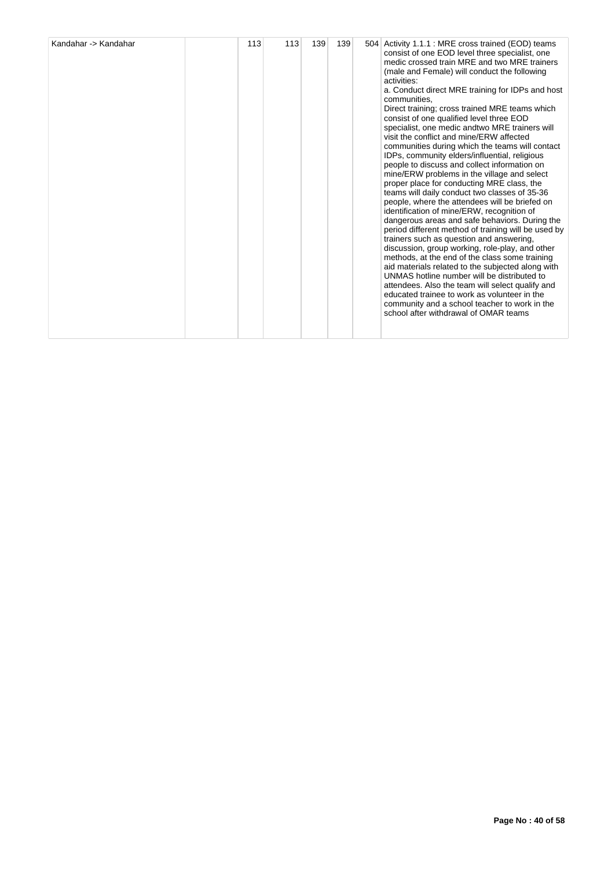| Kandahar -> Kandahar | 113 | 113 | 139 | 139 |  | 504 Activity 1.1.1 : MRE cross trained (EOD) teams<br>consist of one EOD level three specialist, one<br>medic crossed train MRE and two MRE trainers<br>(male and Female) will conduct the following<br>activities:<br>a. Conduct direct MRE training for IDPs and host<br>communities,<br>Direct training; cross trained MRE teams which<br>consist of one qualified level three EOD<br>specialist, one medic and two MRE trainers will<br>visit the conflict and mine/ERW affected<br>communities during which the teams will contact<br>IDPs, community elders/influential, religious<br>people to discuss and collect information on<br>mine/ERW problems in the village and select<br>proper place for conducting MRE class, the<br>teams will daily conduct two classes of 35-36<br>people, where the attendees will be briefed on<br>identification of mine/ERW, recognition of<br>dangerous areas and safe behaviors. During the<br>period different method of training will be used by<br>trainers such as question and answering.<br>discussion, group working, role-play, and other<br>methods, at the end of the class some training<br>aid materials related to the subjected along with<br>UNMAS hotline number will be distributed to<br>attendees. Also the team will select qualify and<br>educated trainee to work as volunteer in the<br>community and a school teacher to work in the<br>school after withdrawal of OMAR teams |
|----------------------|-----|-----|-----|-----|--|----------------------------------------------------------------------------------------------------------------------------------------------------------------------------------------------------------------------------------------------------------------------------------------------------------------------------------------------------------------------------------------------------------------------------------------------------------------------------------------------------------------------------------------------------------------------------------------------------------------------------------------------------------------------------------------------------------------------------------------------------------------------------------------------------------------------------------------------------------------------------------------------------------------------------------------------------------------------------------------------------------------------------------------------------------------------------------------------------------------------------------------------------------------------------------------------------------------------------------------------------------------------------------------------------------------------------------------------------------------------------------------------------------------------------------------------------|
|----------------------|-----|-----|-----|-----|--|----------------------------------------------------------------------------------------------------------------------------------------------------------------------------------------------------------------------------------------------------------------------------------------------------------------------------------------------------------------------------------------------------------------------------------------------------------------------------------------------------------------------------------------------------------------------------------------------------------------------------------------------------------------------------------------------------------------------------------------------------------------------------------------------------------------------------------------------------------------------------------------------------------------------------------------------------------------------------------------------------------------------------------------------------------------------------------------------------------------------------------------------------------------------------------------------------------------------------------------------------------------------------------------------------------------------------------------------------------------------------------------------------------------------------------------------------|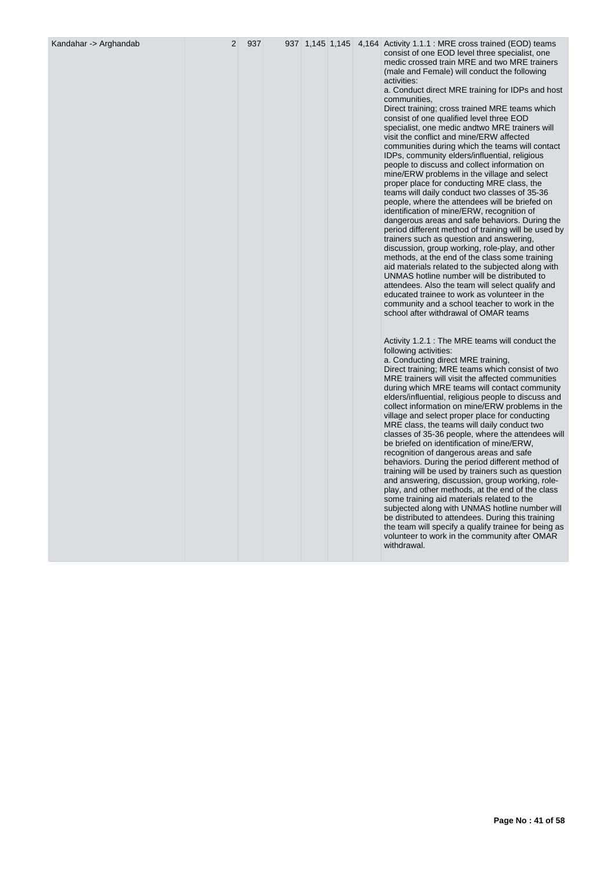| Kandahar -> Arghandab |  |  |  |
|-----------------------|--|--|--|
|-----------------------|--|--|--|

2 937 937 1,145 1,145 4,164 Activity 1,1,1 : MRE cross trained (EOD) teams consist of one EOD level three specialist, one medic crossed train MRE and two MRE trainers (male and Female) will conduct the following activities:

a. Conduct direct MRE training for IDPs and host communities,

Direct training; cross trained MRE teams which consist of one qualified level three EOD specialist, one medic andtwo MRE trainers will visit the conflict and mine/ERW affected communities during which the teams will contact IDPs, community elders/influential, religious people to discuss and collect information on mine/ERW problems in the village and select proper place for conducting MRE class, the teams will daily conduct two classes of 35-36 people, where the attendees will be briefed on identification of mine/ERW, recognition of dangerous areas and safe behaviors. During the period different method of training will be used by trainers such as question and answering, discussion, group working, role-play, and other methods, at the end of the class some training aid materials related to the subjected along with UNMAS hotline number will be distributed to attendees. Also the team will select qualify and educated trainee to work as volunteer in the community and a school teacher to work in the school after withdrawal of OMAR teams

Activity 1.2.1 : The MRE teams will conduct the following activities: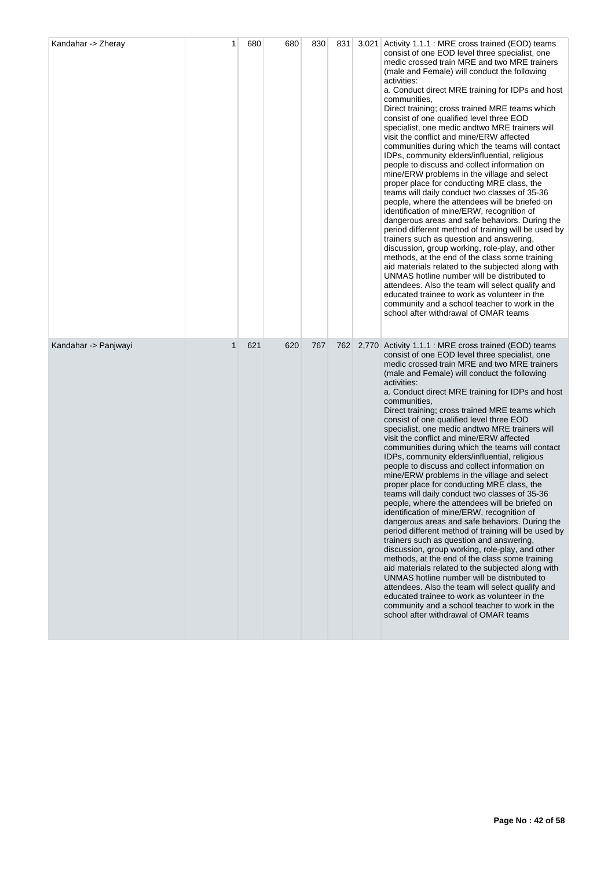| Kandahar -> Zheray   | 1           | 680 | 680 | 830 | 831 | 3,021 Activity 1.1.1 : MRE cross trained (EOD) teams<br>consist of one EOD level three specialist, one<br>medic crossed train MRE and two MRE trainers<br>(male and Female) will conduct the following<br>activities:<br>a. Conduct direct MRE training for IDPs and host<br>communities,<br>Direct training; cross trained MRE teams which<br>consist of one qualified level three EOD<br>specialist, one medic and two MRE trainers will<br>visit the conflict and mine/ERW affected<br>communities during which the teams will contact<br>IDPs, community elders/influential, religious<br>people to discuss and collect information on<br>mine/ERW problems in the village and select<br>proper place for conducting MRE class, the<br>teams will daily conduct two classes of 35-36<br>people, where the attendees will be briefed on<br>identification of mine/ERW, recognition of<br>dangerous areas and safe behaviors. During the<br>period different method of training will be used by<br>trainers such as question and answering,<br>discussion, group working, role-play, and other<br>methods, at the end of the class some training<br>aid materials related to the subjected along with<br>UNMAS hotline number will be distributed to<br>attendees. Also the team will select qualify and<br>educated trainee to work as volunteer in the<br>community and a school teacher to work in the<br>school after withdrawal of OMAR teams |
|----------------------|-------------|-----|-----|-----|-----|------------------------------------------------------------------------------------------------------------------------------------------------------------------------------------------------------------------------------------------------------------------------------------------------------------------------------------------------------------------------------------------------------------------------------------------------------------------------------------------------------------------------------------------------------------------------------------------------------------------------------------------------------------------------------------------------------------------------------------------------------------------------------------------------------------------------------------------------------------------------------------------------------------------------------------------------------------------------------------------------------------------------------------------------------------------------------------------------------------------------------------------------------------------------------------------------------------------------------------------------------------------------------------------------------------------------------------------------------------------------------------------------------------------------------------------------------|
| Kandahar -> Panjwayi | $\mathbf 1$ | 621 | 620 | 767 | 762 | 2,770 Activity 1.1.1 : MRE cross trained (EOD) teams<br>consist of one EOD level three specialist, one<br>medic crossed train MRE and two MRE trainers<br>(male and Female) will conduct the following<br>activities:<br>a. Conduct direct MRE training for IDPs and host<br>communities,<br>Direct training; cross trained MRE teams which<br>consist of one qualified level three EOD<br>specialist, one medic and two MRE trainers will<br>visit the conflict and mine/ERW affected<br>communities during which the teams will contact<br>IDPs, community elders/influential, religious<br>people to discuss and collect information on<br>mine/ERW problems in the village and select<br>proper place for conducting MRE class, the<br>teams will daily conduct two classes of 35-36<br>people, where the attendees will be briefed on<br>identification of mine/ERW, recognition of<br>dangerous areas and safe behaviors. During the<br>period different method of training will be used by<br>trainers such as question and answering,<br>discussion, group working, role-play, and other<br>methods, at the end of the class some training<br>aid materials related to the subjected along with<br>UNMAS hotline number will be distributed to<br>attendees. Also the team will select qualify and<br>educated trainee to work as volunteer in the<br>community and a school teacher to work in the<br>school after withdrawal of OMAR teams |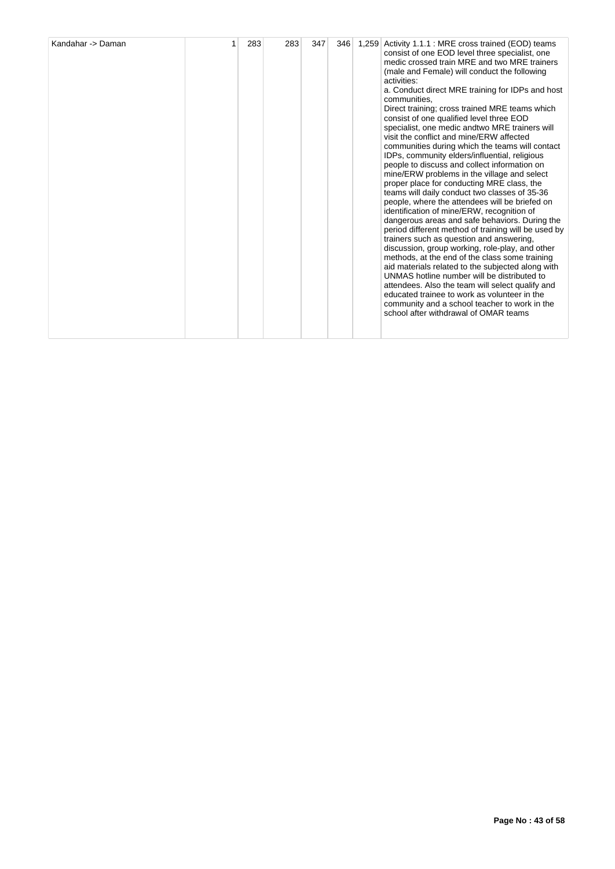| Kandahar -> Daman |  | 283 | 283 | 347 | 346 | 1,259 | Activity 1.1.1 : MRE cross trained (EOD) teams<br>consist of one EOD level three specialist, one<br>medic crossed train MRE and two MRE trainers<br>(male and Female) will conduct the following<br>activities:<br>a. Conduct direct MRE training for IDPs and host<br>communities.<br>Direct training; cross trained MRE teams which<br>consist of one qualified level three EOD<br>specialist, one medic and two MRE trainers will<br>visit the conflict and mine/ERW affected<br>communities during which the teams will contact<br>IDPs, community elders/influential, religious<br>people to discuss and collect information on<br>mine/ERW problems in the village and select<br>proper place for conducting MRE class, the<br>teams will daily conduct two classes of 35-36<br>people, where the attendees will be briefed on<br>identification of mine/ERW, recognition of<br>dangerous areas and safe behaviors. During the<br>period different method of training will be used by<br>trainers such as question and answering,<br>discussion, group working, role-play, and other<br>methods, at the end of the class some training<br>aid materials related to the subjected along with<br>UNMAS hotline number will be distributed to<br>attendees. Also the team will select qualify and<br>educated trainee to work as volunteer in the<br>community and a school teacher to work in the<br>school after withdrawal of OMAR teams |
|-------------------|--|-----|-----|-----|-----|-------|------------------------------------------------------------------------------------------------------------------------------------------------------------------------------------------------------------------------------------------------------------------------------------------------------------------------------------------------------------------------------------------------------------------------------------------------------------------------------------------------------------------------------------------------------------------------------------------------------------------------------------------------------------------------------------------------------------------------------------------------------------------------------------------------------------------------------------------------------------------------------------------------------------------------------------------------------------------------------------------------------------------------------------------------------------------------------------------------------------------------------------------------------------------------------------------------------------------------------------------------------------------------------------------------------------------------------------------------------------------------------------------------------------------------------------------------|
|-------------------|--|-----|-----|-----|-----|-------|------------------------------------------------------------------------------------------------------------------------------------------------------------------------------------------------------------------------------------------------------------------------------------------------------------------------------------------------------------------------------------------------------------------------------------------------------------------------------------------------------------------------------------------------------------------------------------------------------------------------------------------------------------------------------------------------------------------------------------------------------------------------------------------------------------------------------------------------------------------------------------------------------------------------------------------------------------------------------------------------------------------------------------------------------------------------------------------------------------------------------------------------------------------------------------------------------------------------------------------------------------------------------------------------------------------------------------------------------------------------------------------------------------------------------------------------|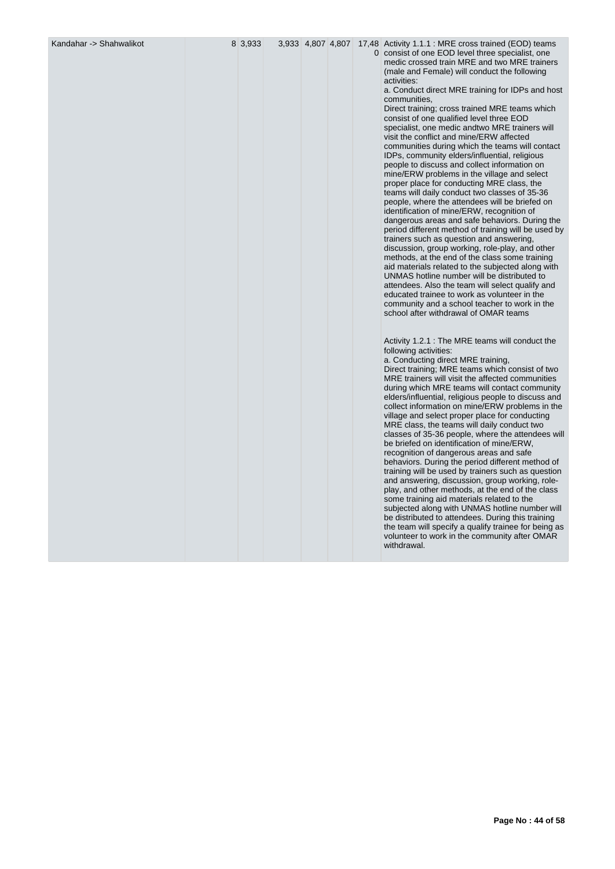Kandahar -> Shahwalikot 8 3,933 3,933 4,807 4,807 17,48 Activity 1.1.1 : MRE cross trained (EOD) teams 0 consist of one EOD level three specialist, one medic crossed train MRE and two MRE trainers (male and Female) will conduct the following activities:

a. Conduct direct MRE training for IDPs and host communities,

Direct training; cross trained MRE teams which consist of one qualified level three EOD specialist, one medic andtwo MRE trainers will visit the conflict and mine/ERW affected communities during which the teams will contact IDPs, community elders/influential, religious people to discuss and collect information on mine/ERW problems in the village and select proper place for conducting MRE class, the teams will daily conduct two classes of 35-36 people, where the attendees will be briefed on identification of mine/ERW, recognition of dangerous areas and safe behaviors. During the period different method of training will be used by trainers such as question and answering, discussion, group working, role-play, and other methods, at the end of the class some training aid materials related to the subjected along with UNMAS hotline number will be distributed to attendees. Also the team will select qualify and educated trainee to work as volunteer in the community and a school teacher to work in the school after withdrawal of OMAR teams

Activity 1.2.1 : The MRE teams will conduct the following activities: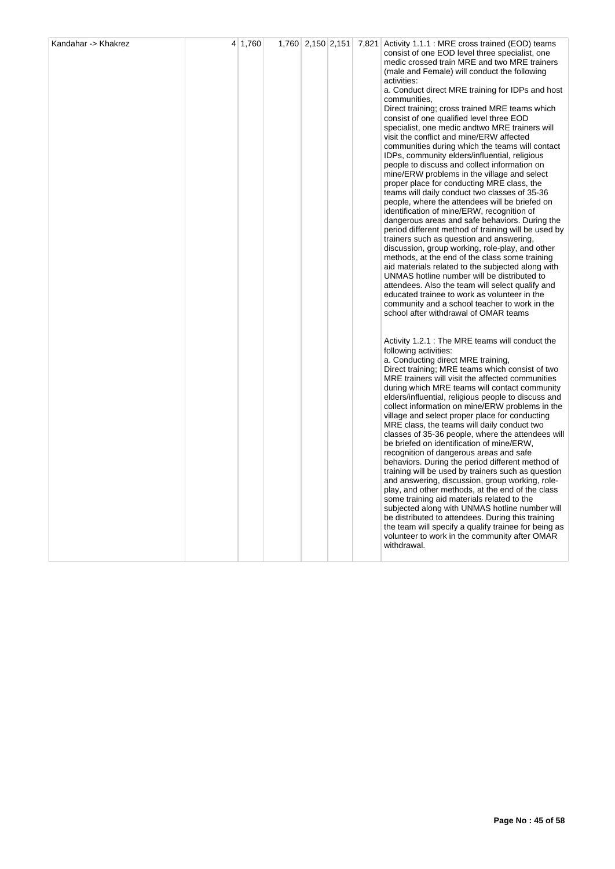|  |  |  | consist of one EOD level three specialist, one<br>medic crossed train MRE and two MRE trainers<br>(male and Female) will conduct the following<br>activities:<br>a. Conduct direct MRE training for IDPs and host<br>communities,<br>Direct training; cross trained MRE teams which<br>consist of one qualified level three EOD<br>specialist, one medic andtwo MRE trainers will<br>visit the conflict and mine/ERW affected<br>communities during which the teams will contact<br>IDPs, community elders/influential, religious<br>people to discuss and collect information on<br>mine/ERW problems in the village and select<br>proper place for conducting MRE class, the<br>teams will daily conduct two classes of 35-36<br>people, where the attendees will be briefed on<br>identification of mine/ERW, recognition of<br>dangerous areas and safe behaviors. During the<br>period different method of training will be used by<br>trainers such as question and answering,<br>discussion, group working, role-play, and other<br>methods, at the end of the class some training<br>aid materials related to the subjected along with<br>UNMAS hotline number will be distributed to<br>attendees. Also the team will select qualify and<br>educated trainee to work as volunteer in the<br>community and a school teacher to work in the<br>school after withdrawal of OMAR teams |
|--|--|--|---------------------------------------------------------------------------------------------------------------------------------------------------------------------------------------------------------------------------------------------------------------------------------------------------------------------------------------------------------------------------------------------------------------------------------------------------------------------------------------------------------------------------------------------------------------------------------------------------------------------------------------------------------------------------------------------------------------------------------------------------------------------------------------------------------------------------------------------------------------------------------------------------------------------------------------------------------------------------------------------------------------------------------------------------------------------------------------------------------------------------------------------------------------------------------------------------------------------------------------------------------------------------------------------------------------------------------------------------------------------------------------------|
|  |  |  | Activity 1.2.1 : The MRE teams will conduct the<br>following activities:<br>a. Conducting direct MRE training,<br>Direct training; MRE teams which consist of two<br>MRE trainers will visit the affected communities<br>during which MRE teams will contact community<br>elders/influential, religious people to discuss and<br>collect information on mine/ERW problems in the<br>village and select proper place for conducting<br>MRE class, the teams will daily conduct two<br>classes of 35-36 people, where the attendees will<br>be briefed on identification of mine/ERW,<br>recognition of dangerous areas and safe<br>behaviors. During the period different method of<br>training will be used by trainers such as question<br>and answering, discussion, group working, role-<br>play, and other methods, at the end of the class<br>some training aid materials related to the<br>subjected along with UNMAS hotline number will<br>be distributed to attendees. During this training<br>the team will specify a qualify trainee for being as<br>volunteer to work in the community after OMAR<br>withdrawal.                                                                                                                                                                                                                                                                |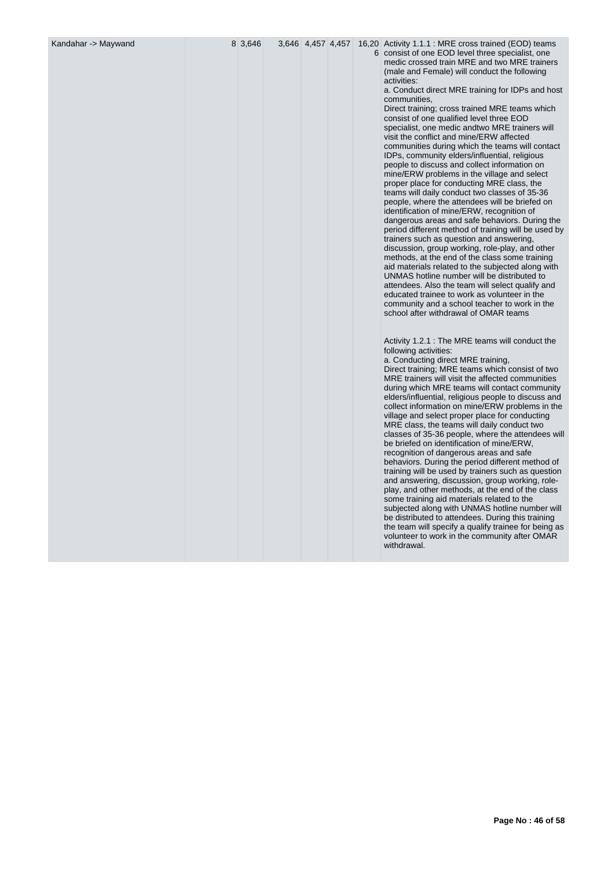|  | Kandahar -> Maywand |  |  |  |
|--|---------------------|--|--|--|
|--|---------------------|--|--|--|

Kandahar -> Maywand 8 3,646 3,646 4,457 4,457 16,20 Activity 1.1.1 : MRE cross trained (EOD) teams 6 consist of one EOD level three specialist, one medic crossed train MRE and two MRE trainers (male and Female) will conduct the following activities:

a. Conduct direct MRE training for IDPs and host communities,

Direct training; cross trained MRE teams which consist of one qualified level three EOD specialist, one medic andtwo MRE trainers will visit the conflict and mine/ERW affected communities during which the teams will contact IDPs, community elders/influential, religious people to discuss and collect information on mine/ERW problems in the village and select proper place for conducting MRE class, the teams will daily conduct two classes of 35-36 people, where the attendees will be briefed on identification of mine/ERW, recognition of dangerous areas and safe behaviors. During the period different method of training will be used by trainers such as question and answering, discussion, group working, role-play, and other methods, at the end of the class some training aid materials related to the subjected along with UNMAS hotline number will be distributed to attendees. Also the team will select qualify and educated trainee to work as volunteer in the community and a school teacher to work in the school after withdrawal of OMAR teams

Activity 1.2.1 : The MRE teams will conduct the following activities: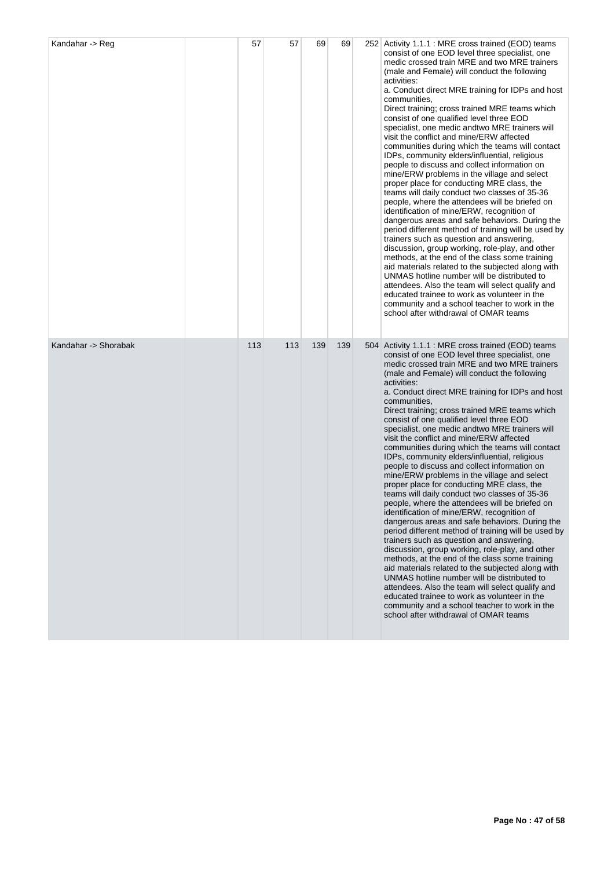| Kandahar -> Reg      | 57  | 57  | 69  | 69  | 252 Activity 1.1.1 : MRE cross trained (EOD) teams<br>consist of one EOD level three specialist, one<br>medic crossed train MRE and two MRE trainers<br>(male and Female) will conduct the following<br>activities:<br>a. Conduct direct MRE training for IDPs and host<br>communities,<br>Direct training; cross trained MRE teams which<br>consist of one qualified level three EOD<br>specialist, one medic and two MRE trainers will<br>visit the conflict and mine/ERW affected<br>communities during which the teams will contact<br>IDPs, community elders/influential, religious<br>people to discuss and collect information on<br>mine/ERW problems in the village and select<br>proper place for conducting MRE class, the<br>teams will daily conduct two classes of 35-36<br>people, where the attendees will be briefed on<br>identification of mine/ERW, recognition of<br>dangerous areas and safe behaviors. During the<br>period different method of training will be used by<br>trainers such as question and answering,<br>discussion, group working, role-play, and other<br>methods, at the end of the class some training<br>aid materials related to the subjected along with<br>UNMAS hotline number will be distributed to<br>attendees. Also the team will select qualify and<br>educated trainee to work as volunteer in the<br>community and a school teacher to work in the<br>school after withdrawal of OMAR teams |
|----------------------|-----|-----|-----|-----|----------------------------------------------------------------------------------------------------------------------------------------------------------------------------------------------------------------------------------------------------------------------------------------------------------------------------------------------------------------------------------------------------------------------------------------------------------------------------------------------------------------------------------------------------------------------------------------------------------------------------------------------------------------------------------------------------------------------------------------------------------------------------------------------------------------------------------------------------------------------------------------------------------------------------------------------------------------------------------------------------------------------------------------------------------------------------------------------------------------------------------------------------------------------------------------------------------------------------------------------------------------------------------------------------------------------------------------------------------------------------------------------------------------------------------------------------|
| Kandahar -> Shorabak | 113 | 113 | 139 | 139 | 504 Activity 1.1.1 : MRE cross trained (EOD) teams<br>consist of one EOD level three specialist, one<br>medic crossed train MRE and two MRE trainers<br>(male and Female) will conduct the following<br>activities:<br>a. Conduct direct MRE training for IDPs and host<br>communities,<br>Direct training; cross trained MRE teams which<br>consist of one qualified level three EOD<br>specialist, one medic and two MRE trainers will<br>visit the conflict and mine/ERW affected<br>communities during which the teams will contact<br>IDPs, community elders/influential, religious<br>people to discuss and collect information on<br>mine/ERW problems in the village and select<br>proper place for conducting MRE class, the<br>teams will daily conduct two classes of 35-36<br>people, where the attendees will be briefed on<br>identification of mine/ERW, recognition of<br>dangerous areas and safe behaviors. During the<br>period different method of training will be used by<br>trainers such as question and answering,<br>discussion, group working, role-play, and other<br>methods, at the end of the class some training<br>aid materials related to the subjected along with<br>UNMAS hotline number will be distributed to<br>attendees. Also the team will select qualify and<br>educated trainee to work as volunteer in the<br>community and a school teacher to work in the<br>school after withdrawal of OMAR teams |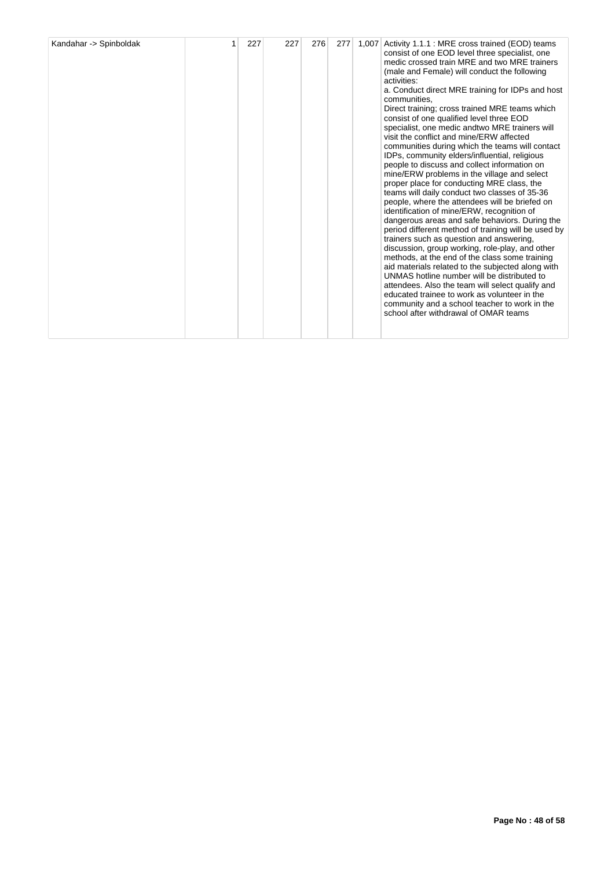| Kandahar -> Spinboldak |  | 227 | 227 | 276 | 277 | 1,007 | Activity 1.1.1 : MRE cross trained (EOD) teams<br>consist of one EOD level three specialist, one<br>medic crossed train MRE and two MRE trainers<br>(male and Female) will conduct the following<br>activities:<br>a. Conduct direct MRE training for IDPs and host<br>communities,<br>Direct training; cross trained MRE teams which<br>consist of one qualified level three EOD<br>specialist, one medic and two MRE trainers will<br>visit the conflict and mine/ERW affected<br>communities during which the teams will contact<br>IDPs, community elders/influential, religious<br>people to discuss and collect information on<br>mine/ERW problems in the village and select<br>proper place for conducting MRE class, the<br>teams will daily conduct two classes of 35-36<br>people, where the attendees will be briefed on<br>identification of mine/ERW, recognition of<br>dangerous areas and safe behaviors. During the<br>period different method of training will be used by<br>trainers such as question and answering.<br>discussion, group working, role-play, and other<br>methods, at the end of the class some training<br>aid materials related to the subjected along with<br>UNMAS hotline number will be distributed to<br>attendees. Also the team will select qualify and<br>educated trainee to work as volunteer in the<br>community and a school teacher to work in the<br>school after withdrawal of OMAR teams |
|------------------------|--|-----|-----|-----|-----|-------|------------------------------------------------------------------------------------------------------------------------------------------------------------------------------------------------------------------------------------------------------------------------------------------------------------------------------------------------------------------------------------------------------------------------------------------------------------------------------------------------------------------------------------------------------------------------------------------------------------------------------------------------------------------------------------------------------------------------------------------------------------------------------------------------------------------------------------------------------------------------------------------------------------------------------------------------------------------------------------------------------------------------------------------------------------------------------------------------------------------------------------------------------------------------------------------------------------------------------------------------------------------------------------------------------------------------------------------------------------------------------------------------------------------------------------------------|
|------------------------|--|-----|-----|-----|-----|-------|------------------------------------------------------------------------------------------------------------------------------------------------------------------------------------------------------------------------------------------------------------------------------------------------------------------------------------------------------------------------------------------------------------------------------------------------------------------------------------------------------------------------------------------------------------------------------------------------------------------------------------------------------------------------------------------------------------------------------------------------------------------------------------------------------------------------------------------------------------------------------------------------------------------------------------------------------------------------------------------------------------------------------------------------------------------------------------------------------------------------------------------------------------------------------------------------------------------------------------------------------------------------------------------------------------------------------------------------------------------------------------------------------------------------------------------------|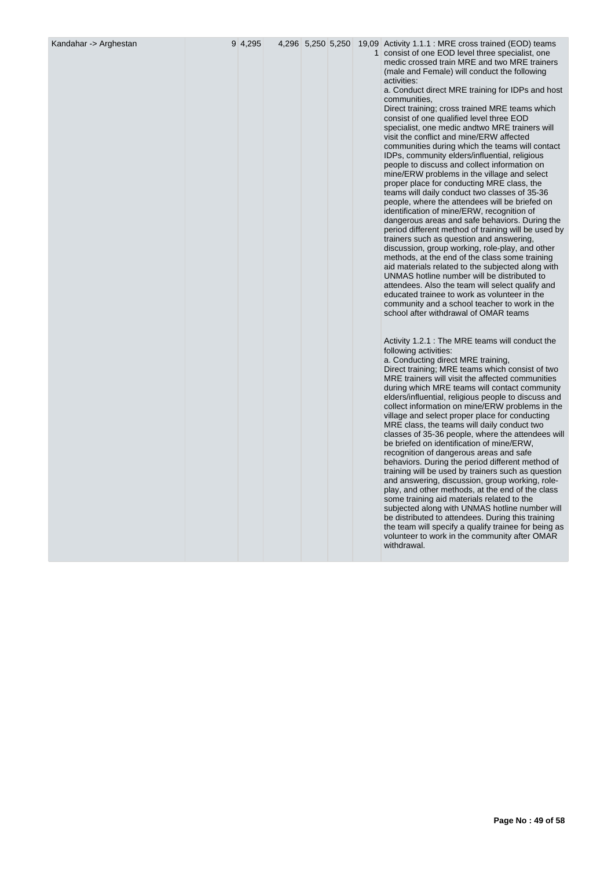| Kandahar -> Arghestan | 9 4.295 | 4,296 5,250 5,250 |  | 19,09 Activity 1.1.1 : MRE cross trained (EOD) teams<br>1 consist of one EOD level three specialist, one<br>medic crossed train MRE and two MRE trainers<br>(male and Female) will conduct the following<br>activities:<br>a. Conduct direct MRE training for IDPs and host<br>communities,<br>Direct training; cross trained MRE teams which<br>consist of one qualified level three EOD<br>specialist, one medic andtwo MRE trainers will<br>visit the conflict and mine/ERW affected<br>communities during which the teams will contact<br>IDPs, community elders/influential, religious<br>people to discuss and collect information on<br>mine/ERW problems in the village and select<br>proper place for conducting MRE class, the<br>teams will daily conduct two classes of 35-36<br>people, where the attendees will be briefed on<br>identification of mine/ERW, recognition of<br>dangerous areas and safe behaviors. During the<br>period different method of training will be used by<br>trainers such as question and answering,<br>discussion, group working, role-play, and other<br>methods, at the end of the class some training<br>aid materials related to the subjected along with<br>UNMAS hotline number will be distributed to<br>attendees. Also the team will select qualify and<br>educated trainee to work as volunteer in the<br>community and a school teacher to work in the<br>school after withdrawal of OMAR teams<br>Activity 1.2.1 : The MRE teams will conduct the<br>following activities:<br>a. Conducting direct MRE training,<br>Direct training; MRE teams which consist of two<br>MRE trainers will visit the affected communities<br>during which MRE teams will contact community<br>elders/influential, religious people to discuss and<br>collect information on mine/ERW problems in the<br>village and select proper place for conducting<br>MRE class, the teams will daily conduct two<br>classes of 35-36 people, where the attendees will<br>be briefed on identification of mine/ERW,<br>recognition of dangerous areas and safe<br>behaviors. During the period different method of<br>training will be used by trainers such as question<br>and answering, discussion, group working, role-<br>play, and other methods, at the end of the class<br>some training aid materials related to the<br>subjected along with UNMAS hotline number will<br>be distributed to attendees. During this training<br>the team will specify a qualify trainee for being as<br>volunteer to work in the community after OMAR<br>withdrawal. |
|-----------------------|---------|-------------------|--|---------------------------------------------------------------------------------------------------------------------------------------------------------------------------------------------------------------------------------------------------------------------------------------------------------------------------------------------------------------------------------------------------------------------------------------------------------------------------------------------------------------------------------------------------------------------------------------------------------------------------------------------------------------------------------------------------------------------------------------------------------------------------------------------------------------------------------------------------------------------------------------------------------------------------------------------------------------------------------------------------------------------------------------------------------------------------------------------------------------------------------------------------------------------------------------------------------------------------------------------------------------------------------------------------------------------------------------------------------------------------------------------------------------------------------------------------------------------------------------------------------------------------------------------------------------------------------------------------------------------------------------------------------------------------------------------------------------------------------------------------------------------------------------------------------------------------------------------------------------------------------------------------------------------------------------------------------------------------------------------------------------------------------------------------------------------------------------------------------------------------------------------------------------------------------------------------------------------------------------------------------------------------------------------------------------------------------------------------------------------------------------------------------------------------------------------------------------------------------------------------------------------------------------------------------------------------------------|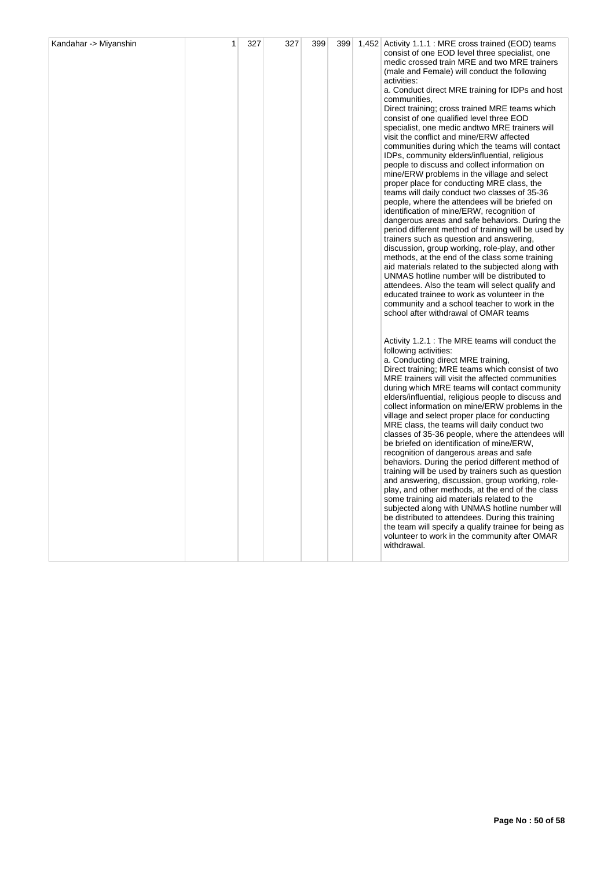|  |  |  | consist of one EOD level three specialist, one<br>medic crossed train MRE and two MRE trainers<br>(male and Female) will conduct the following<br>activities:<br>a. Conduct direct MRE training for IDPs and host<br>communities,<br>Direct training; cross trained MRE teams which<br>consist of one qualified level three EOD<br>specialist, one medic andtwo MRE trainers will<br>visit the conflict and mine/ERW affected<br>communities during which the teams will contact<br>IDPs, community elders/influential, religious<br>people to discuss and collect information on<br>mine/ERW problems in the village and select<br>proper place for conducting MRE class, the<br>teams will daily conduct two classes of 35-36<br>people, where the attendees will be briefed on<br>identification of mine/ERW, recognition of<br>dangerous areas and safe behaviors. During the<br>period different method of training will be used by<br>trainers such as question and answering,<br>discussion, group working, role-play, and other<br>methods, at the end of the class some training<br>aid materials related to the subjected along with<br>UNMAS hotline number will be distributed to<br>attendees. Also the team will select qualify and<br>educated trainee to work as volunteer in the<br>community and a school teacher to work in the<br>school after withdrawal of OMAR teams |
|--|--|--|---------------------------------------------------------------------------------------------------------------------------------------------------------------------------------------------------------------------------------------------------------------------------------------------------------------------------------------------------------------------------------------------------------------------------------------------------------------------------------------------------------------------------------------------------------------------------------------------------------------------------------------------------------------------------------------------------------------------------------------------------------------------------------------------------------------------------------------------------------------------------------------------------------------------------------------------------------------------------------------------------------------------------------------------------------------------------------------------------------------------------------------------------------------------------------------------------------------------------------------------------------------------------------------------------------------------------------------------------------------------------------------------|
|  |  |  | Activity 1.2.1 : The MRE teams will conduct the<br>following activities:<br>a. Conducting direct MRE training,<br>Direct training; MRE teams which consist of two<br>MRE trainers will visit the affected communities<br>during which MRE teams will contact community<br>elders/influential, religious people to discuss and<br>collect information on mine/ERW problems in the<br>village and select proper place for conducting<br>MRE class, the teams will daily conduct two<br>classes of 35-36 people, where the attendees will<br>be briefed on identification of mine/ERW,<br>recognition of dangerous areas and safe<br>behaviors. During the period different method of<br>training will be used by trainers such as question<br>and answering, discussion, group working, role-<br>play, and other methods, at the end of the class<br>some training aid materials related to the<br>subjected along with UNMAS hotline number will<br>be distributed to attendees. During this training<br>the team will specify a qualify trainee for being as<br>volunteer to work in the community after OMAR<br>withdrawal.                                                                                                                                                                                                                                                                |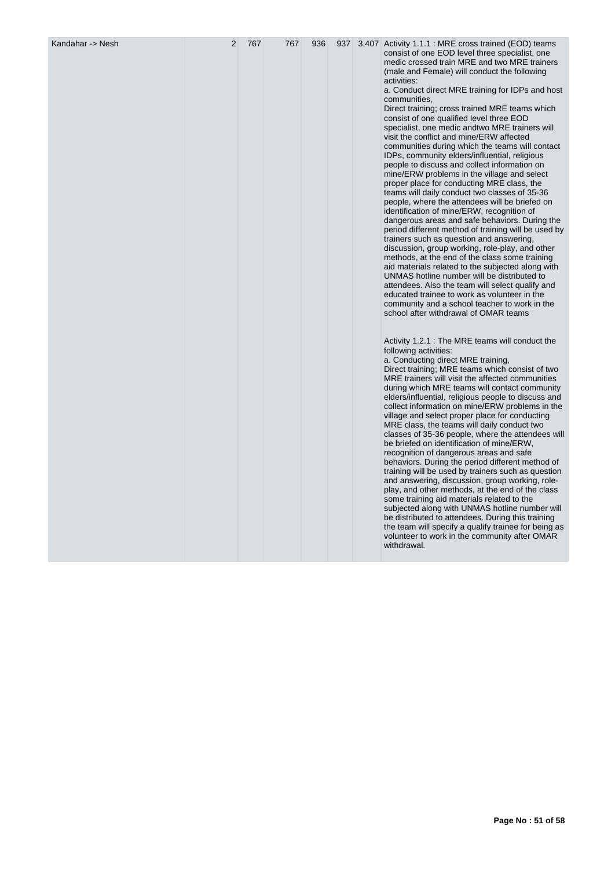| Kandahar -> Nesh | $\overline{2}$ | 767 | 767 | 936 | 937 |  | 3,407 Activity 1.1.1 : MRE cross trained (EOD) teams<br>consist of one EOD level three specialist, one<br>medic crossed train MRE and two MRE trainers<br>(male and Female) will conduct the following<br>activities:<br>a. Conduct direct MRE training for IDPs and host<br>communities,<br>Direct training; cross trained MRE teams which<br>consist of one qualified level three EOD<br>specialist, one medic and two MRE trainers will<br>visit the conflict and mine/ERW affected<br>communities during which the teams will contact<br>IDPs, community elders/influential, religious<br>people to discuss and collect information on<br>mine/ERW problems in the village and select<br>proper place for conducting MRE class, the<br>teams will daily conduct two classes of 35-36<br>people, where the attendees will be briefed on<br>identification of mine/ERW, recognition of<br>dangerous areas and safe behaviors. During the<br>period different method of training will be used by<br>trainers such as question and answering,<br>discussion, group working, role-play, and other<br>methods, at the end of the class some training<br>aid materials related to the subjected along with<br>UNMAS hotline number will be distributed to<br>attendees. Also the team will select qualify and<br>educated trainee to work as volunteer in the<br>community and a school teacher to work in the<br>school after withdrawal of OMAR teams<br>Activity 1.2.1 : The MRE teams will conduct the<br>following activities:<br>a. Conducting direct MRE training,<br>Direct training; MRE teams which consist of two<br>MRE trainers will visit the affected communities<br>during which MRE teams will contact community<br>elders/influential, religious people to discuss and<br>collect information on mine/ERW problems in the<br>village and select proper place for conducting<br>MRE class, the teams will daily conduct two<br>classes of 35-36 people, where the attendees will<br>be briefed on identification of mine/ERW,<br>recognition of dangerous areas and safe<br>behaviors. During the period different method of<br>training will be used by trainers such as question<br>and answering, discussion, group working, role-<br>play, and other methods, at the end of the class<br>some training aid materials related to the<br>subjected along with UNMAS hotline number will<br>be distributed to attendees. During this training<br>the team will specify a qualify trainee for being as<br>volunteer to work in the community after OMAR<br>withdrawal. |
|------------------|----------------|-----|-----|-----|-----|--|--------------------------------------------------------------------------------------------------------------------------------------------------------------------------------------------------------------------------------------------------------------------------------------------------------------------------------------------------------------------------------------------------------------------------------------------------------------------------------------------------------------------------------------------------------------------------------------------------------------------------------------------------------------------------------------------------------------------------------------------------------------------------------------------------------------------------------------------------------------------------------------------------------------------------------------------------------------------------------------------------------------------------------------------------------------------------------------------------------------------------------------------------------------------------------------------------------------------------------------------------------------------------------------------------------------------------------------------------------------------------------------------------------------------------------------------------------------------------------------------------------------------------------------------------------------------------------------------------------------------------------------------------------------------------------------------------------------------------------------------------------------------------------------------------------------------------------------------------------------------------------------------------------------------------------------------------------------------------------------------------------------------------------------------------------------------------------------------------------------------------------------------------------------------------------------------------------------------------------------------------------------------------------------------------------------------------------------------------------------------------------------------------------------------------------------------------------------------------------------------------------------------------------------------------------------------------------------|
|------------------|----------------|-----|-----|-----|-----|--|--------------------------------------------------------------------------------------------------------------------------------------------------------------------------------------------------------------------------------------------------------------------------------------------------------------------------------------------------------------------------------------------------------------------------------------------------------------------------------------------------------------------------------------------------------------------------------------------------------------------------------------------------------------------------------------------------------------------------------------------------------------------------------------------------------------------------------------------------------------------------------------------------------------------------------------------------------------------------------------------------------------------------------------------------------------------------------------------------------------------------------------------------------------------------------------------------------------------------------------------------------------------------------------------------------------------------------------------------------------------------------------------------------------------------------------------------------------------------------------------------------------------------------------------------------------------------------------------------------------------------------------------------------------------------------------------------------------------------------------------------------------------------------------------------------------------------------------------------------------------------------------------------------------------------------------------------------------------------------------------------------------------------------------------------------------------------------------------------------------------------------------------------------------------------------------------------------------------------------------------------------------------------------------------------------------------------------------------------------------------------------------------------------------------------------------------------------------------------------------------------------------------------------------------------------------------------------------|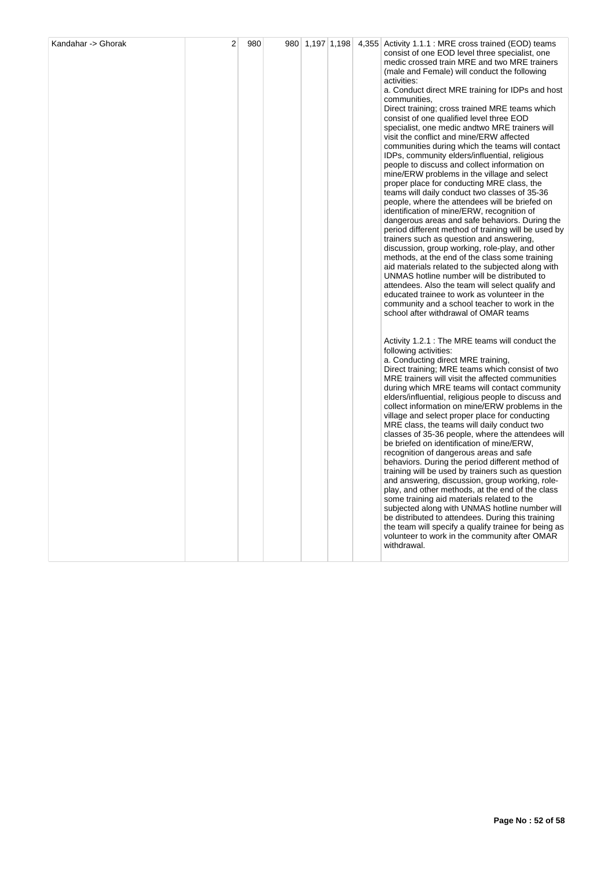|  |  |  | consist of one EOD level three specialist, one<br>medic crossed train MRE and two MRE trainers<br>(male and Female) will conduct the following<br>activities:<br>a. Conduct direct MRE training for IDPs and host<br>communities,<br>Direct training; cross trained MRE teams which<br>consist of one qualified level three EOD<br>specialist, one medic andtwo MRE trainers will<br>visit the conflict and mine/ERW affected<br>communities during which the teams will contact<br>IDPs, community elders/influential, religious<br>people to discuss and collect information on<br>mine/ERW problems in the village and select<br>proper place for conducting MRE class, the<br>teams will daily conduct two classes of 35-36<br>people, where the attendees will be briefed on<br>identification of mine/ERW, recognition of<br>dangerous areas and safe behaviors. During the<br>period different method of training will be used by<br>trainers such as question and answering,<br>discussion, group working, role-play, and other<br>methods, at the end of the class some training<br>aid materials related to the subjected along with<br>UNMAS hotline number will be distributed to<br>attendees. Also the team will select qualify and<br>educated trainee to work as volunteer in the<br>community and a school teacher to work in the<br>school after withdrawal of OMAR teams |
|--|--|--|---------------------------------------------------------------------------------------------------------------------------------------------------------------------------------------------------------------------------------------------------------------------------------------------------------------------------------------------------------------------------------------------------------------------------------------------------------------------------------------------------------------------------------------------------------------------------------------------------------------------------------------------------------------------------------------------------------------------------------------------------------------------------------------------------------------------------------------------------------------------------------------------------------------------------------------------------------------------------------------------------------------------------------------------------------------------------------------------------------------------------------------------------------------------------------------------------------------------------------------------------------------------------------------------------------------------------------------------------------------------------------------------|
|  |  |  | Activity 1.2.1 : The MRE teams will conduct the<br>following activities:<br>a. Conducting direct MRE training,<br>Direct training; MRE teams which consist of two<br>MRE trainers will visit the affected communities<br>during which MRE teams will contact community<br>elders/influential, religious people to discuss and<br>collect information on mine/ERW problems in the<br>village and select proper place for conducting<br>MRE class, the teams will daily conduct two<br>classes of 35-36 people, where the attendees will<br>be briefed on identification of mine/ERW,<br>recognition of dangerous areas and safe<br>behaviors. During the period different method of<br>training will be used by trainers such as question<br>and answering, discussion, group working, role-<br>play, and other methods, at the end of the class<br>some training aid materials related to the<br>subjected along with UNMAS hotline number will<br>be distributed to attendees. During this training<br>the team will specify a qualify trainee for being as<br>volunteer to work in the community after OMAR<br>withdrawal.                                                                                                                                                                                                                                                                |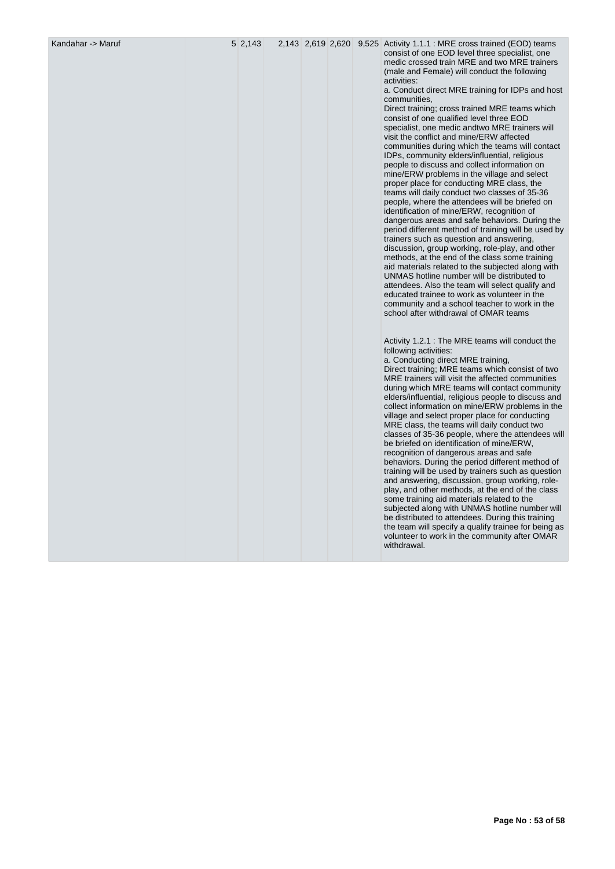Kandahar -> Maruf 1.1.1 : MRE cross trained (EOD) teams 5 2,143 2,619 2,620 9,525 Activity 1.1.1 : MRE cross trained (EOD) teams consist of one EOD level three specialist, one medic crossed train MRE and two MRE trainers (male and Female) will conduct the following activities:

> a. Conduct direct MRE training for IDPs and host communities,

> Direct training; cross trained MRE teams which consist of one qualified level three EOD specialist, one medic andtwo MRE trainers will visit the conflict and mine/ERW affected communities during which the teams will contact IDPs, community elders/influential, religious people to discuss and collect information on mine/ERW problems in the village and select proper place for conducting MRE class, the teams will daily conduct two classes of 35-36 people, where the attendees will be briefed on identification of mine/ERW, recognition of dangerous areas and safe behaviors. During the period different method of training will be used by trainers such as question and answering, discussion, group working, role-play, and other methods, at the end of the class some training aid materials related to the subjected along with UNMAS hotline number will be distributed to attendees. Also the team will select qualify and educated trainee to work as volunteer in the community and a school teacher to work in the school after withdrawal of OMAR teams

Activity 1.2.1 : The MRE teams will conduct the following activities: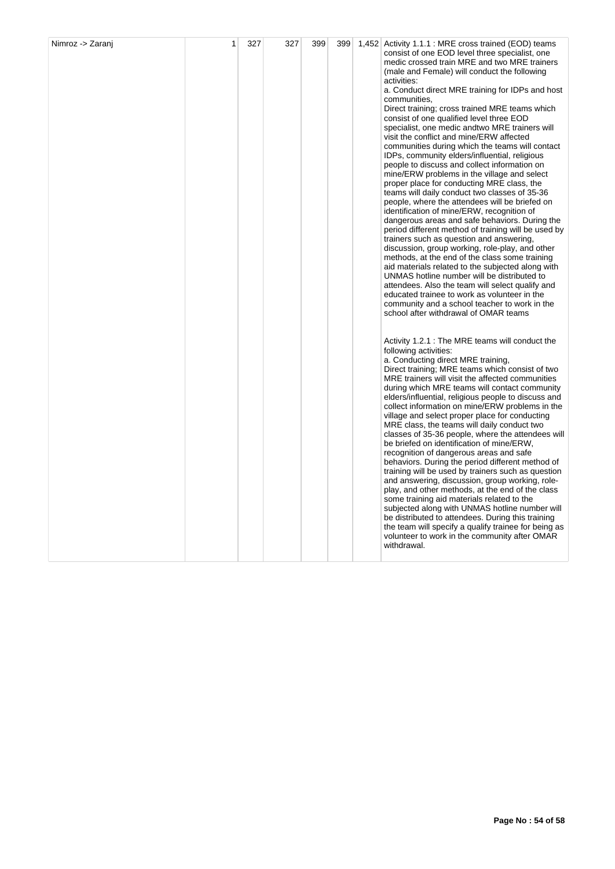| Nimroz -> Zaranj | 1 | 327 | 327 | 399 | 399 | 1,452 Activity 1.1.1 : MRE cross trained (EOD) teams<br>consist of one EOD level three specialist, one<br>medic crossed train MRE and two MRE trainers<br>(male and Female) will conduct the following<br>activities:<br>a. Conduct direct MRE training for IDPs and host<br>communities,<br>Direct training; cross trained MRE teams which<br>consist of one qualified level three EOD<br>specialist, one medic andtwo MRE trainers will<br>visit the conflict and mine/ERW affected<br>communities during which the teams will contact<br>IDPs, community elders/influential, religious<br>people to discuss and collect information on<br>mine/ERW problems in the village and select<br>proper place for conducting MRE class, the<br>teams will daily conduct two classes of 35-36<br>people, where the attendees will be briefed on<br>identification of mine/ERW, recognition of<br>dangerous areas and safe behaviors. During the<br>period different method of training will be used by<br>trainers such as question and answering,<br>discussion, group working, role-play, and other<br>methods, at the end of the class some training<br>aid materials related to the subjected along with<br>UNMAS hotline number will be distributed to<br>attendees. Also the team will select qualify and<br>educated trainee to work as volunteer in the<br>community and a school teacher to work in the<br>school after withdrawal of OMAR teams |
|------------------|---|-----|-----|-----|-----|-----------------------------------------------------------------------------------------------------------------------------------------------------------------------------------------------------------------------------------------------------------------------------------------------------------------------------------------------------------------------------------------------------------------------------------------------------------------------------------------------------------------------------------------------------------------------------------------------------------------------------------------------------------------------------------------------------------------------------------------------------------------------------------------------------------------------------------------------------------------------------------------------------------------------------------------------------------------------------------------------------------------------------------------------------------------------------------------------------------------------------------------------------------------------------------------------------------------------------------------------------------------------------------------------------------------------------------------------------------------------------------------------------------------------------------------------------|
|                  |   |     |     |     |     | Activity 1.2.1 : The MRE teams will conduct the<br>following activities:<br>a. Conducting direct MRE training,<br>Direct training; MRE teams which consist of two<br>MRE trainers will visit the affected communities<br>during which MRE teams will contact community<br>elders/influential, religious people to discuss and<br>collect information on mine/ERW problems in the<br>village and select proper place for conducting<br>MRE class, the teams will daily conduct two<br>classes of 35-36 people, where the attendees will<br>be briefed on identification of mine/ERW,<br>recognition of dangerous areas and safe<br>behaviors. During the period different method of<br>training will be used by trainers such as question<br>and answering, discussion, group working, role-<br>play, and other methods, at the end of the class<br>some training aid materials related to the<br>subjected along with UNMAS hotline number will<br>be distributed to attendees. During this training<br>the team will specify a qualify trainee for being as<br>volunteer to work in the community after OMAR<br>withdrawal.                                                                                                                                                                                                                                                                                                                        |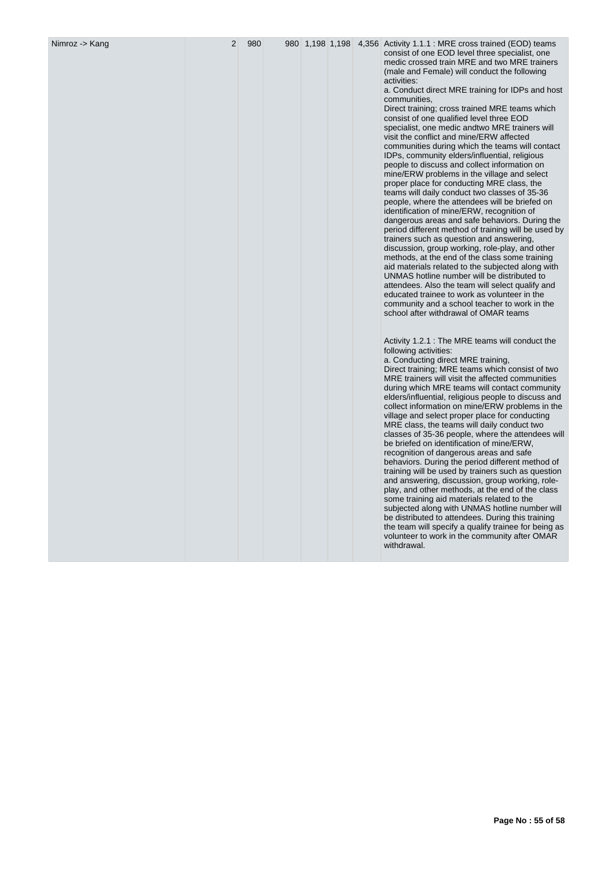| Nimroz -> Kang | 2 | 980 |  |  | 980 1,198 1,198 4,356 Activity 1.1.1 : MRE cross trained (EOD) teams                                                                                                                                                                                                                                                                                                                                                                                                                                                                                                                                                                                                                                                                                                                                                                                                                                                                                                                                                                                                                                                                                                                                                                                                                                                                                                                        |
|----------------|---|-----|--|--|---------------------------------------------------------------------------------------------------------------------------------------------------------------------------------------------------------------------------------------------------------------------------------------------------------------------------------------------------------------------------------------------------------------------------------------------------------------------------------------------------------------------------------------------------------------------------------------------------------------------------------------------------------------------------------------------------------------------------------------------------------------------------------------------------------------------------------------------------------------------------------------------------------------------------------------------------------------------------------------------------------------------------------------------------------------------------------------------------------------------------------------------------------------------------------------------------------------------------------------------------------------------------------------------------------------------------------------------------------------------------------------------|
|                |   |     |  |  | consist of one EOD level three specialist, one<br>medic crossed train MRE and two MRE trainers<br>(male and Female) will conduct the following<br>activities:<br>a. Conduct direct MRE training for IDPs and host<br>communities,<br>Direct training; cross trained MRE teams which<br>consist of one qualified level three EOD<br>specialist, one medic andtwo MRE trainers will<br>visit the conflict and mine/ERW affected<br>communities during which the teams will contact<br>IDPs, community elders/influential, religious<br>people to discuss and collect information on<br>mine/ERW problems in the village and select<br>proper place for conducting MRE class, the<br>teams will daily conduct two classes of 35-36<br>people, where the attendees will be briefed on<br>identification of mine/ERW, recognition of<br>dangerous areas and safe behaviors. During the<br>period different method of training will be used by<br>trainers such as question and answering,<br>discussion, group working, role-play, and other<br>methods, at the end of the class some training<br>aid materials related to the subjected along with<br>UNMAS hotline number will be distributed to<br>attendees. Also the team will select qualify and<br>educated trainee to work as volunteer in the<br>community and a school teacher to work in the<br>school after withdrawal of OMAR teams |
|                |   |     |  |  | Activity 1.2.1 : The MRE teams will conduct the<br>following activities:<br>a. Conducting direct MRE training,<br>Direct training; MRE teams which consist of two<br>MRE trainers will visit the affected communities<br>during which MRE teams will contact community<br>elders/influential, religious people to discuss and<br>collect information on mine/ERW problems in the<br>village and select proper place for conducting<br>MRE class, the teams will daily conduct two<br>classes of 35-36 people, where the attendees will<br>be briefed on identification of mine/ERW,<br>recognition of dangerous areas and safe<br>behaviors. During the period different method of<br>training will be used by trainers such as question<br>and answering, discussion, group working, role-<br>play, and other methods, at the end of the class<br>some training aid materials related to the<br>subjected along with UNMAS hotline number will<br>be distributed to attendees. During this training<br>the team will specify a qualify trainee for being as<br>volunteer to work in the community after OMAR<br>withdrawal.                                                                                                                                                                                                                                                                |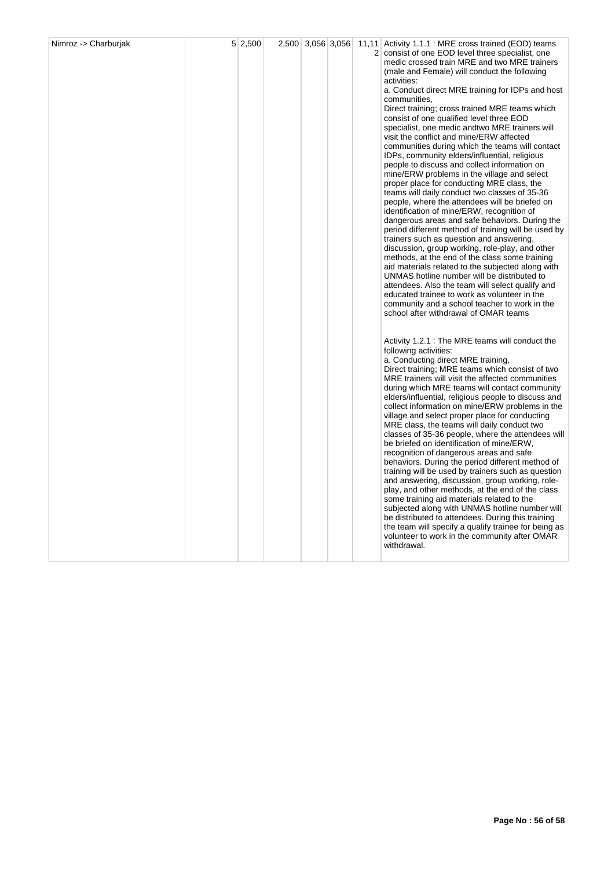|  |  |  | 2 consist of one EOD level three specialist, one<br>medic crossed train MRE and two MRE trainers<br>(male and Female) will conduct the following<br>activities:<br>a. Conduct direct MRE training for IDPs and host<br>communities,<br>Direct training; cross trained MRE teams which<br>consist of one qualified level three EOD<br>specialist, one medic andtwo MRE trainers will<br>visit the conflict and mine/ERW affected<br>communities during which the teams will contact<br>IDPs, community elders/influential, religious<br>people to discuss and collect information on<br>mine/ERW problems in the village and select<br>proper place for conducting MRE class, the<br>teams will daily conduct two classes of 35-36<br>people, where the attendees will be briefed on<br>identification of mine/ERW, recognition of<br>dangerous areas and safe behaviors. During the<br>period different method of training will be used by<br>trainers such as question and answering,<br>discussion, group working, role-play, and other<br>methods, at the end of the class some training<br>aid materials related to the subjected along with<br>UNMAS hotline number will be distributed to<br>attendees. Also the team will select qualify and<br>educated trainee to work as volunteer in the<br>community and a school teacher to work in the<br>school after withdrawal of OMAR teams |
|--|--|--|-----------------------------------------------------------------------------------------------------------------------------------------------------------------------------------------------------------------------------------------------------------------------------------------------------------------------------------------------------------------------------------------------------------------------------------------------------------------------------------------------------------------------------------------------------------------------------------------------------------------------------------------------------------------------------------------------------------------------------------------------------------------------------------------------------------------------------------------------------------------------------------------------------------------------------------------------------------------------------------------------------------------------------------------------------------------------------------------------------------------------------------------------------------------------------------------------------------------------------------------------------------------------------------------------------------------------------------------------------------------------------------------------|
|  |  |  | Activity 1.2.1 : The MRE teams will conduct the<br>following activities:<br>a. Conducting direct MRE training,<br>Direct training; MRE teams which consist of two<br>MRE trainers will visit the affected communities<br>during which MRE teams will contact community<br>elders/influential, religious people to discuss and<br>collect information on mine/ERW problems in the<br>village and select proper place for conducting<br>MRE class, the teams will daily conduct two<br>classes of 35-36 people, where the attendees will<br>be briefed on identification of mine/ERW,<br>recognition of dangerous areas and safe<br>behaviors. During the period different method of<br>training will be used by trainers such as question<br>and answering, discussion, group working, role-<br>play, and other methods, at the end of the class<br>some training aid materials related to the<br>subjected along with UNMAS hotline number will<br>be distributed to attendees. During this training<br>the team will specify a qualify trainee for being as<br>volunteer to work in the community after OMAR<br>withdrawal.                                                                                                                                                                                                                                                                  |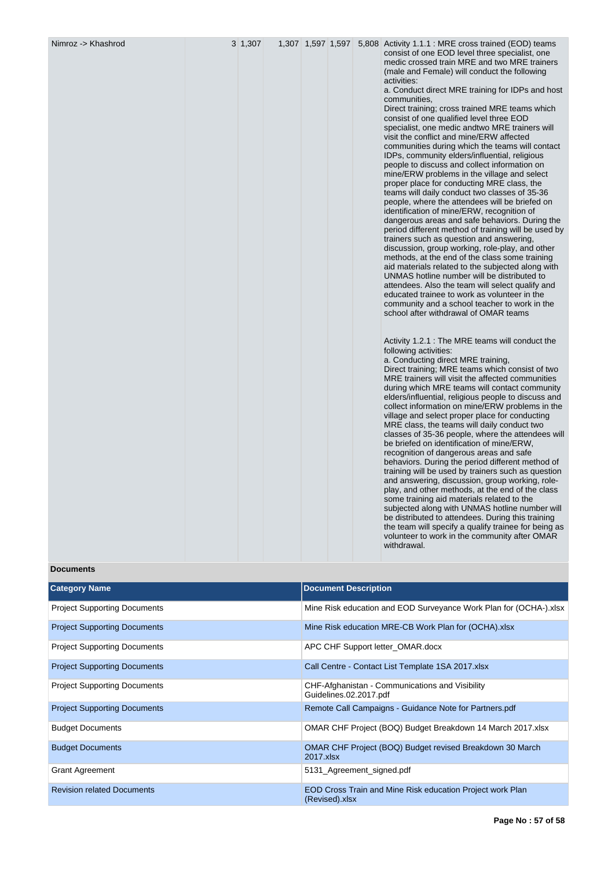| the team will specify a qualify trainee for being as<br>volunteer to work in the community after OMAR<br>withdrawal.<br><b>Documents</b> | Activity 1.2.1 : The MRE teams will conduct the<br>following activities:<br>a. Conducting direct MRE training,<br>Direct training; MRE teams which consist of two<br>MRE trainers will visit the affected communities<br>during which MRE teams will contact community<br>elders/influential, religious people to discuss and<br>collect information on mine/ERW problems in the<br>village and select proper place for conducting<br>MRE class, the teams will daily conduct two<br>classes of 35-36 people, where the attendees will<br>be briefed on identification of mine/ERW,<br>recognition of dangerous areas and safe<br>behaviors. During the period different method of<br>training will be used by trainers such as question<br>and answering, discussion, group working, role-<br>play, and other methods, at the end of the class<br>some training aid materials related to the<br>subjected along with UNMAS hotline number will<br>be distributed to attendees. During this training | consist of one EOD level three specialist, one<br>medic crossed train MRE and two MRE trainers<br>(male and Female) will conduct the following<br>activities:<br>a. Conduct direct MRE training for IDPs and host<br>communities,<br>Direct training; cross trained MRE teams which<br>consist of one qualified level three EOD<br>specialist, one medic andtwo MRE trainers will<br>visit the conflict and mine/ERW affected<br>communities during which the teams will contact<br>IDPs, community elders/influential, religious<br>people to discuss and collect information on<br>mine/ERW problems in the village and select<br>proper place for conducting MRE class, the<br>teams will daily conduct two classes of 35-36<br>people, where the attendees will be briefed on<br>identification of mine/ERW, recognition of<br>dangerous areas and safe behaviors. During the<br>period different method of training will be used by<br>trainers such as question and answering,<br>discussion, group working, role-play, and other<br>methods, at the end of the class some training<br>aid materials related to the subjected along with<br>UNMAS hotline number will be distributed to<br>attendees. Also the team will select qualify and<br>educated trainee to work as volunteer in the<br>community and a school teacher to work in the<br>school after withdrawal of OMAR teams |
|------------------------------------------------------------------------------------------------------------------------------------------|------------------------------------------------------------------------------------------------------------------------------------------------------------------------------------------------------------------------------------------------------------------------------------------------------------------------------------------------------------------------------------------------------------------------------------------------------------------------------------------------------------------------------------------------------------------------------------------------------------------------------------------------------------------------------------------------------------------------------------------------------------------------------------------------------------------------------------------------------------------------------------------------------------------------------------------------------------------------------------------------------|---------------------------------------------------------------------------------------------------------------------------------------------------------------------------------------------------------------------------------------------------------------------------------------------------------------------------------------------------------------------------------------------------------------------------------------------------------------------------------------------------------------------------------------------------------------------------------------------------------------------------------------------------------------------------------------------------------------------------------------------------------------------------------------------------------------------------------------------------------------------------------------------------------------------------------------------------------------------------------------------------------------------------------------------------------------------------------------------------------------------------------------------------------------------------------------------------------------------------------------------------------------------------------------------------------------------------------------------------------------------------------------------|
|------------------------------------------------------------------------------------------------------------------------------------------|------------------------------------------------------------------------------------------------------------------------------------------------------------------------------------------------------------------------------------------------------------------------------------------------------------------------------------------------------------------------------------------------------------------------------------------------------------------------------------------------------------------------------------------------------------------------------------------------------------------------------------------------------------------------------------------------------------------------------------------------------------------------------------------------------------------------------------------------------------------------------------------------------------------------------------------------------------------------------------------------------|---------------------------------------------------------------------------------------------------------------------------------------------------------------------------------------------------------------------------------------------------------------------------------------------------------------------------------------------------------------------------------------------------------------------------------------------------------------------------------------------------------------------------------------------------------------------------------------------------------------------------------------------------------------------------------------------------------------------------------------------------------------------------------------------------------------------------------------------------------------------------------------------------------------------------------------------------------------------------------------------------------------------------------------------------------------------------------------------------------------------------------------------------------------------------------------------------------------------------------------------------------------------------------------------------------------------------------------------------------------------------------------------|

| <b>Category Name</b>                | <b>Document Description</b>                                                 |
|-------------------------------------|-----------------------------------------------------------------------------|
| <b>Project Supporting Documents</b> | Mine Risk education and EOD Surveyance Work Plan for (OCHA-).xlsx           |
| <b>Project Supporting Documents</b> | Mine Risk education MRE-CB Work Plan for (OCHA).xlsx                        |
| <b>Project Supporting Documents</b> | APC CHF Support letter_OMAR.docx                                            |
| <b>Project Supporting Documents</b> | Call Centre - Contact List Template 1SA 2017.xlsx                           |
| <b>Project Supporting Documents</b> | CHF-Afghanistan - Communications and Visibility<br>Guidelines.02.2017.pdf   |
| <b>Project Supporting Documents</b> | Remote Call Campaigns - Guidance Note for Partners.pdf                      |
| <b>Budget Documents</b>             | OMAR CHF Project (BOQ) Budget Breakdown 14 March 2017.xlsx                  |
| <b>Budget Documents</b>             | OMAR CHF Project (BOQ) Budget revised Breakdown 30 March<br>2017.xlsx       |
| <b>Grant Agreement</b>              | 5131_Agreement_signed.pdf                                                   |
| <b>Revision related Documents</b>   | EOD Cross Train and Mine Risk education Project work Plan<br>(Revised).xlsx |